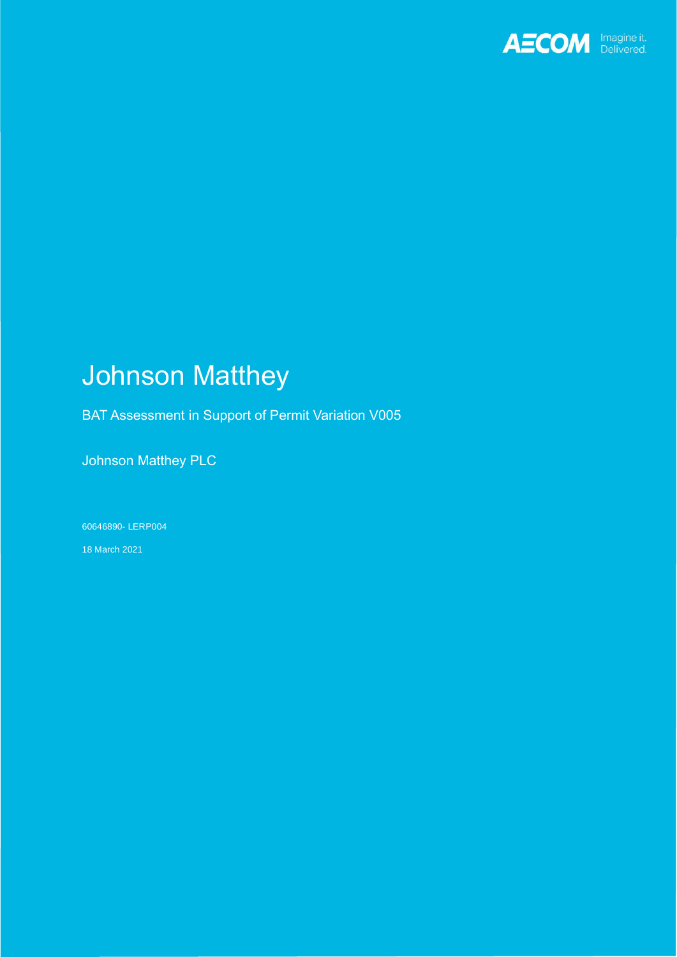

# Johnson Matthey

BAT Assessment in Support of Permit Variation V005

Johnson Matthey PLC

60646890- LERP004

18 March 2021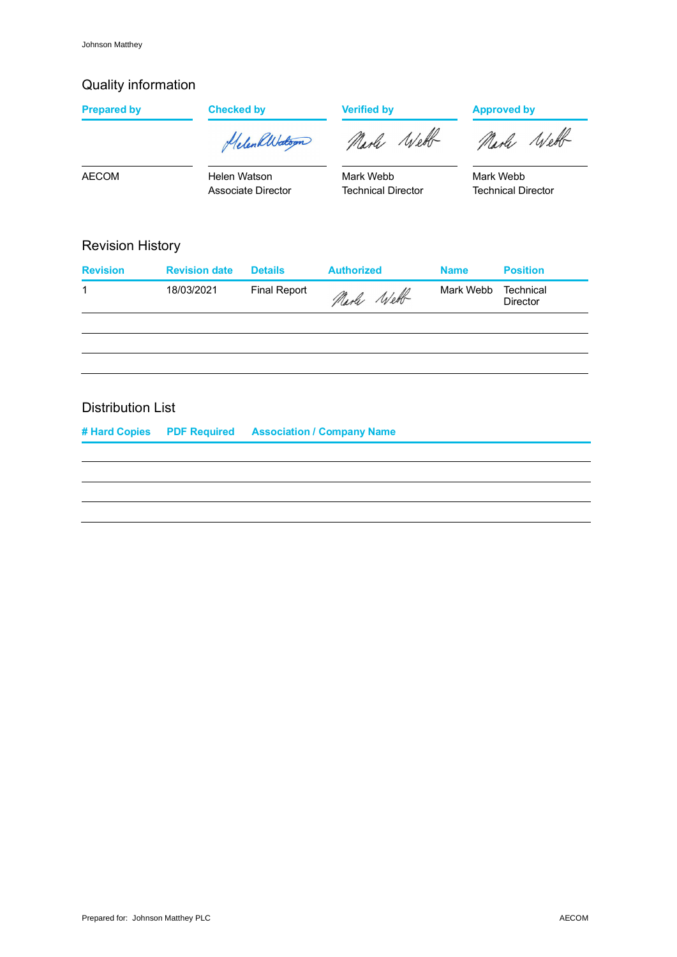# Quality information

| <b>Prepared by</b>       | <b>Checked by</b>    |                           | <b>Verified by</b>                     |             | <b>Approved by</b>                     |  |
|--------------------------|----------------------|---------------------------|----------------------------------------|-------------|----------------------------------------|--|
|                          |                      | HelenkWatson              | Narle Webb                             |             | Marle Well                             |  |
| <b>AECOM</b>             | Helen Watson         | <b>Associate Director</b> | Mark Webb<br><b>Technical Director</b> |             | Mark Webb<br><b>Technical Director</b> |  |
| <b>Revision History</b>  |                      |                           |                                        |             |                                        |  |
| <b>Revision</b>          | <b>Revision date</b> | <b>Details</b>            | <b>Authorized</b>                      | <b>Name</b> | <b>Position</b>                        |  |
| 1                        | 18/03/2021           | <b>Final Report</b>       | Narle Well                             | Mark Webb   | Technical<br><b>Director</b>           |  |
|                          |                      |                           |                                        |             |                                        |  |
|                          |                      |                           |                                        |             |                                        |  |
|                          |                      |                           |                                        |             |                                        |  |
| <b>Distribution List</b> |                      |                           |                                        |             |                                        |  |

**# Hard Copies PDF Required Association / Company Name**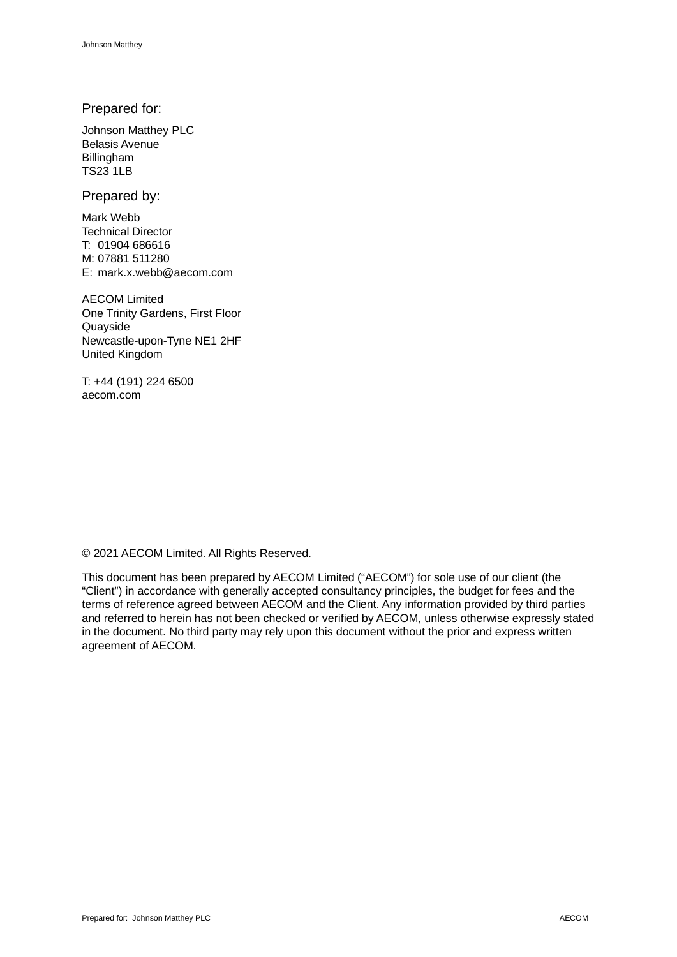### Prepared for:

Johnson Matthey PLC Belasis Avenue Billingham TS23 1LB

Prepared by:

Mark Webb Technical Director T: 01904 686616 M: 07881 511280 E: mark.x.webb@aecom.com

AECOM Limited One Trinity Gardens, First Floor Quayside Newcastle-upon-Tyne NE1 2HF United Kingdom

T: +44 (191) 224 6500 aecom.com

© 2021 AECOM Limited. All Rights Reserved.

This document has been prepared by AECOM Limited ("AECOM") for sole use of our client (the "Client") in accordance with generally accepted consultancy principles, the budget for fees and the terms of reference agreed between AECOM and the Client. Any information provided by third parties and referred to herein has not been checked or verified by AECOM, unless otherwise expressly stated in the document. No third party may rely upon this document without the prior and express written agreement of AECOM.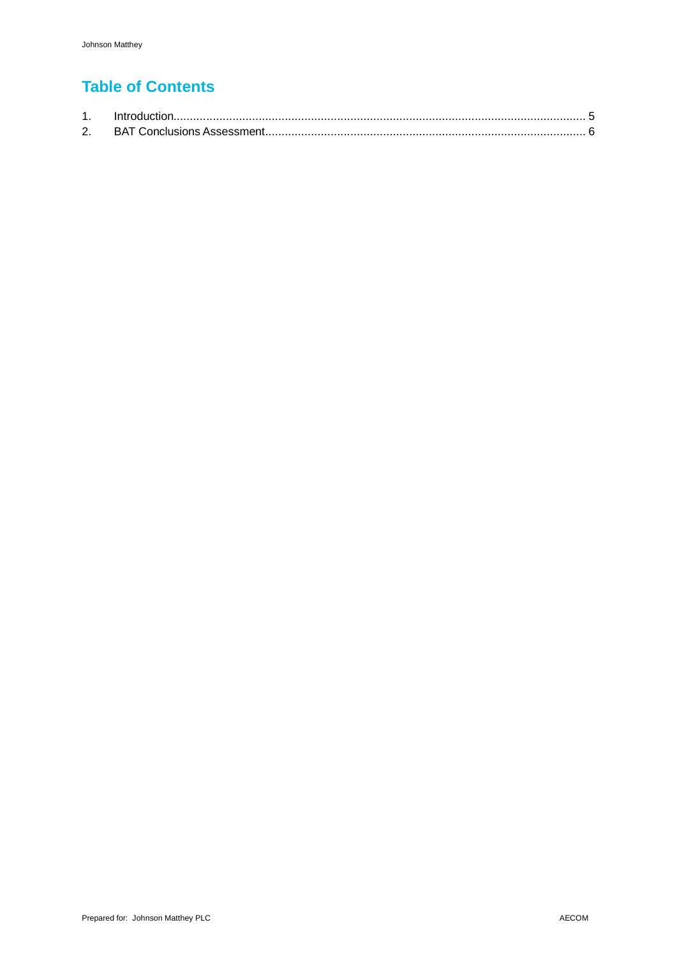# **Table of Contents**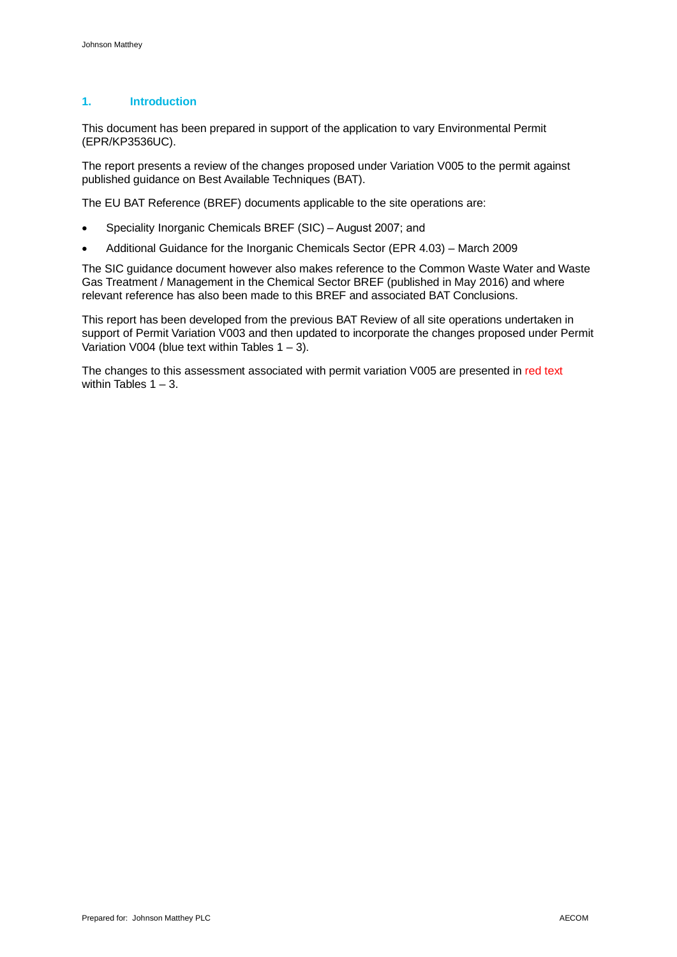### **1. Introduction**

This document has been prepared in support of the application to vary Environmental Permit (EPR/KP3536UC).

The report presents a review of the changes proposed under Variation V005 to the permit against published guidance on Best Available Techniques (BAT).

The EU BAT Reference (BREF) documents applicable to the site operations are:

- · Speciality Inorganic Chemicals BREF (SIC) August 2007; and
- · Additional Guidance for the Inorganic Chemicals Sector (EPR 4.03) March 2009

The SIC guidance document however also makes reference to the Common Waste Water and Waste Gas Treatment / Management in the Chemical Sector BREF (published in May 2016) and where relevant reference has also been made to this BREF and associated BAT Conclusions.

This report has been developed from the previous BAT Review of all site operations undertaken in support of Permit Variation V003 and then updated to incorporate the changes proposed under Permit Variation V004 (blue text within Tables  $1 - 3$ ).

The changes to this assessment associated with permit variation V005 are presented in red text within Tables  $1 - 3$ .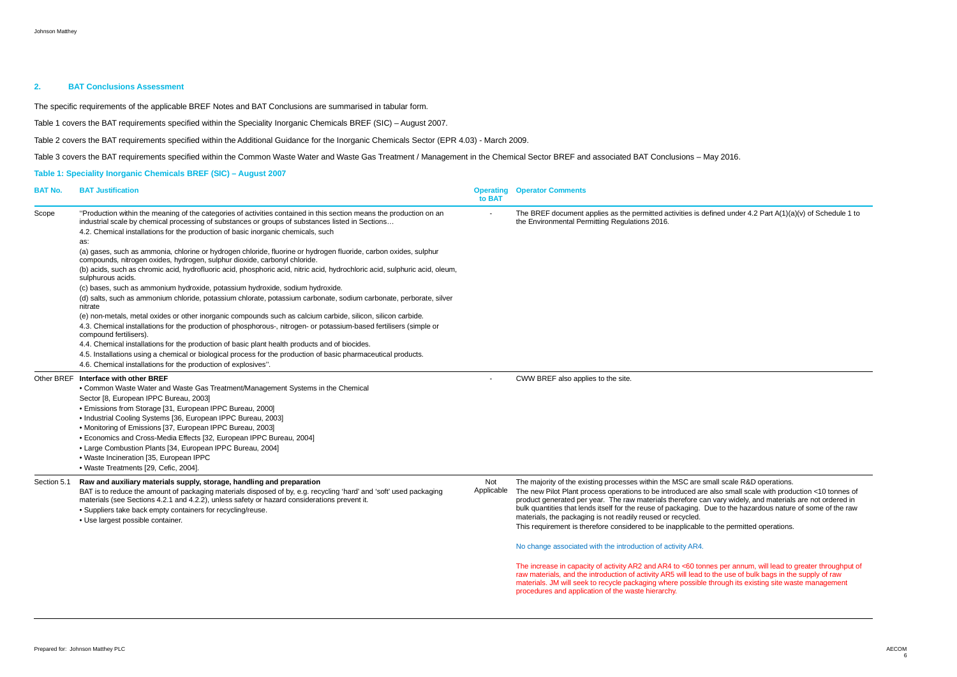### **2. BAT Conclusions Assessment**

The specific requirements of the applicable BREF Notes and BAT Conclusions are summarised in tabular form.

Table 1 covers the BAT requirements specified within the Speciality Inorganic Chemicals BREF (SIC) – August 2007.

Table 2 covers the BAT requirements specified within the Additional Guidance for the Inorganic Chemicals Sector (EPR 4.03) - March 2009.

Table 3 covers the BAT requirements specified within the Common Waste Water and Waste Gas Treatment / Management in the Chemical Sector BREF and associated BAT Conclusions – May 2016.

### **Table 1: Speciality Inorganic Chemicals BREF (SIC) – August 2007**

| <b>BAT No.</b> | <b>BAT Justification</b>                                                                                                                                                                                                                                                                                                                                                                        | <b>Operating</b><br>to BAT | <b>Operator Comments</b>                                                                                                                                                                                                                                                                                                                                                                                              |
|----------------|-------------------------------------------------------------------------------------------------------------------------------------------------------------------------------------------------------------------------------------------------------------------------------------------------------------------------------------------------------------------------------------------------|----------------------------|-----------------------------------------------------------------------------------------------------------------------------------------------------------------------------------------------------------------------------------------------------------------------------------------------------------------------------------------------------------------------------------------------------------------------|
| Scope          | "Production within the meaning of the categories of activities contained in this section means the production on an<br>industrial scale by chemical processing of substances or groups of substances listed in Sections                                                                                                                                                                         |                            | The BREF document applies as the permitted activities is defined<br>the Environmental Permitting Regulations 2016.                                                                                                                                                                                                                                                                                                    |
|                | 4.2. Chemical installations for the production of basic inorganic chemicals, such                                                                                                                                                                                                                                                                                                               |                            |                                                                                                                                                                                                                                                                                                                                                                                                                       |
|                | as:                                                                                                                                                                                                                                                                                                                                                                                             |                            |                                                                                                                                                                                                                                                                                                                                                                                                                       |
|                | (a) gases, such as ammonia, chlorine or hydrogen chloride, fluorine or hydrogen fluoride, carbon oxides, sulphur<br>compounds, nitrogen oxides, hydrogen, sulphur dioxide, carbonyl chloride.                                                                                                                                                                                                   |                            |                                                                                                                                                                                                                                                                                                                                                                                                                       |
|                | (b) acids, such as chromic acid, hydrofluoric acid, phosphoric acid, nitric acid, hydrochloric acid, sulphuric acid, oleum,<br>sulphurous acids.                                                                                                                                                                                                                                                |                            |                                                                                                                                                                                                                                                                                                                                                                                                                       |
|                | (c) bases, such as ammonium hydroxide, potassium hydroxide, sodium hydroxide.                                                                                                                                                                                                                                                                                                                   |                            |                                                                                                                                                                                                                                                                                                                                                                                                                       |
|                | (d) salts, such as ammonium chloride, potassium chlorate, potassium carbonate, sodium carbonate, perborate, silver<br>nitrate                                                                                                                                                                                                                                                                   |                            |                                                                                                                                                                                                                                                                                                                                                                                                                       |
|                | (e) non-metals, metal oxides or other inorganic compounds such as calcium carbide, silicon, silicon carbide.                                                                                                                                                                                                                                                                                    |                            |                                                                                                                                                                                                                                                                                                                                                                                                                       |
|                | 4.3. Chemical installations for the production of phosphorous-, nitrogen- or potassium-based fertilisers (simple or<br>compound fertilisers).                                                                                                                                                                                                                                                   |                            |                                                                                                                                                                                                                                                                                                                                                                                                                       |
|                | 4.4. Chemical installations for the production of basic plant health products and of biocides.                                                                                                                                                                                                                                                                                                  |                            |                                                                                                                                                                                                                                                                                                                                                                                                                       |
|                | 4.5. Installations using a chemical or biological process for the production of basic pharmaceutical products.                                                                                                                                                                                                                                                                                  |                            |                                                                                                                                                                                                                                                                                                                                                                                                                       |
|                | 4.6. Chemical installations for the production of explosives".                                                                                                                                                                                                                                                                                                                                  |                            |                                                                                                                                                                                                                                                                                                                                                                                                                       |
|                | Other BREF Interface with other BREF                                                                                                                                                                                                                                                                                                                                                            |                            | CWW BREF also applies to the site.                                                                                                                                                                                                                                                                                                                                                                                    |
|                | • Common Waste Water and Waste Gas Treatment/Management Systems in the Chemical                                                                                                                                                                                                                                                                                                                 |                            |                                                                                                                                                                                                                                                                                                                                                                                                                       |
|                | Sector [8, European IPPC Bureau, 2003]                                                                                                                                                                                                                                                                                                                                                          |                            |                                                                                                                                                                                                                                                                                                                                                                                                                       |
|                | • Emissions from Storage [31, European IPPC Bureau, 2000]                                                                                                                                                                                                                                                                                                                                       |                            |                                                                                                                                                                                                                                                                                                                                                                                                                       |
|                | • Industrial Cooling Systems [36, European IPPC Bureau, 2003]                                                                                                                                                                                                                                                                                                                                   |                            |                                                                                                                                                                                                                                                                                                                                                                                                                       |
|                | • Monitoring of Emissions [37, European IPPC Bureau, 2003]                                                                                                                                                                                                                                                                                                                                      |                            |                                                                                                                                                                                                                                                                                                                                                                                                                       |
|                | • Economics and Cross-Media Effects [32, European IPPC Bureau, 2004]                                                                                                                                                                                                                                                                                                                            |                            |                                                                                                                                                                                                                                                                                                                                                                                                                       |
|                | • Large Combustion Plants [34, European IPPC Bureau, 2004]                                                                                                                                                                                                                                                                                                                                      |                            |                                                                                                                                                                                                                                                                                                                                                                                                                       |
|                | . Waste Incineration [35, European IPPC                                                                                                                                                                                                                                                                                                                                                         |                            |                                                                                                                                                                                                                                                                                                                                                                                                                       |
|                | • Waste Treatments [29, Cefic, 2004].                                                                                                                                                                                                                                                                                                                                                           |                            |                                                                                                                                                                                                                                                                                                                                                                                                                       |
| Section 5.1    | Raw and auxiliary materials supply, storage, handling and preparation<br>BAT is to reduce the amount of packaging materials disposed of by, e.g. recycling 'hard' and 'soft' used packaging<br>materials (see Sections 4.2.1 and 4.2.2), unless safety or hazard considerations prevent it.<br>• Suppliers take back empty containers for recycling/reuse.<br>· Use largest possible container. | Not<br>Applicable          | The majority of the existing processes within the MSC are small a<br>The new Pilot Plant process operations to be introduced are also<br>product generated per year. The raw materials therefore can var<br>bulk quantities that lends itself for the reuse of packaging. Due to<br>materials, the packaging is not readily reused or recycled.<br>This requirement is therefore considered to be inapplicable to the |
|                |                                                                                                                                                                                                                                                                                                                                                                                                 |                            |                                                                                                                                                                                                                                                                                                                                                                                                                       |
|                |                                                                                                                                                                                                                                                                                                                                                                                                 |                            | No change associated with the introduction of activity AR4.                                                                                                                                                                                                                                                                                                                                                           |
|                |                                                                                                                                                                                                                                                                                                                                                                                                 |                            | The increase in capacity of activity AR2 and AR4 to <60 tonnes p<br>raw materials, and the introduction of activity AR5 will lead to the<br>materials. JM will seek to recycle packaging where possible through<br>procedures and application of the waste hierarchy.                                                                                                                                                 |
|                |                                                                                                                                                                                                                                                                                                                                                                                                 |                            |                                                                                                                                                                                                                                                                                                                                                                                                                       |

ed under 4.2 Part A(1)(a)(v) of Schedule 1 to

scale R&D operations.  $\mathbf b$  small scale with production <10 tonnes of pry widely, and materials are not ordered in to the hazardous nature of some of the raw

e permitted operations.

per annum, will lead to greater throughput of  $\alpha$  use of bulk bags in the supply of raw ugh its existing site waste management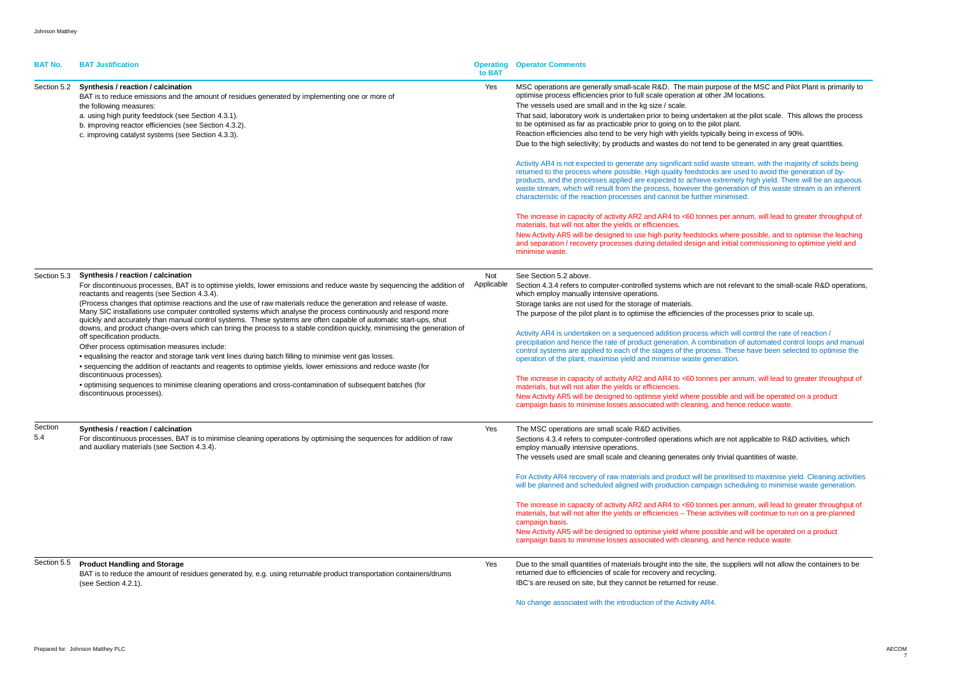| <b>BAT No.</b> | <b>BAT Justification</b>                                                                                                                                                                                                                                                                                                                                                                                                                                                                                                                                                                                                                                                                                                                                                                                                                                                                                                                                                                                                                                                                                                                                                           | to BAT            | <b>Operating Operator Comments</b>                                                                                                                                                                                                                                                                                                                                                                                                                                                                                                                                                                                                                                                                                                                                                                                                                                                                                                                                                                                                                                                                                                                                                                                                                                                                                                                                                                                                                                                                                                                                                                                                            |
|----------------|------------------------------------------------------------------------------------------------------------------------------------------------------------------------------------------------------------------------------------------------------------------------------------------------------------------------------------------------------------------------------------------------------------------------------------------------------------------------------------------------------------------------------------------------------------------------------------------------------------------------------------------------------------------------------------------------------------------------------------------------------------------------------------------------------------------------------------------------------------------------------------------------------------------------------------------------------------------------------------------------------------------------------------------------------------------------------------------------------------------------------------------------------------------------------------|-------------------|-----------------------------------------------------------------------------------------------------------------------------------------------------------------------------------------------------------------------------------------------------------------------------------------------------------------------------------------------------------------------------------------------------------------------------------------------------------------------------------------------------------------------------------------------------------------------------------------------------------------------------------------------------------------------------------------------------------------------------------------------------------------------------------------------------------------------------------------------------------------------------------------------------------------------------------------------------------------------------------------------------------------------------------------------------------------------------------------------------------------------------------------------------------------------------------------------------------------------------------------------------------------------------------------------------------------------------------------------------------------------------------------------------------------------------------------------------------------------------------------------------------------------------------------------------------------------------------------------------------------------------------------------|
| Section 5.2    | Synthesis / reaction / calcination<br>BAT is to reduce emissions and the amount of residues generated by implementing one or more of<br>the following measures:<br>a. using high purity feedstock (see Section 4.3.1).<br>b. improving reactor efficiencies (see Section 4.3.2).<br>c. improving catalyst systems (see Section 4.3.3).                                                                                                                                                                                                                                                                                                                                                                                                                                                                                                                                                                                                                                                                                                                                                                                                                                             | Yes               | MSC operations are generally small-scale R&D. The main purpose of the MSC and Pilot Plant is primarily to<br>optimise process efficiencies prior to full scale operation at other JM locations.<br>The vessels used are small and in the kg size / scale.<br>That said, laboratory work is undertaken prior to being undertaken at the pilot scale. This allows the process<br>to be optimised as far as practicable prior to going on to the pilot plant.<br>Reaction efficiencies also tend to be very high with yields typically being in excess of 90%.<br>Due to the high selectivity; by products and wastes do not tend to be generated in any great quantities.<br>Activity AR4 is not expected to generate any significant solid waste stream, with the majority of solids being<br>returned to the process where possible. High quality feedstocks are used to avoid the generation of by-<br>products, and the processes applied are expected to achieve extremely high yield. There will be an aqueous<br>waste stream, which will result from the process, however the generation of this waste stream is an inherent<br>characteristic of the reaction processes and cannot be further minimised.<br>The increase in capacity of activity AR2 and AR4 to <60 tonnes per annum, will lead to greater throughput of<br>materials, but will not alter the yields or efficiencies.<br>New Activity AR5 will be designed to use high purity feedstocks where possible, and to optimise the leaching<br>and separation / recovery processes during detailed design and initial commissioning to optimise yield and<br>minimise waste. |
| Section 5.3    | Synthesis / reaction / calcination<br>For discontinuous processes, BAT is to optimise yields, lower emissions and reduce waste by sequencing the addition of<br>reactants and reagents (see Section 4.3.4).<br>(Process changes that optimise reactions and the use of raw materials reduce the generation and release of waste.<br>Many SIC installations use computer controlled systems which analyse the process continuously and respond more<br>quickly and accurately than manual control systems. These systems are often capable of automatic start-ups, shut<br>downs, and product change-overs which can bring the process to a stable condition quickly, minimising the generation of<br>off specification products.<br>Other process optimisation measures include:<br>• equalising the reactor and storage tank vent lines during batch filling to minimise vent gas losses.<br>• sequencing the addition of reactants and reagents to optimise yields, lower emissions and reduce waste (for<br>discontinuous processes).<br>• optimising sequences to minimise cleaning operations and cross-contamination of subsequent batches (for<br>discontinuous processes). | Not<br>Applicable | See Section 5.2 above.<br>Section 4.3.4 refers to computer-controlled systems which are not relevant to the small-scale R&D operation<br>which employ manually intensive operations.<br>Storage tanks are not used for the storage of materials.<br>The purpose of the pilot plant is to optimise the efficiencies of the processes prior to scale up.<br>Activity AR4 is undertaken on a sequenced addition process which will control the rate of reaction /<br>precipitation and hence the rate of product generation. A combination of automated control loops and manua<br>control systems are applied to each of the stages of the process. These have been selected to optimise the<br>operation of the plant, maximise yield and minimise waste generation.<br>The increase in capacity of activity AR2 and AR4 to <60 tonnes per annum, will lead to greater throughput of<br>materials, but will not alter the yields or efficiencies.<br>New Activity AR5 will be designed to optimise yield where possible and will be operated on a product<br>campaign basis to minimise losses associated with cleaning, and hence reduce waste.                                                                                                                                                                                                                                                                                                                                                                                                                                                                                               |
| Section<br>5.4 | Synthesis / reaction / calcination<br>For discontinuous processes, BAT is to minimise cleaning operations by optimising the sequences for addition of raw<br>and auxiliary materials (see Section 4.3.4).                                                                                                                                                                                                                                                                                                                                                                                                                                                                                                                                                                                                                                                                                                                                                                                                                                                                                                                                                                          | Yes               | The MSC operations are small scale R&D activities.<br>Sections 4.3.4 refers to computer-controlled operations which are not applicable to R&D activities, which<br>employ manually intensive operations.<br>The vessels used are small scale and cleaning generates only trivial quantities of waste.<br>For Activity AR4 recovery of raw materials and product will be prioritised to maximise yield. Cleaning activities<br>will be planned and scheduled aligned with production campaign scheduling to minimise waste generation.<br>The increase in capacity of activity AR2 and AR4 to <60 tonnes per annum, will lead to greater throughput of<br>materials, but will not alter the yields or efficiencies - These activities will continue to run on a pre-planned<br>campaign basis.<br>New Activity AR5 will be designed to optimise yield where possible and will be operated on a product<br>campaign basis to minimise losses associated with cleaning, and hence reduce waste.                                                                                                                                                                                                                                                                                                                                                                                                                                                                                                                                                                                                                                                  |
| Section 5.5    | <b>Product Handling and Storage</b><br>BAT is to reduce the amount of residues generated by, e.g. using returnable product transportation containers/drums<br>(see Section 4.2.1).                                                                                                                                                                                                                                                                                                                                                                                                                                                                                                                                                                                                                                                                                                                                                                                                                                                                                                                                                                                                 | Yes               | Due to the small quantities of materials brought into the site, the suppliers will not allow the containers to be<br>returned due to efficiencies of scale for recovery and recycling.<br>IBC's are reused on site, but they cannot be returned for reuse.<br>No change associated with the introduction of the Activity AR4.                                                                                                                                                                                                                                                                                                                                                                                                                                                                                                                                                                                                                                                                                                                                                                                                                                                                                                                                                                                                                                                                                                                                                                                                                                                                                                                 |

| se of the MSC and Pilot Plant is primarily to |  |
|-----------------------------------------------|--|
| JM locations.                                 |  |

- In at the pilot scale. This allows the process
- being in excess of 90%.
- be generated in any great quantities.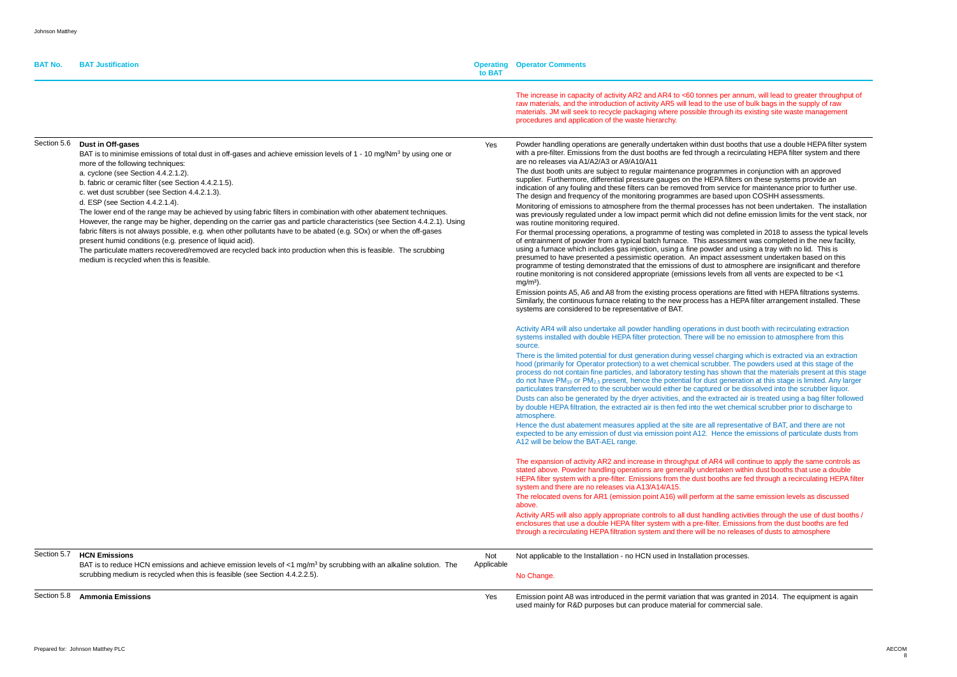| <b>BAT No.</b> | <b>BAT Justification</b>                                                                                                                                                                                                                                                                                                                                                                                                                                                                                                                                                                                                                                                                                                                                                                                                                                                                                                                                                             | <b>Operating</b><br>to BAT | <b>Operator Comments</b>                                                                                                                                                                                                                                                                                                                                                                                                                                                                                                                                                                                                                                                                                                                                                                                                                                                                                                                                                                                                                                                                                                                                                                                                                                                                                                                                                                                                                                                                                                                                                                                                                                                                                                                                                                                                                                                                                                                                                                                                                                                                                                                                                                                                                                                                                                                                                                                                                                                                                                                                                                                      |
|----------------|--------------------------------------------------------------------------------------------------------------------------------------------------------------------------------------------------------------------------------------------------------------------------------------------------------------------------------------------------------------------------------------------------------------------------------------------------------------------------------------------------------------------------------------------------------------------------------------------------------------------------------------------------------------------------------------------------------------------------------------------------------------------------------------------------------------------------------------------------------------------------------------------------------------------------------------------------------------------------------------|----------------------------|---------------------------------------------------------------------------------------------------------------------------------------------------------------------------------------------------------------------------------------------------------------------------------------------------------------------------------------------------------------------------------------------------------------------------------------------------------------------------------------------------------------------------------------------------------------------------------------------------------------------------------------------------------------------------------------------------------------------------------------------------------------------------------------------------------------------------------------------------------------------------------------------------------------------------------------------------------------------------------------------------------------------------------------------------------------------------------------------------------------------------------------------------------------------------------------------------------------------------------------------------------------------------------------------------------------------------------------------------------------------------------------------------------------------------------------------------------------------------------------------------------------------------------------------------------------------------------------------------------------------------------------------------------------------------------------------------------------------------------------------------------------------------------------------------------------------------------------------------------------------------------------------------------------------------------------------------------------------------------------------------------------------------------------------------------------------------------------------------------------------------------------------------------------------------------------------------------------------------------------------------------------------------------------------------------------------------------------------------------------------------------------------------------------------------------------------------------------------------------------------------------------------------------------------------------------------------------------------------------------|
|                |                                                                                                                                                                                                                                                                                                                                                                                                                                                                                                                                                                                                                                                                                                                                                                                                                                                                                                                                                                                      |                            | The increase in capacity of activity AR2 and AR4 to <60 tonnes per annum, w<br>raw materials, and the introduction of activity AR5 will lead to the use of bulk I<br>materials. JM will seek to recycle packaging where possible through its existir<br>procedures and application of the waste hierarchy.                                                                                                                                                                                                                                                                                                                                                                                                                                                                                                                                                                                                                                                                                                                                                                                                                                                                                                                                                                                                                                                                                                                                                                                                                                                                                                                                                                                                                                                                                                                                                                                                                                                                                                                                                                                                                                                                                                                                                                                                                                                                                                                                                                                                                                                                                                    |
| Section 5.6    | Dust in Off-gases<br>BAT is to minimise emissions of total dust in off-gases and achieve emission levels of 1 - 10 mg/Nm <sup>3</sup> by using one or<br>more of the following techniques:<br>a. cyclone (see Section 4.4.2.1.2).<br>b. fabric or ceramic filter (see Section 4.4.2.1.5).<br>c. wet dust scrubber (see Section 4.4.2.1.3).<br>d. ESP (see Section 4.4.2.1.4).<br>The lower end of the range may be achieved by using fabric filters in combination with other abatement techniques.<br>However, the range may be higher, depending on the carrier gas and particle characteristics (see Section 4.4.2.1). Using<br>fabric filters is not always possible, e.g. when other pollutants have to be abated (e.g. SOx) or when the off-gases<br>present humid conditions (e.g. presence of liquid acid).<br>The particulate matters recovered/removed are recycled back into production when this is feasible. The scrubbing<br>medium is recycled when this is feasible. | Yes                        | Powder handling operations are generally undertaken within dust booths that<br>with a pre-filter. Emissions from the dust booths are fed through a recirculating<br>are no releases via A1/A2/A3 or A9/A10/A11<br>The dust booth units are subject to regular maintenance programmes in conju<br>supplier. Furthermore, differential pressure gauges on the HEPA filters on the<br>indication of any fouling and these filters can be removed from service for ma<br>The design and frequency of the monitoring programmes are based upon CO<br>Monitoring of emissions to atmosphere from the thermal processes has not be<br>was previously regulated under a low impact permit which did not define emis<br>was routine monitoring required.<br>For thermal processing operations, a programme of testing was completed in<br>of entrainment of powder from a typical batch furnace. This assessment was<br>using a furnace which includes gas injection, using a fine powder and using a<br>presumed to have presented a pessimistic operation. An impact assessment<br>programme of testing demonstrated that the emissions of dust to atmosphere<br>routine monitoring is not considered appropriate (emissions levels from all ver<br>$mg/m3$ ).<br>Emission points A5, A6 and A8 from the existing process operations are fitted<br>Similarly, the continuous furnace relating to the new process has a HEPA filte<br>systems are considered to be representative of BAT.<br>Activity AR4 will also undertake all powder handling operations in dust booth \<br>systems installed with double HEPA filter protection. There will be no emission<br>source.<br>There is the limited potential for dust generation during vessel charging which<br>hood (primarily for Operator protection) to a wet chemical scrubber. The power<br>process do not contain fine particles, and laboratory testing has shown that the<br>do not have PM <sub>10</sub> or PM <sub>2.5</sub> present, hence the potential for dust generation at<br>particulates transferred to the scrubber would either be captured or be dissolved<br>Dusts can also be generated by the dryer activities, and the extracted air is tro<br>by double HEPA filtration, the extracted air is then fed into the wet chemical so<br>atmosphere.<br>Hence the dust abatement measures applied at the site are all representative<br>expected to be any emission of dust via emission point A12. Hence the emission<br>A12 will be below the BAT-AEL range.<br>The expansion of activity AR2 and increase in throughput of AR4 will continue |
|                |                                                                                                                                                                                                                                                                                                                                                                                                                                                                                                                                                                                                                                                                                                                                                                                                                                                                                                                                                                                      |                            | stated above. Powder handling operations are generally undertaken within du<br>HEPA filter system with a pre-filter. Emissions from the dust booths are fed the<br>system and there are no releases via A13/A14/A15.<br>The relocated ovens for AR1 (emission point A16) will perform at the same er<br>above.                                                                                                                                                                                                                                                                                                                                                                                                                                                                                                                                                                                                                                                                                                                                                                                                                                                                                                                                                                                                                                                                                                                                                                                                                                                                                                                                                                                                                                                                                                                                                                                                                                                                                                                                                                                                                                                                                                                                                                                                                                                                                                                                                                                                                                                                                                |
|                |                                                                                                                                                                                                                                                                                                                                                                                                                                                                                                                                                                                                                                                                                                                                                                                                                                                                                                                                                                                      |                            | Activity AR5 will also apply appropriate controls to all dust handling activities t<br>enclosures that use a double HEPA filter system with a pre-filter. Emissions fr<br>through a recirculating HEPA filtration system and there will be no releases of                                                                                                                                                                                                                                                                                                                                                                                                                                                                                                                                                                                                                                                                                                                                                                                                                                                                                                                                                                                                                                                                                                                                                                                                                                                                                                                                                                                                                                                                                                                                                                                                                                                                                                                                                                                                                                                                                                                                                                                                                                                                                                                                                                                                                                                                                                                                                     |
| Section 5.7    | <b>HCN Emissions</b><br>BAT is to reduce HCN emissions and achieve emission levels of $<$ 1 mg/m <sup>3</sup> by scrubbing with an alkaline solution. The<br>scrubbing medium is recycled when this is feasible (see Section 4.4.2.2.5).                                                                                                                                                                                                                                                                                                                                                                                                                                                                                                                                                                                                                                                                                                                                             | Not<br>Applicable          | Not applicable to the Installation - no HCN used in Installation processes.<br>No Change.                                                                                                                                                                                                                                                                                                                                                                                                                                                                                                                                                                                                                                                                                                                                                                                                                                                                                                                                                                                                                                                                                                                                                                                                                                                                                                                                                                                                                                                                                                                                                                                                                                                                                                                                                                                                                                                                                                                                                                                                                                                                                                                                                                                                                                                                                                                                                                                                                                                                                                                     |
| Section 5.8    | <b>Ammonia Emissions</b>                                                                                                                                                                                                                                                                                                                                                                                                                                                                                                                                                                                                                                                                                                                                                                                                                                                                                                                                                             | Yes                        | Emission point A8 was introduced in the permit variation that was granted in 2<br>used mainly for R&D purposes but can produce material for commercial sale.                                                                                                                                                                                                                                                                                                                                                                                                                                                                                                                                                                                                                                                                                                                                                                                                                                                                                                                                                                                                                                                                                                                                                                                                                                                                                                                                                                                                                                                                                                                                                                                                                                                                                                                                                                                                                                                                                                                                                                                                                                                                                                                                                                                                                                                                                                                                                                                                                                                  |

r annum, will lead to greater throughput of se of bulk bags in the supply of raw gh its existing site waste management

oooths that use a double HEPA filter system recirculating HEPA filter system and there

The dust are substitution and approved ilters on these systems provide an vice for maintenance prior to further use. ed upon COSHH assessments. s has not been undertaken. The installation define emission limits for the vent stack, nor

ompleted in 2018 to assess the typical levels sment was completed in the new facility, and using a tray with no lid. This is assessment undertaken based on this atmosphere are insignificant and therefore from all vents are expected to be <1

ns are fitted with HEPA filtrations systems. HEPA filter arrangement installed. These

dust booth with recirculating extraction no emission to atmosphere from this

rging which is extracted via an extraction . The powders used at this stage of the hown that the materials present at this stage neration at this stage is limited. Any larger the dissolved into the scrubber liquor. ted air is treated using a bag filter followed chemical scrubber prior to discharge to

resentative of BAT, and there are not ce the emissions of particulate dusts from

will continue to apply the same controls as en within dust booths that use a double are fed through a recirculating HEPA filter.

he same emission levels as discussed

activities through the use of dust booths / missions from the dust booths are fed releases of dusts to atmosphere

granted in 2014. The equipment is again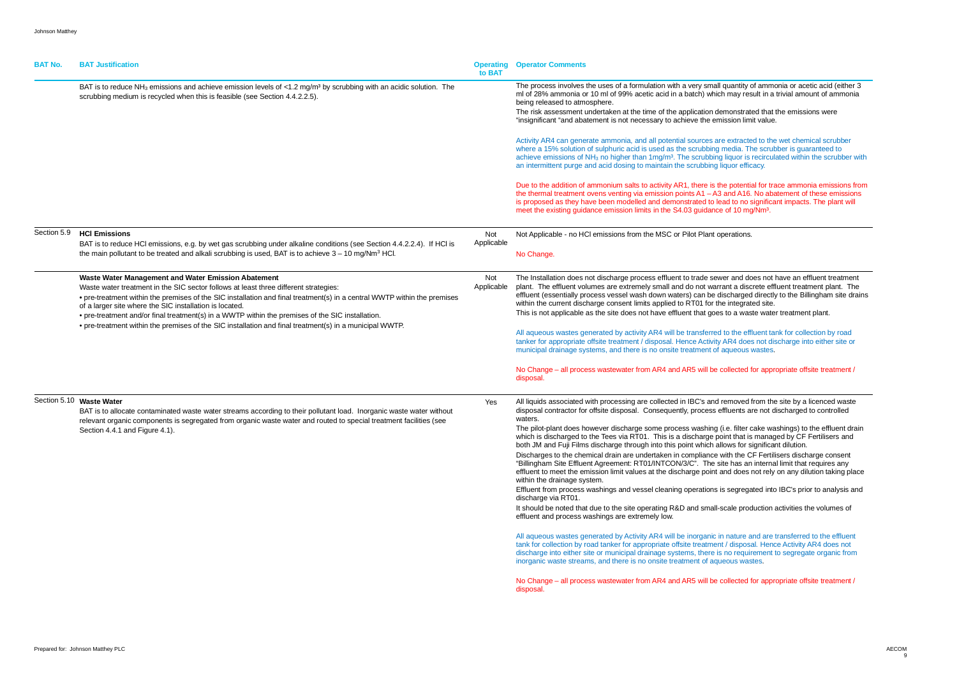| <b>BAT No.</b> | <b>BAT Justification</b>                                                                                                                                                                                                                                                                                                                                                                                                                                                                                                                          | <b>Operating</b><br>to BAT | <b>Operator Comments</b>                                                                                                                                                                                                                                                                                                                                                                                                                                                                                                                                                                                                                                                                                                                                                                                                                                                                                                                                                                                                                                                                                                                                                             |
|----------------|---------------------------------------------------------------------------------------------------------------------------------------------------------------------------------------------------------------------------------------------------------------------------------------------------------------------------------------------------------------------------------------------------------------------------------------------------------------------------------------------------------------------------------------------------|----------------------------|--------------------------------------------------------------------------------------------------------------------------------------------------------------------------------------------------------------------------------------------------------------------------------------------------------------------------------------------------------------------------------------------------------------------------------------------------------------------------------------------------------------------------------------------------------------------------------------------------------------------------------------------------------------------------------------------------------------------------------------------------------------------------------------------------------------------------------------------------------------------------------------------------------------------------------------------------------------------------------------------------------------------------------------------------------------------------------------------------------------------------------------------------------------------------------------|
|                | BAT is to reduce NH <sub>3</sub> emissions and achieve emission levels of <1.2 mg/m <sup>3</sup> by scrubbing with an acidic solution. The<br>scrubbing medium is recycled when this is feasible (see Section 4.4.2.2.5).                                                                                                                                                                                                                                                                                                                         |                            | The process involves the uses of a formulation with a very small<br>ml of 28% ammonia or 10 ml of 99% acetic acid in a batch) whic<br>being released to atmosphere.<br>The risk assessment undertaken at the time of the application de<br>"insignificant "and abatement is not necessary to achieve the em<br>Activity AR4 can generate ammonia, and all potential sources are<br>where a 15% solution of sulphuric acid is used as the scrubbing<br>achieve emissions of NH <sub>3</sub> no higher than 1mg/m <sup>3</sup> . The scrubbing<br>an intermittent purge and acid dosing to maintain the scrubbing I<br>Due to the addition of ammonium salts to activity AR1, there is the<br>the thermal treatment ovens venting via emission points A1 - A3<br>is proposed as they have been modelled and demonstrated to le<br>meet the existing guidance emission limits in the S4.03 guidance                                                                                                                                                                                                                                                                                     |
| Section 5.9    | <b>HCI Emissions</b><br>BAT is to reduce HCI emissions, e.g. by wet gas scrubbing under alkaline conditions (see Section 4.4.2.2.4). If HCI is<br>the main pollutant to be treated and alkali scrubbing is used, BAT is to achieve $3 - 10$ mg/Nm <sup>3</sup> HCl.                                                                                                                                                                                                                                                                               | Not<br>Applicable          | Not Applicable - no HCI emissions from the MSC or Pilot Plant o<br>No Change.                                                                                                                                                                                                                                                                                                                                                                                                                                                                                                                                                                                                                                                                                                                                                                                                                                                                                                                                                                                                                                                                                                        |
|                | Waste Water Management and Water Emission Abatement<br>Waste water treatment in the SIC sector follows at least three different strategies:<br>• pre-treatment within the premises of the SIC installation and final treatment(s) in a central WWTP within the premises<br>of a larger site where the SIC installation is located.<br>• pre-treatment and/or final treatment(s) in a WWTP within the premises of the SIC installation.<br>• pre-treatment within the premises of the SIC installation and final treatment(s) in a municipal WWTP. | Not<br>Applicable          | The Installation does not discharge process effluent to trade sew<br>plant. The effluent volumes are extremely small and do not warr<br>effluent (essentially process vessel wash down waters) can be d<br>within the current discharge consent limits applied to RT01 for th<br>This is not applicable as the site does not have effluent that goes<br>All aqueous wastes generated by activity AR4 will be transferred<br>tanker for appropriate offsite treatment / disposal. Hence Activity<br>municipal drainage systems, and there is no onsite treatment of<br>No Change - all process wastewater from AR4 and AR5 will be<br>disposal.                                                                                                                                                                                                                                                                                                                                                                                                                                                                                                                                       |
|                | Section 5.10 Waste Water<br>BAT is to allocate contaminated waste water streams according to their pollutant load. Inorganic waste water without<br>relevant organic components is segregated from organic waste water and routed to special treatment facilities (see<br>Section 4.4.1 and Figure 4.1).                                                                                                                                                                                                                                          | Yes                        | All liquids associated with processing are collected in IBC's and<br>disposal contractor for offsite disposal. Consequently, process e<br>waters.<br>The pilot-plant does however discharge some process washing<br>which is discharged to the Tees via RT01. This is a discharge po<br>both JM and Fuji Films discharge through into this point which al<br>Discharges to the chemical drain are undertaken in compliance<br>"Billingham Site Effluent Agreement: RT01/INTCON/3/C". The s<br>effluent to meet the emission limit values at the discharge point a<br>within the drainage system.<br>Effluent from process washings and vessel cleaning operations i<br>discharge via RT01.<br>It should be noted that due to the site operating R&D and small-<br>effluent and process washings are extremely low.<br>All aqueous wastes generated by Activity AR4 will be inorganic in<br>tank for collection by road tanker for appropriate offsite treatmen<br>discharge into either site or municipal drainage systems, there is<br>inorganic waste streams, and there is no onsite treatment of aqu<br>No Change - all process wastewater from AR4 and AR5 will be<br>disposal. |

I quantity of ammonia or acetic acid (either 3 ch may result in a trivial amount of ammonia

emonstrated that the emissions were nission limit value.

re extracted to the wet chemical scrubber media. The scrubber is quaranteed to g liquor is recirculated within the scrubber with liquor efficacy.

he potential for trace ammonia emissions from the theoremal treatment of these emissions 3 and A16. No abatement of these emissions ead to no significant impacts. The plant will e of 10 mg/ $N<sub>m³</sub>$ .

operations.

wer and does not have an effluent treatment rant a discrete effluent treatment plant. The discharged directly to the Billingham site drains we integrated site.

s to a waste water treatment plant.

I to the effluent tank for collection by road AR4 does not discharge into either site or aqueous wastes.

collected for appropriate offsite treatment /

removed from the site by a licenced waste effluents are not discharged to controlled

(i.e. filter cake washings) to the effluent drain which is discharged by CF Fertilisers and oint that is managed by CF Fertilisers and Illows for significant dilution.

with the CF Fertilisers discharge consent site has an internal limit that requires any and does not rely on any dilution taking place

is segregated into IBC's prior to analysis and

scale production activities the volumes of

in nature and are transferred to the effluent nt / disposal. Hence Activity AR4 does not s no requirement to segregate organic from ueous wastes.

collected for appropriate offsite treatment /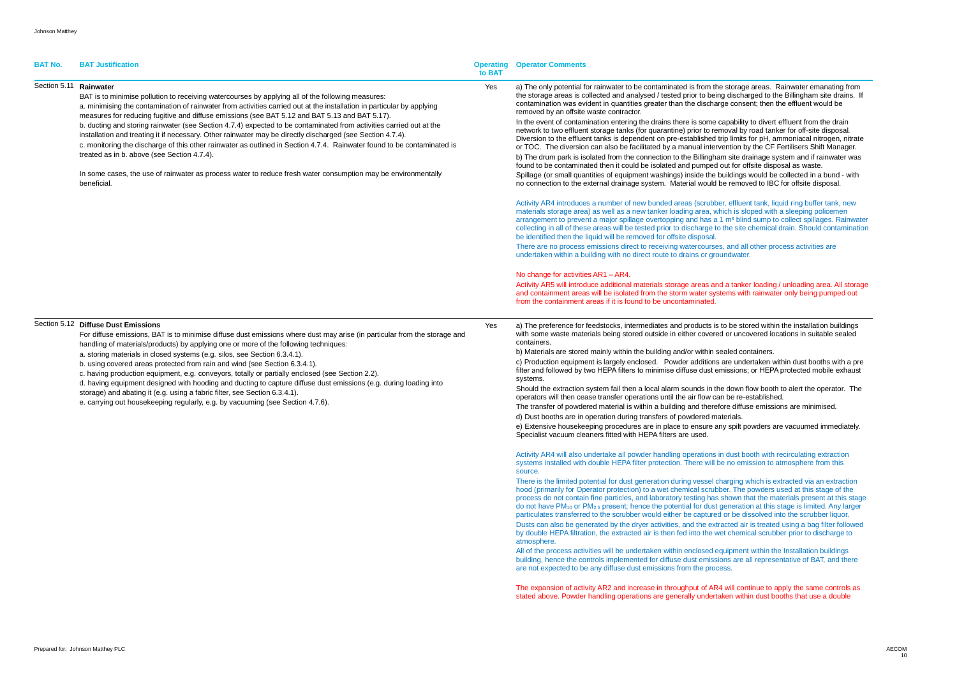| <b>BAT No.</b>         | <b>BAT Justification</b>                                                                                                                                                                                                                                                                                                                                                                                                                                                                                                                                                                                                                                                                                                                                                                                                                                                     | <b>Operating</b><br>to BAT | <b>Operator Comments</b>                                                                                                                                                                                                                                                                                                                                                                                                                                                                                                                                                                                                                                                                                                                                                                                                                                                                                                                                                                                                                                                                                                                                                                                                                                                                                                                                                                                                                                                                                                                                                                                                                                                                                                                                                                                                                                                                                                                                                                                                |
|------------------------|------------------------------------------------------------------------------------------------------------------------------------------------------------------------------------------------------------------------------------------------------------------------------------------------------------------------------------------------------------------------------------------------------------------------------------------------------------------------------------------------------------------------------------------------------------------------------------------------------------------------------------------------------------------------------------------------------------------------------------------------------------------------------------------------------------------------------------------------------------------------------|----------------------------|-------------------------------------------------------------------------------------------------------------------------------------------------------------------------------------------------------------------------------------------------------------------------------------------------------------------------------------------------------------------------------------------------------------------------------------------------------------------------------------------------------------------------------------------------------------------------------------------------------------------------------------------------------------------------------------------------------------------------------------------------------------------------------------------------------------------------------------------------------------------------------------------------------------------------------------------------------------------------------------------------------------------------------------------------------------------------------------------------------------------------------------------------------------------------------------------------------------------------------------------------------------------------------------------------------------------------------------------------------------------------------------------------------------------------------------------------------------------------------------------------------------------------------------------------------------------------------------------------------------------------------------------------------------------------------------------------------------------------------------------------------------------------------------------------------------------------------------------------------------------------------------------------------------------------------------------------------------------------------------------------------------------------|
| Section 5.11 Rainwater | BAT is to minimise pollution to receiving watercourses by applying all of the following measures:<br>a. minimising the contamination of rainwater from activities carried out at the installation in particular by applying<br>measures for reducing fugitive and diffuse emissions (see BAT 5.12 and BAT 5.13 and BAT 5.17).<br>b. ducting and storing rainwater (see Section 4.7.4) expected to be contaminated from activities carried out at the<br>installation and treating it if necessary. Other rainwater may be directly discharged (see Section 4.7.4).<br>c. monitoring the discharge of this other rainwater as outlined in Section 4.7.4. Rainwater found to be contaminated is<br>treated as in b. above (see Section 4.7.4).<br>In some cases, the use of rainwater as process water to reduce fresh water consumption may be environmentally<br>beneficial. | Yes                        | a) The only potential for rainwater to be contaminated is from the stora<br>the storage areas is collected and analysed / tested prior to being disch<br>contamination was evident in quantities greater than the discharge con<br>removed by an offsite waste contractor.<br>In the event of contamination entering the drains there is some capabili<br>network to two effluent storage tanks (for quarantine) prior to removal b<br>Diversion to the effluent tanks is dependent on pre-established trip limit<br>or TOC. The diversion can also be facilitated by a manual intervention<br>b) The drum park is isolated from the connection to the Billingham site<br>found to be contaminated then it could be isolated and pumped out for<br>Spillage (or small quantities of equipment washings) inside the building<br>no connection to the external drainage system. Material would be reme<br>Activity AR4 introduces a number of new bunded areas (scrubber, efflu<br>materials storage area) as well as a new tanker loading area, which is a<br>arrangement to prevent a major spillage overtopping and has a 1 m <sup>3</sup> bl<br>collecting in all of these areas will be tested prior to discharge to the sit<br>be identified then the liquid will be removed for offsite disposal.<br>There are no process emissions direct to receiving watercourses, and a<br>undertaken within a building with no direct route to drains or groundwat<br>No change for activities AR1 - AR4.<br>Activity AR5 will introduce additional materials storage areas and a tan<br>and containment areas will be isolated from the storm water systems w<br>from the containment areas if it is found to be uncontaminated.                                                                                                                                                                                                                                                                                             |
|                        | Section 5.12 Diffuse Dust Emissions<br>For diffuse emissions, BAT is to minimise diffuse dust emissions where dust may arise (in particular from the storage and<br>handling of materials/products) by applying one or more of the following techniques:<br>a. storing materials in closed systems (e.g. silos, see Section 6.3.4.1).<br>b. using covered areas protected from rain and wind (see Section 6.3.4.1).<br>c. having production equipment, e.g. conveyors, totally or partially enclosed (see Section 2.2).<br>d. having equipment designed with hooding and ducting to capture diffuse dust emissions (e.g. during loading into<br>storage) and abating it (e.g. using a fabric filter, see Section 6.3.4.1).<br>e. carrying out housekeeping regularly, e.g. by vacuuming (see Section 4.7.6).                                                                 | Yes                        | a) The preference for feedstocks, intermediates and products is to be s<br>with some waste materials being stored outside in either covered or un<br>containers.<br>b) Materials are stored mainly within the building and/or within sealed c<br>c) Production equipment is largely enclosed. Powder additions are un<br>filter and followed by two HEPA filters to minimise diffuse dust emission<br>systems.<br>Should the extraction system fail then a local alarm sounds in the down<br>operators will then cease transfer operations until the air flow can be re<br>The transfer of powdered material is within a building and therefore diff<br>d) Dust booths are in operation during transfers of powdered materials.<br>e) Extensive housekeeping procedures are in place to ensure any spilt<br>Specialist vacuum cleaners fitted with HEPA filters are used.<br>Activity AR4 will also undertake all powder handling operations in dust<br>systems installed with double HEPA filter protection. There will be no er<br>source.<br>There is the limited potential for dust generation during vessel charging<br>hood (primarily for Operator protection) to a wet chemical scrubber. The<br>process do not contain fine particles, and laboratory testing has shown<br>do not have PM <sub>10</sub> or PM <sub>2.5</sub> present; hence the potential for dust genera<br>particulates transferred to the scrubber would either be captured or be<br>Dusts can also be generated by the dryer activities, and the extracted a<br>by double HEPA filtration, the extracted air is then fed into the wet chen<br>atmosphere.<br>All of the process activities will be undertaken within enclosed equipme<br>building, hence the controls implemented for diffuse dust emissions are<br>are not expected to be any diffuse dust emissions from the process.<br>The expansion of activity AR2 and increase in throughput of AR4 will co<br>stated above. Powder handling operations are generally undertaken wi |

 $\theta$  storage areas. Rainwater emanating from g discharged to the Billingham site drains. If  $\tilde{\mathbf{q}}$ e consent: then the effluent would be

apability to divert effluent from the drain noval by road tanker for off-site disposal. rip limits for pH, ammoniacal nitrogen, nitrate ention by the CF Fertilisers Shift Manager. im site drainage system and if rainwater was but for offsite disposal as waste. uildings would be collected in a bund - with be removed to IBC for offsite disposal.

er, effluent tank, liquid ring buffer tank, new ich is sloped with a sleeping policemen m<sup>3</sup> blind sump to collect spillages. Rainwater the site chemical drain. Should contamination

, and all other process activities are undwater.

### I a tanker loading / unloading area. All storage ems with rainwater only being pumped out

to be stored within the installation buildings or uncovered locations in suitable sealed

ealed containers.

are undertaken within dust booths with a pre missions; or HEPA protected mobile exhaust

e down flow booth to alert the operator. The be re-established.

ore diffuse emissions are minimised.

ny spilt powders are vacuumed immediately.

dust booth with recirculating extraction e no emission to atmosphere from this

narging which is extracted via an extraction her. The powders used at this stage of the shown that the materials present at this stage generation at this stage is limited. Any larger or be dissolved into the scrubber liquor. acted air is treated using a bag filter followed et chemical scrubber prior to discharge to

quipment within the Installation buildings  $\overline{\text{S}}$  in are all representative of BAT, and there

will continue to apply the same controls as  $\frac{1}{2}$  ken within dust booths that use a double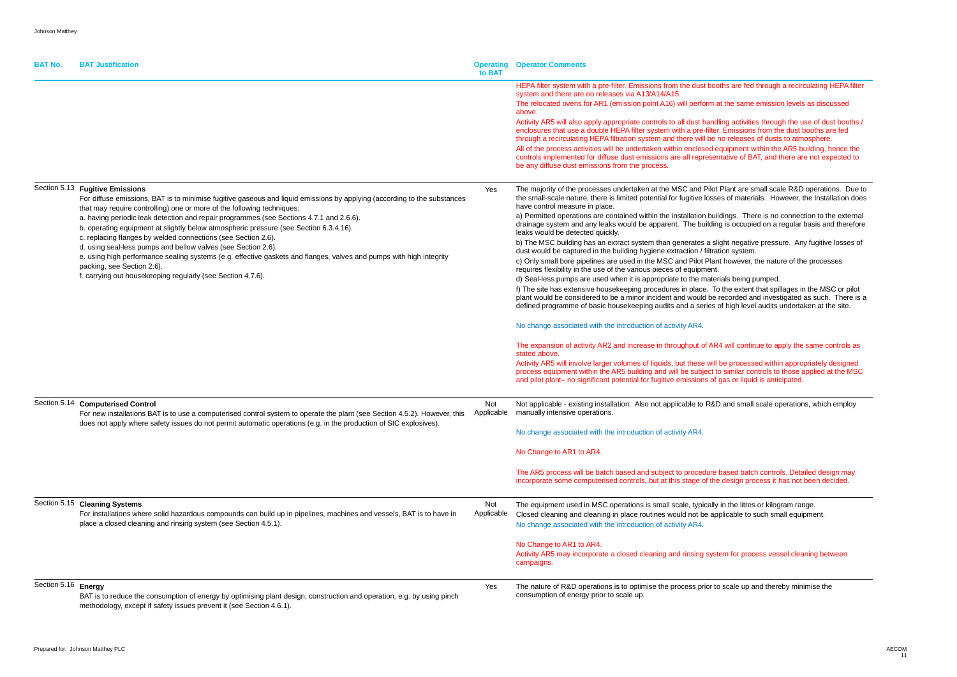ths are fed through a recirculating HEPA filter.

the same emission levels as discussed

ling activities through the use of dust booths / . Emissions from the dust booths are fed ho releases of dusts to atmosphere. quipment within the AR5 building, hence the itative of BAT, and there are not expected to

Plant are small scale R&D operations. Due to es of materials. However, the Installation does

dings. There is no connection to the external  $\mu$  is occupied on a regular basis and therefore

ght negative pressure. Any fugitive losses of tion system.

t however, the nature of the processes

ials being pumped.

the extent that spillages in the MSC or pilot recorded and investigated as such. There is a of high level audits undertaken at the site.

will continue to apply the same controls as

be processed within appropriately designed but similar controls to those applied at the MSC gas or liquid is anticipated.

) and small scale operations, which employ

based batch controls. Detailed design may design process it has not been decided.

in the litres or kilogram range. plicable to such small equipment.

em for process vessel cleaning between

 $\alpha$  scale up and thereby minimise the

| <b>BAT No.</b>      | <b>BAT Justification</b>                                                                                                                                                                                                                                                                                                                                                                                                                                                                                                                                                                                                                                                                                                                                                        | <b>Operating</b><br>to BAT | <b>Operator Comments</b>                                                                                                                                                                                                                                                                                                                                                                                                                                                                                                                                                                                                                                                                                                                                                                                                                                                                                                                                                                                                                                                                                                                                                                                                                                                                            |
|---------------------|---------------------------------------------------------------------------------------------------------------------------------------------------------------------------------------------------------------------------------------------------------------------------------------------------------------------------------------------------------------------------------------------------------------------------------------------------------------------------------------------------------------------------------------------------------------------------------------------------------------------------------------------------------------------------------------------------------------------------------------------------------------------------------|----------------------------|-----------------------------------------------------------------------------------------------------------------------------------------------------------------------------------------------------------------------------------------------------------------------------------------------------------------------------------------------------------------------------------------------------------------------------------------------------------------------------------------------------------------------------------------------------------------------------------------------------------------------------------------------------------------------------------------------------------------------------------------------------------------------------------------------------------------------------------------------------------------------------------------------------------------------------------------------------------------------------------------------------------------------------------------------------------------------------------------------------------------------------------------------------------------------------------------------------------------------------------------------------------------------------------------------------|
|                     |                                                                                                                                                                                                                                                                                                                                                                                                                                                                                                                                                                                                                                                                                                                                                                                 |                            | HEPA filter system with a pre-filter. Emissions from the dust boot<br>system and there are no releases via A13/A14/A15.<br>The relocated ovens for AR1 (emission point A16) will perform at<br>above.<br>Activity AR5 will also apply appropriate controls to all dust handli<br>enclosures that use a double HEPA filter system with a pre-filter.<br>through a recirculating HEPA filtration system and there will be no<br>All of the process activities will be undertaken within enclosed ec<br>controls implemented for diffuse dust emissions are all represent<br>be any diffuse dust emissions from the process.                                                                                                                                                                                                                                                                                                                                                                                                                                                                                                                                                                                                                                                                           |
|                     | Section 5.13 Fugitive Emissions<br>For diffuse emissions, BAT is to minimise fugitive gaseous and liquid emissions by applying (according to the substances<br>that may require controlling) one or more of the following techniques:<br>a. having periodic leak detection and repair programmes (see Sections 4.7.1 and 2.6.6).<br>b. operating equipment at slightly below atmospheric pressure (see Section 6.3.4.16).<br>c. replacing flanges by welded connections (see Section 2.6).<br>d. using seal-less pumps and bellow valves (see Section 2.6).<br>e. using high performance sealing systems (e.g. effective gaskets and flanges, valves and pumps with high integrity<br>packing, see Section 2.6).<br>f. carrying out housekeeping regularly (see Section 4.7.6). | Yes                        | The majority of the processes undertaken at the MSC and Pilot F<br>the small-scale nature, there is limited potential for fugitive losses<br>have control measure in place.<br>a) Permitted operations are contained within the installation build<br>drainage system and any leaks would be apparent. The building<br>leaks would be detected quickly.<br>b) The MSC building has an extract system than generates a slig<br>dust would be captured in the building hygiene extraction / filtrati<br>c) Only small bore pipelines are used in the MSC and Pilot Plant<br>requires flexibility in the use of the various pieces of equipment.<br>d) Seal-less pumps are used when it is appropriate to the materia<br>f) The site has extensive housekeeping procedures in place. To<br>plant would be considered to be a minor incident and would be re<br>defined programme of basic housekeeping audits and a series of<br>No change associated with the introduction of activity AR4.<br>The expansion of activity AR2 and increase in throughput of AR4<br>stated above.<br>Activity AR5 will involve larger volumes of liquids, but these will b<br>process equipment within the AR5 building and will be subject to<br>and pilot plant- no significant potential for fugitive emissions of g |
|                     | Section 5.14 Computerised Control<br>For new installations BAT is to use a computerised control system to operate the plant (see Section 4.5.2). However, this<br>does not apply where safety issues do not permit automatic operations (e.g. in the production of SIC explosives).                                                                                                                                                                                                                                                                                                                                                                                                                                                                                             | Not<br>Applicable          | Not applicable - existing installation. Also not applicable to R&D<br>manually intensive operations.<br>No change associated with the introduction of activity AR4.<br>No Change to AR1 to AR4.<br>The AR5 process will be batch based and subject to procedure b<br>incorporate some computerised controls, but at this stage of the                                                                                                                                                                                                                                                                                                                                                                                                                                                                                                                                                                                                                                                                                                                                                                                                                                                                                                                                                               |
|                     | Section 5.15 Cleaning Systems<br>For installations where solid hazardous compounds can build up in pipelines, machines and vessels, BAT is to have in<br>place a closed cleaning and rinsing system (see Section 4.5.1).                                                                                                                                                                                                                                                                                                                                                                                                                                                                                                                                                        | Not<br>Applicable          | The equipment used in MSC operations is small scale, typically i<br>Closed cleaning and cleaning in place routines would not be app<br>No change associated with the introduction of activity AR4.<br>No Change to AR1 to AR4.<br>Activity AR5 may incorporate a closed cleaning and rinsing syste<br>campaigns.                                                                                                                                                                                                                                                                                                                                                                                                                                                                                                                                                                                                                                                                                                                                                                                                                                                                                                                                                                                    |
| Section 5.16 Energy | BAT is to reduce the consumption of energy by optimising plant design, construction and operation, e.g. by using pinch<br>methodology, except if safety issues prevent it (see Section 4.6.1).                                                                                                                                                                                                                                                                                                                                                                                                                                                                                                                                                                                  | Yes                        | The nature of R&D operations is to optimise the process prior to<br>consumption of energy prior to scale up.                                                                                                                                                                                                                                                                                                                                                                                                                                                                                                                                                                                                                                                                                                                                                                                                                                                                                                                                                                                                                                                                                                                                                                                        |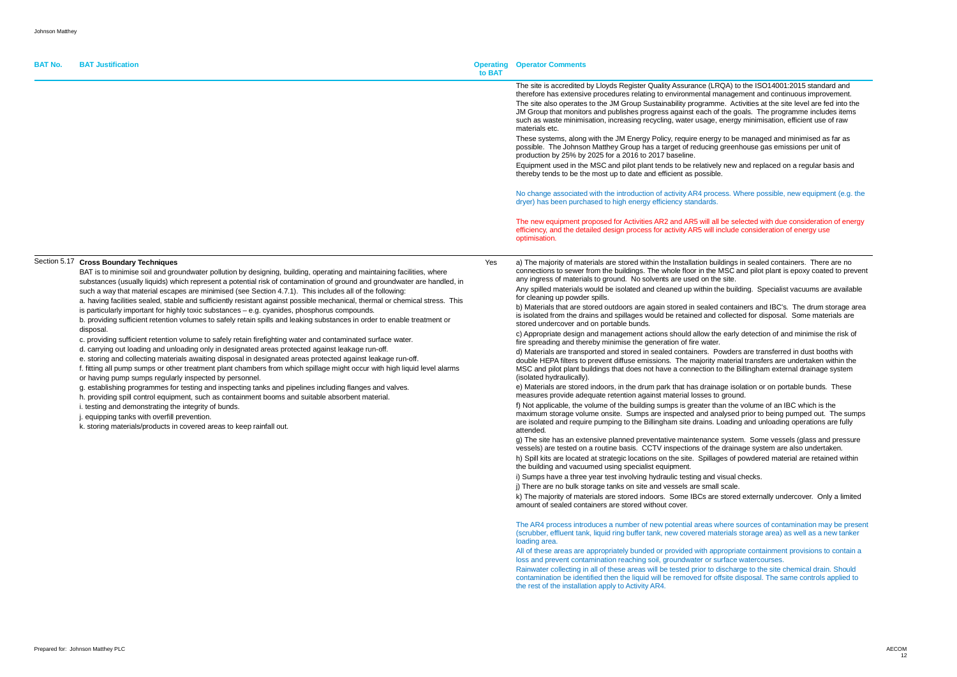**BAT No. BAT Justification** 

to the ISO14001:2015 standard and ement and continuous improvement. ctivities at the site level are fed into the goals. The programme includes items y minimisation, efficient use of raw

e managed and minimised as far as  $n$ house gas emissions per unit of

and replaced on a regular basis and

Vhere possible, new equipment (e.g. the

#### elected with due consideration of energy consideration of energy use

in sealed containers. There are no and pilot plant is epoxy coated to prevent

Iding. Specialist vacuums are available

ainers and IBC's. The drum storage areal ted for disposal. Some materials are

v detection of and minimise the risk of

rs are transferred in dust booths with ial transfers are undertaken within the Billingham external drainage system

olation or on portable bunds. These

volume of an IBC which is the d prior to being pumped out. The sumps are isolated and unloading operations are fully

em. Some vessels (glass and pressure nage system are also undertaken. powdered material are retained within

d externally undercover. Only a limited

sources of contamination may be present storage area) as well as a new tanker

ate containment provisions to contain a water courses.

Section 5.17 **Cross Boundary Techniques**

# **Commentants**

| <b>DAI JUSUIIUAUUII</b>                                                                                                                                                                                                                                                                                                                                                                                                                                                                                                                                                                                                                                                                                                                                                                                                                                                                                                                                                                                                                                                                                                                                                                                                                                                                                                                                                                                                                                                                                                                                                                                                                                                                              | to BAT | Operating Operator Comments                                                                                                                                                                                                                                                                                                                                                                                                                                                                                                                                                                                                                                                                                                                                                                                                                                                                                                                                                                                                                                                                                                                                                                                                                                                                                                                                                                                                                                                                                                                                                                                                                                                                                                                                                                                                                                                                                                                                                                                                                                                                                                                                                                                                                                                                                                                                                                                     |
|------------------------------------------------------------------------------------------------------------------------------------------------------------------------------------------------------------------------------------------------------------------------------------------------------------------------------------------------------------------------------------------------------------------------------------------------------------------------------------------------------------------------------------------------------------------------------------------------------------------------------------------------------------------------------------------------------------------------------------------------------------------------------------------------------------------------------------------------------------------------------------------------------------------------------------------------------------------------------------------------------------------------------------------------------------------------------------------------------------------------------------------------------------------------------------------------------------------------------------------------------------------------------------------------------------------------------------------------------------------------------------------------------------------------------------------------------------------------------------------------------------------------------------------------------------------------------------------------------------------------------------------------------------------------------------------------------|--------|-----------------------------------------------------------------------------------------------------------------------------------------------------------------------------------------------------------------------------------------------------------------------------------------------------------------------------------------------------------------------------------------------------------------------------------------------------------------------------------------------------------------------------------------------------------------------------------------------------------------------------------------------------------------------------------------------------------------------------------------------------------------------------------------------------------------------------------------------------------------------------------------------------------------------------------------------------------------------------------------------------------------------------------------------------------------------------------------------------------------------------------------------------------------------------------------------------------------------------------------------------------------------------------------------------------------------------------------------------------------------------------------------------------------------------------------------------------------------------------------------------------------------------------------------------------------------------------------------------------------------------------------------------------------------------------------------------------------------------------------------------------------------------------------------------------------------------------------------------------------------------------------------------------------------------------------------------------------------------------------------------------------------------------------------------------------------------------------------------------------------------------------------------------------------------------------------------------------------------------------------------------------------------------------------------------------------------------------------------------------------------------------------------------------|
|                                                                                                                                                                                                                                                                                                                                                                                                                                                                                                                                                                                                                                                                                                                                                                                                                                                                                                                                                                                                                                                                                                                                                                                                                                                                                                                                                                                                                                                                                                                                                                                                                                                                                                      |        | The site is accredited by Lloyds Register Quality Assurance (LRQA) to the IS<br>therefore has extensive procedures relating to environmental management a<br>The site also operates to the JM Group Sustainability programme. Activities<br>JM Group that monitors and publishes progress against each of the goals. T<br>such as waste minimisation, increasing recycling, water usage, energy minim<br>materials etc.<br>These systems, along with the JM Energy Policy, require energy to be managed<br>possible. The Johnson Matthey Group has a target of reducing greenhouse<br>production by 25% by 2025 for a 2016 to 2017 baseline.<br>Equipment used in the MSC and pilot plant tends to be relatively new and rep<br>thereby tends to be the most up to date and efficient as possible.                                                                                                                                                                                                                                                                                                                                                                                                                                                                                                                                                                                                                                                                                                                                                                                                                                                                                                                                                                                                                                                                                                                                                                                                                                                                                                                                                                                                                                                                                                                                                                                                              |
|                                                                                                                                                                                                                                                                                                                                                                                                                                                                                                                                                                                                                                                                                                                                                                                                                                                                                                                                                                                                                                                                                                                                                                                                                                                                                                                                                                                                                                                                                                                                                                                                                                                                                                      |        | No change associated with the introduction of activity AR4 process. Where possible as<br>dryer) has been purchased to high energy efficiency standards.                                                                                                                                                                                                                                                                                                                                                                                                                                                                                                                                                                                                                                                                                                                                                                                                                                                                                                                                                                                                                                                                                                                                                                                                                                                                                                                                                                                                                                                                                                                                                                                                                                                                                                                                                                                                                                                                                                                                                                                                                                                                                                                                                                                                                                                         |
|                                                                                                                                                                                                                                                                                                                                                                                                                                                                                                                                                                                                                                                                                                                                                                                                                                                                                                                                                                                                                                                                                                                                                                                                                                                                                                                                                                                                                                                                                                                                                                                                                                                                                                      |        | The new equipment proposed for Activities AR2 and AR5 will all be selected<br>efficiency, and the detailed design process for activity AR5 will include consid<br>optimisation.                                                                                                                                                                                                                                                                                                                                                                                                                                                                                                                                                                                                                                                                                                                                                                                                                                                                                                                                                                                                                                                                                                                                                                                                                                                                                                                                                                                                                                                                                                                                                                                                                                                                                                                                                                                                                                                                                                                                                                                                                                                                                                                                                                                                                                 |
| <b>Cross Boundary Techniques</b><br>BAT is to minimise soil and groundwater pollution by designing, building, operating and maintaining facilities, where<br>substances (usually liquids) which represent a potential risk of contamination of ground and groundwater are handled, in<br>such a way that material escapes are minimised (see Section 4.7.1). This includes all of the following:<br>a. having facilities sealed, stable and sufficiently resistant against possible mechanical, thermal or chemical stress. This<br>is particularly important for highly toxic substances - e.g. cyanides, phosphorus compounds.<br>b. providing sufficient retention volumes to safely retain spills and leaking substances in order to enable treatment or<br>disposal.<br>c. providing sufficient retention volume to safely retain firefighting water and contaminated surface water.<br>d. carrying out loading and unloading only in designated areas protected against leakage run-off.<br>e. storing and collecting materials awaiting disposal in designated areas protected against leakage run-off.<br>f. fitting all pump sumps or other treatment plant chambers from which spillage might occur with high liquid level alarms<br>or having pump sumps regularly inspected by personnel.<br>g. establishing programmes for testing and inspecting tanks and pipelines including flanges and valves.<br>h. providing spill control equipment, such as containment booms and suitable absorbent material.<br>i. testing and demonstrating the integrity of bunds.<br>j. equipping tanks with overfill prevention.<br>k. storing materials/products in covered areas to keep rainfall out. | Yes    | a) The majority of materials are stored within the Installation buildings in seal<br>connections to sewer from the buildings. The whole floor in the MSC and pilo<br>any ingress of materials to ground. No solvents are used on the site.<br>Any spilled materials would be isolated and cleaned up within the building. S<br>for cleaning up powder spills.<br>b) Materials that are stored outdoors are again stored in sealed containers ar<br>is isolated from the drains and spillages would be retained and collected for o<br>stored undercover and on portable bunds.<br>c) Appropriate design and management actions should allow the early detect<br>fire spreading and thereby minimise the generation of fire water.<br>d) Materials are transported and stored in sealed containers. Powders are tra<br>double HEPA filters to prevent diffuse emissions. The majority material trans<br>MSC and pilot plant buildings that does not have a connection to the Billingha<br>(isolated hydraulically).<br>e) Materials are stored indoors, in the drum park that has drainage isolation of<br>measures provide adequate retention against material losses to ground.<br>f) Not applicable, the volume of the building sumps is greater than the volume<br>maximum storage volume onsite. Sumps are inspected and analysed prior to<br>are isolated and require pumping to the Billingham site drains. Loading and u<br>attended.<br>g) The site has an extensive planned preventative maintenance system. Son<br>vessels) are tested on a routine basis. CCTV inspections of the drainage sys<br>h) Spill kits are located at strategic locations on the site. Spillages of powder<br>the building and vacuumed using specialist equipment.<br>i) Sumps have a three year test involving hydraulic testing and visual checks.<br>j) There are no bulk storage tanks on site and vessels are small scale.<br>k) The majority of materials are stored indoors. Some IBCs are stored extern<br>amount of sealed containers are stored without cover.<br>The AR4 process introduces a number of new potential areas where sources<br>(scrubber, effluent tank, liquid ring buffer tank, new covered materials storage<br>loading area.<br>All of these areas are appropriately bunded or provided with appropriate cont<br>loss and prevent contamination reaching soil, groundwater or surface waterco |

Rainwater collecting in all of these areas will be tested prior to discharge to the site chemical drain. Should contamination be identified then the liquid will be removed for offsite disposal. The same controls applied to the rest of the installation apply to Activity AR4.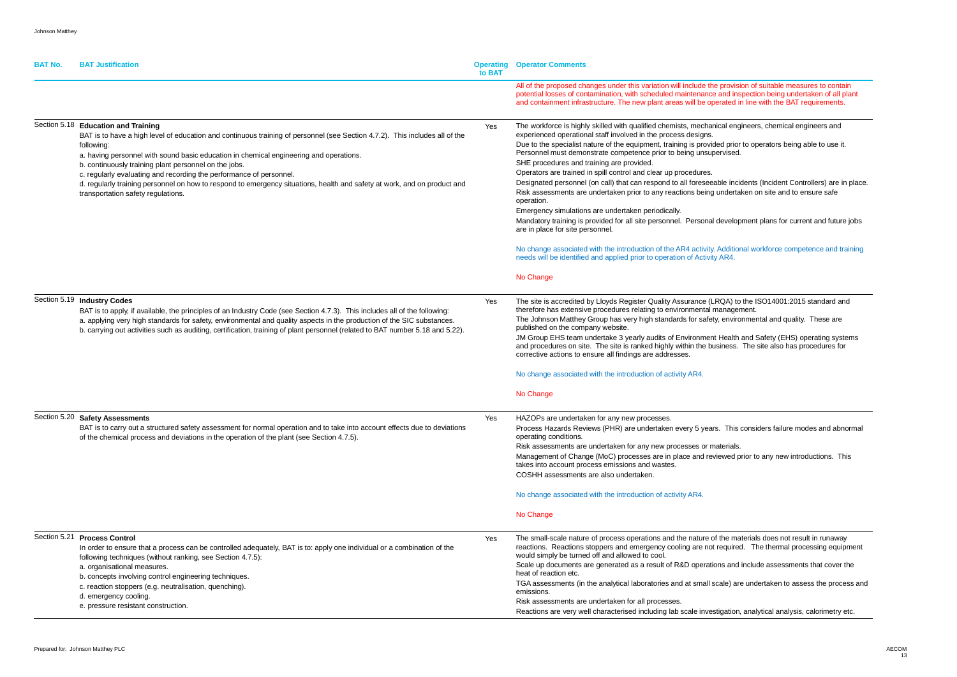| <b>BAT No.</b> | <b>BAT Justification</b>                                                                                                                                                                                                                                                                                                                                                                                                                                                                                                                                                     | <b>Operating</b><br>to BAT | <b>Operator Comments</b>                                                                                                                                                                                                                                                                                                                                                                                                                                                                                                                                                                                                                                                                                                                                                                                                                                                                                                |
|----------------|------------------------------------------------------------------------------------------------------------------------------------------------------------------------------------------------------------------------------------------------------------------------------------------------------------------------------------------------------------------------------------------------------------------------------------------------------------------------------------------------------------------------------------------------------------------------------|----------------------------|-------------------------------------------------------------------------------------------------------------------------------------------------------------------------------------------------------------------------------------------------------------------------------------------------------------------------------------------------------------------------------------------------------------------------------------------------------------------------------------------------------------------------------------------------------------------------------------------------------------------------------------------------------------------------------------------------------------------------------------------------------------------------------------------------------------------------------------------------------------------------------------------------------------------------|
|                |                                                                                                                                                                                                                                                                                                                                                                                                                                                                                                                                                                              |                            | All of the proposed changes under this variation will include the provisi<br>potential losses of contamination, with scheduled maintenance and ins<br>and containment infrastructure. The new plant areas will be operated in                                                                                                                                                                                                                                                                                                                                                                                                                                                                                                                                                                                                                                                                                           |
|                | Section 5.18 Education and Training<br>BAT is to have a high level of education and continuous training of personnel (see Section 4.7.2). This includes all of the<br>following:<br>a. having personnel with sound basic education in chemical engineering and operations.<br>b. continuously training plant personnel on the jobs.<br>c. regularly evaluating and recording the performance of personnel.<br>d. regularly training personnel on how to respond to emergency situations, health and safety at work, and on product and<br>transportation safety regulations. | Yes                        | The workforce is highly skilled with qualified chemists, mechanical eng<br>experienced operational staff involved in the process designs.<br>Due to the specialist nature of the equipment, training is provided prior<br>Personnel must demonstrate competence prior to being unsupervised.<br>SHE procedures and training are provided.<br>Operators are trained in spill control and clear up procedures.<br>Designated personnel (on call) that can respond to all foreseeable inci<br>Risk assessments are undertaken prior to any reactions being underta<br>operation.<br>Emergency simulations are undertaken periodically.<br>Mandatory training is provided for all site personnel. Personal develop<br>are in place for site personnel.<br>No change associated with the introduction of the AR4 activity. Addition<br>needs will be identified and applied prior to operation of Activity AR4.<br>No Change |
|                | Section 5.19 Industry Codes<br>BAT is to apply, if available, the principles of an Industry Code (see Section 4.7.3). This includes all of the following:<br>a. applying very high standards for safety, environmental and quality aspects in the production of the SIC substances.<br>b. carrying out activities such as auditing, certification, training of plant personnel (related to BAT number 5.18 and 5.22).                                                                                                                                                        | Yes                        | The site is accredited by Lloyds Register Quality Assurance (LRQA) to<br>therefore has extensive procedures relating to environmental manager<br>The Johnson Matthey Group has very high standards for safety, enviro<br>published on the company website.<br>JM Group EHS team undertake 3 yearly audits of Environment Health<br>and procedures on site. The site is ranked highly within the business.<br>corrective actions to ensure all findings are addresses.<br>No change associated with the introduction of activity AR4.                                                                                                                                                                                                                                                                                                                                                                                    |
|                |                                                                                                                                                                                                                                                                                                                                                                                                                                                                                                                                                                              |                            | No Change                                                                                                                                                                                                                                                                                                                                                                                                                                                                                                                                                                                                                                                                                                                                                                                                                                                                                                               |
|                | Section 5.20 Safety Assessments<br>BAT is to carry out a structured safety assessment for normal operation and to take into account effects due to deviations<br>of the chemical process and deviations in the operation of the plant (see Section 4.7.5).                                                                                                                                                                                                                                                                                                                   | Yes                        | HAZOPs are undertaken for any new processes.<br>Process Hazards Reviews (PHR) are undertaken every 5 years. This<br>operating conditions.<br>Risk assessments are undertaken for any new processes or materials.<br>Management of Change (MoC) processes are in place and reviewed p<br>takes into account process emissions and wastes.<br>COSHH assessments are also undertaken.                                                                                                                                                                                                                                                                                                                                                                                                                                                                                                                                      |
|                |                                                                                                                                                                                                                                                                                                                                                                                                                                                                                                                                                                              |                            | No change associated with the introduction of activity AR4.                                                                                                                                                                                                                                                                                                                                                                                                                                                                                                                                                                                                                                                                                                                                                                                                                                                             |
|                |                                                                                                                                                                                                                                                                                                                                                                                                                                                                                                                                                                              |                            | No Change                                                                                                                                                                                                                                                                                                                                                                                                                                                                                                                                                                                                                                                                                                                                                                                                                                                                                                               |
|                | Section 5.21 Process Control<br>In order to ensure that a process can be controlled adequately, BAT is to: apply one individual or a combination of the<br>following techniques (without ranking, see Section 4.7.5):<br>a. organisational measures.<br>b. concepts involving control engineering techniques.<br>c. reaction stoppers (e.g. neutralisation, quenching).<br>d. emergency cooling.<br>e. pressure resistant construction.                                                                                                                                      | Yes                        | The small-scale nature of process operations and the nature of the ma<br>reactions. Reactions stoppers and emergency cooling are not required<br>would simply be turned off and allowed to cool.<br>Scale up documents are generated as a result of R&D operations and<br>heat of reaction etc.<br>TGA assessments (in the analytical laboratories and at small scale) are<br>emissions.<br>Risk assessments are undertaken for all processes.<br>Reactions are very well characterised including lab scale investigation.                                                                                                                                                                                                                                                                                                                                                                                              |

**Provision of suitable measures to contain** nd inspection being undertaken of all plant ated in line with the BAT requirements.

al engineers, chemical engineers and

d prior to operators being able to use it.<br>vised.

le incidents (Incident Controllers) are in place. ndertaken on site and to ensure safe

evelopment plans for current and future jobs

dditional workforce competence and training

QA) to the ISO14001:2015 standard and nagement. environmental and quality. These are

lealth and Safety (EHS) operating systems ness. The site also has procedures for

This considers failure modes and abnormal

wed prior to any new introductions. This

he materials does not result in runaway equired. The thermal processing equipment

s and include assessments that cover the

Ile) are undertaken to assess the process and

igation, analytical analysis, calorimetry etc.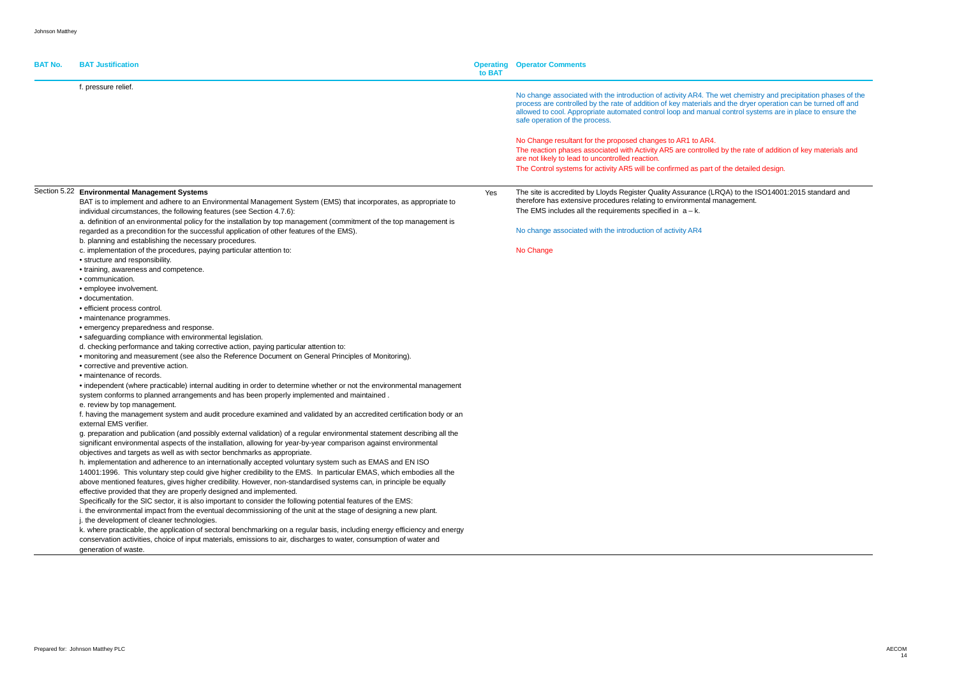| <b>BAT No.</b> | <b>BAT Justification</b>                                                                                                                           | to BAT | <b>Operating Operator Comments</b>                                                                                                                                                                                                                                                                                                                                            |
|----------------|----------------------------------------------------------------------------------------------------------------------------------------------------|--------|-------------------------------------------------------------------------------------------------------------------------------------------------------------------------------------------------------------------------------------------------------------------------------------------------------------------------------------------------------------------------------|
|                | f. pressure relief.                                                                                                                                |        |                                                                                                                                                                                                                                                                                                                                                                               |
|                |                                                                                                                                                    |        | No change associated with the introduction of activity AR4. The wet chemistry and precipitation phases of the<br>process are controlled by the rate of addition of key materials and the dryer operation can be turned off and<br>allowed to cool. Appropriate automated control loop and manual control systems are in place to ensure the<br>safe operation of the process. |
|                |                                                                                                                                                    |        | No Change resultant for the proposed changes to AR1 to AR4.                                                                                                                                                                                                                                                                                                                   |
|                |                                                                                                                                                    |        | The reaction phases associated with Activity AR5 are controlled by the rate of addition of key materials and<br>are not likely to lead to uncontrolled reaction.                                                                                                                                                                                                              |
|                |                                                                                                                                                    |        | The Control systems for activity AR5 will be confirmed as part of the detailed design.                                                                                                                                                                                                                                                                                        |
|                | Section 5.22 Environmental Management Systems                                                                                                      |        | The site is accredited by Lloyds Register Quality Assurance (LRQA) to the ISO14001:2015 standard and                                                                                                                                                                                                                                                                          |
|                | BAT is to implement and adhere to an Environmental Management System (EMS) that incorporates, as appropriate to                                    | Yes    | therefore has extensive procedures relating to environmental management.                                                                                                                                                                                                                                                                                                      |
|                | individual circumstances, the following features (see Section 4.7.6):                                                                              |        | The EMS includes all the requirements specified in $a - k$ .                                                                                                                                                                                                                                                                                                                  |
|                | a. definition of an environmental policy for the installation by top management (commitment of the top management is                               |        |                                                                                                                                                                                                                                                                                                                                                                               |
|                | regarded as a precondition for the successful application of other features of the EMS).<br>b. planning and establishing the necessary procedures. |        | No change associated with the introduction of activity AR4                                                                                                                                                                                                                                                                                                                    |
|                | c. implementation of the procedures, paying particular attention to:                                                                               |        | No Change                                                                                                                                                                                                                                                                                                                                                                     |
|                | • structure and responsibility.                                                                                                                    |        |                                                                                                                                                                                                                                                                                                                                                                               |
|                | • training, awareness and competence.<br>• communication.                                                                                          |        |                                                                                                                                                                                                                                                                                                                                                                               |
|                | · employee involvement.                                                                                                                            |        |                                                                                                                                                                                                                                                                                                                                                                               |
|                | · documentation.                                                                                                                                   |        |                                                                                                                                                                                                                                                                                                                                                                               |
|                | · efficient process control.                                                                                                                       |        |                                                                                                                                                                                                                                                                                                                                                                               |
|                | · maintenance programmes.                                                                                                                          |        |                                                                                                                                                                                                                                                                                                                                                                               |
|                | • emergency preparedness and response.                                                                                                             |        |                                                                                                                                                                                                                                                                                                                                                                               |
|                | • safeguarding compliance with environmental legislation.                                                                                          |        |                                                                                                                                                                                                                                                                                                                                                                               |
|                | d. checking performance and taking corrective action, paying particular attention to:                                                              |        |                                                                                                                                                                                                                                                                                                                                                                               |
|                | • monitoring and measurement (see also the Reference Document on General Principles of Monitoring).                                                |        |                                                                                                                                                                                                                                                                                                                                                                               |
|                | • corrective and preventive action.                                                                                                                |        |                                                                                                                                                                                                                                                                                                                                                                               |
|                | • maintenance of records.                                                                                                                          |        |                                                                                                                                                                                                                                                                                                                                                                               |
|                | • independent (where practicable) internal auditing in order to determine whether or not the environmental management                              |        |                                                                                                                                                                                                                                                                                                                                                                               |
|                | system conforms to planned arrangements and has been properly implemented and maintained.                                                          |        |                                                                                                                                                                                                                                                                                                                                                                               |
|                | e. review by top management.                                                                                                                       |        |                                                                                                                                                                                                                                                                                                                                                                               |
|                | f. having the management system and audit procedure examined and validated by an accredited certification body or an<br>external EMS verifier.     |        |                                                                                                                                                                                                                                                                                                                                                                               |
|                | g. preparation and publication (and possibly external validation) of a regular environmental statement describing all the                          |        |                                                                                                                                                                                                                                                                                                                                                                               |
|                | significant environmental aspects of the installation, allowing for year-by-year comparison against environmental                                  |        |                                                                                                                                                                                                                                                                                                                                                                               |
|                | objectives and targets as well as with sector benchmarks as appropriate.                                                                           |        |                                                                                                                                                                                                                                                                                                                                                                               |
|                | h. implementation and adherence to an internationally accepted voluntary system such as EMAS and EN ISO                                            |        |                                                                                                                                                                                                                                                                                                                                                                               |
|                | 14001:1996. This voluntary step could give higher credibility to the EMS. In particular EMAS, which embodies all the                               |        |                                                                                                                                                                                                                                                                                                                                                                               |
|                | above mentioned features, gives higher credibility. However, non-standardised systems can, in principle be equally                                 |        |                                                                                                                                                                                                                                                                                                                                                                               |
|                | effective provided that they are properly designed and implemented.                                                                                |        |                                                                                                                                                                                                                                                                                                                                                                               |
|                | Specifically for the SIC sector, it is also important to consider the following potential features of the EMS:                                     |        |                                                                                                                                                                                                                                                                                                                                                                               |
|                | i. the environmental impact from the eventual decommissioning of the unit at the stage of designing a new plant.                                   |        |                                                                                                                                                                                                                                                                                                                                                                               |
|                | j. the development of cleaner technologies.                                                                                                        |        |                                                                                                                                                                                                                                                                                                                                                                               |
|                | k. where practicable, the application of sectoral benchmarking on a regular basis, including energy efficiency and energy                          |        |                                                                                                                                                                                                                                                                                                                                                                               |
|                | conservation activities, choice of input materials, emissions to air, discharges to water, consumption of water and                                |        |                                                                                                                                                                                                                                                                                                                                                                               |
|                | generation of waste.                                                                                                                               |        |                                                                                                                                                                                                                                                                                                                                                                               |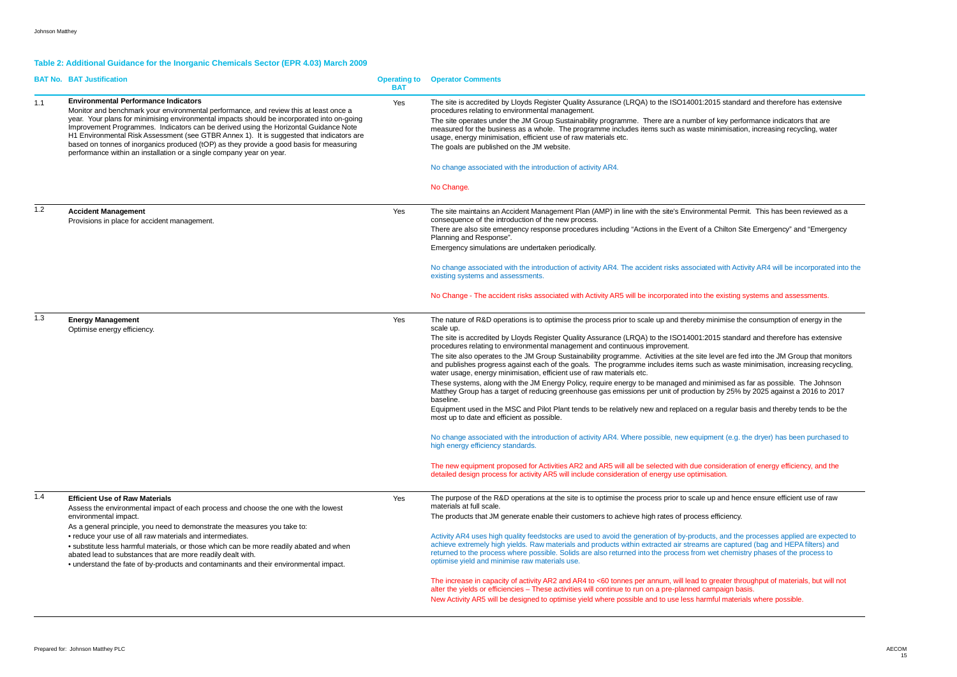### **Table 2: Additional Guidance for the Inorganic Chemicals Sector (EPR 4.03) March 2009**

|       | <b>BAT No. BAT Justification</b>                                                                                                                                                                                                                                                                                                                                                                                                                                                                                                                                                          | <b>Operating to</b><br><b>BAT</b> | <b>Operator Comments</b>                                                                                                                                                                                                                                                                                                                                                                                                                                             |
|-------|-------------------------------------------------------------------------------------------------------------------------------------------------------------------------------------------------------------------------------------------------------------------------------------------------------------------------------------------------------------------------------------------------------------------------------------------------------------------------------------------------------------------------------------------------------------------------------------------|-----------------------------------|----------------------------------------------------------------------------------------------------------------------------------------------------------------------------------------------------------------------------------------------------------------------------------------------------------------------------------------------------------------------------------------------------------------------------------------------------------------------|
| 1.1   | <b>Environmental Performance Indicators</b><br>Monitor and benchmark your environmental performance, and review this at least once a<br>year. Your plans for minimising environmental impacts should be incorporated into on-going<br>Improvement Programmes. Indicators can be derived using the Horizontal Guidance Note<br>H1 Environmental Risk Assessment (see GTBR Annex 1). It is suggested that indicators are<br>based on tonnes of inorganics produced (tOP) as they provide a good basis for measuring<br>performance within an installation or a single company year on year. | Yes                               | The site is accredited by Lloyds Register Quality Assurance (LRQA) to the ISO14001:2015 standa<br>procedures relating to environmental management.<br>The site operates under the JM Group Sustainability programme. There are a number of key per<br>measured for the business as a whole. The programme includes items such as waste minimisation<br>usage, energy minimisation, efficient use of raw materials etc.<br>The goals are published on the JM website. |
|       |                                                                                                                                                                                                                                                                                                                                                                                                                                                                                                                                                                                           |                                   | No change associated with the introduction of activity AR4.                                                                                                                                                                                                                                                                                                                                                                                                          |
|       |                                                                                                                                                                                                                                                                                                                                                                                                                                                                                                                                                                                           |                                   | No Change.                                                                                                                                                                                                                                                                                                                                                                                                                                                           |
| $1.2$ | <b>Accident Management</b><br>Provisions in place for accident management.                                                                                                                                                                                                                                                                                                                                                                                                                                                                                                                | Yes                               | The site maintains an Accident Management Plan (AMP) in line with the site's Environmental Perr<br>consequence of the introduction of the new process.<br>There are also site emergency response procedures including "Actions in the Event of a Chilton S<br>Planning and Response".                                                                                                                                                                                |
|       |                                                                                                                                                                                                                                                                                                                                                                                                                                                                                                                                                                                           |                                   | Emergency simulations are undertaken periodically.                                                                                                                                                                                                                                                                                                                                                                                                                   |
|       |                                                                                                                                                                                                                                                                                                                                                                                                                                                                                                                                                                                           |                                   | No change associated with the introduction of activity AR4. The accident risks associated with Act<br>existing systems and assessments.                                                                                                                                                                                                                                                                                                                              |
|       |                                                                                                                                                                                                                                                                                                                                                                                                                                                                                                                                                                                           |                                   | No Change - The accident risks associated with Activity AR5 will be incorporated into the existing                                                                                                                                                                                                                                                                                                                                                                   |
| 1.3   | <b>Energy Management</b><br>Optimise energy efficiency.                                                                                                                                                                                                                                                                                                                                                                                                                                                                                                                                   | Yes                               | The nature of R&D operations is to optimise the process prior to scale up and thereby minimise the<br>scale up.                                                                                                                                                                                                                                                                                                                                                      |
|       |                                                                                                                                                                                                                                                                                                                                                                                                                                                                                                                                                                                           |                                   | The site is accredited by Lloyds Register Quality Assurance (LRQA) to the ISO14001:2015 standa<br>procedures relating to environmental management and continuous improvement.<br>The site also operates to the JM Group Sustainability programme. Activities at the site level are fo<br>and publishes progress against each of the goals. The programme includes items such as waste<br>water usage, energy minimisation, efficient use of raw materials etc.       |
|       |                                                                                                                                                                                                                                                                                                                                                                                                                                                                                                                                                                                           |                                   | These systems, along with the JM Energy Policy, require energy to be managed and minimised a<br>Matthey Group has a target of reducing greenhouse gas emissions per unit of production by 25%<br>baseline.                                                                                                                                                                                                                                                           |
|       |                                                                                                                                                                                                                                                                                                                                                                                                                                                                                                                                                                                           |                                   | Equipment used in the MSC and Pilot Plant tends to be relatively new and replaced on a regular b<br>most up to date and efficient as possible.                                                                                                                                                                                                                                                                                                                       |
|       |                                                                                                                                                                                                                                                                                                                                                                                                                                                                                                                                                                                           |                                   | No change associated with the introduction of activity AR4. Where possible, new equipment (e.g.<br>high energy efficiency standards.                                                                                                                                                                                                                                                                                                                                 |
|       |                                                                                                                                                                                                                                                                                                                                                                                                                                                                                                                                                                                           |                                   | The new equipment proposed for Activities AR2 and AR5 will all be selected with due consideration<br>detailed design process for activity AR5 will include consideration of energy use optimisation.                                                                                                                                                                                                                                                                 |
| 1.4   | <b>Efficient Use of Raw Materials</b><br>Assess the environmental impact of each process and choose the one with the lowest                                                                                                                                                                                                                                                                                                                                                                                                                                                               | Yes                               | The purpose of the R&D operations at the site is to optimise the process prior to scale up and her<br>materials at full scale.                                                                                                                                                                                                                                                                                                                                       |
|       | environmental impact.<br>As a general principle, you need to demonstrate the measures you take to:<br>• reduce your use of all raw materials and intermediates.<br>· substitute less harmful materials, or those which can be more readily abated and when<br>abated lead to substances that are more readily dealt with.<br>• understand the fate of by-products and contaminants and their environmental impact.                                                                                                                                                                        |                                   | The products that JM generate enable their customers to achieve high rates of process efficiency.<br>Activity AR4 uses high quality feedstocks are used to avoid the generation of by-products, and the<br>achieve extremely high yields. Raw materials and products within extracted air streams are captu<br>returned to the process where possible. Solids are also returned into the process from wet chemis<br>optimise yield and minimise raw materials use.   |
|       |                                                                                                                                                                                                                                                                                                                                                                                                                                                                                                                                                                                           |                                   | The increase in capacity of activity AR2 and AR4 to <60 tonnes per annum, will lead to greater thi<br>alter the yields or efficiencies - These activities will continue to run on a pre-planned campaign ba<br>New Activity AR5 will be designed to optimise yield where possible and to use less harmful materi                                                                                                                                                     |

### standard and therefore has extensive

By performance indicators that are misation, increasing recycling, water

al Permit. This has been reviewed as a

ilton Site Emergency" and "Emergency

ith Activity AR4 will be incorporated into the

 $s$  isting systems and assessments.

nise the consumption of energy in the

standard and therefore has extensive

I are fed into the JM Group that monitors waste minimisation, increasing recycling,

sed as far as possible. The Johnson  $\mu$  25% by 2025 against a 2016 to 2017

gular basis and thereby tends to be the

t (e.g. the dryer) has been purchased to

deration of energy efficiency, and the

nd hence ensure efficient use of raw

and the processes applied are expected to captured (bag and HEPA filters) and themistry phases of the process to

ter throughput of materials, but will not aign basis. materials where possible.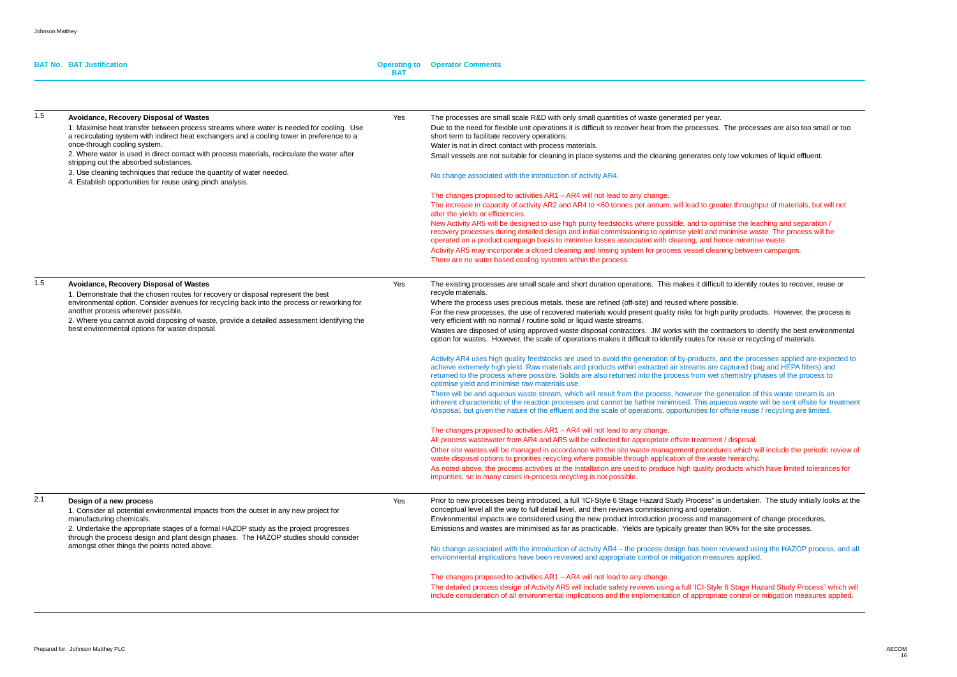#### **BAT No. BAT Justification**

#### **BAT Operator Comments**

| 1.5 | Avoidance, Recovery Disposal of Wastes<br>1. Maximise heat transfer between process streams where water is needed for cooling. Use<br>a recirculating system with indirect heat exchangers and a cooling tower in preference to a<br>once-through cooling system.<br>2. Where water is used in direct contact with process materials, recirculate the water after<br>stripping out the absorbed substances.<br>3. Use cleaning techniques that reduce the quantity of water needed.<br>4. Establish opportunities for reuse using pinch analysis. | Yes | The processes are small scale R&D with only small quantities of waste generated per year.<br>Due to the need for flexible unit operations it is difficult to recover heat from the processes. The processes are also too small or too<br>short term to facilitate recovery operations.<br>Water is not in direct contact with process materials.<br>Small vessels are not suitable for cleaning in place systems and the cleaning generates only low volumes of liquid effluent.<br>No change associated with the introduction of activity AR4.<br>The changes proposed to activities $AR1 - AR4$ will not lead to any change.<br>The increase in capacity of activity AR2 and AR4 to <60 tonnes per annum, will lead to greater throughput of materials, but will not<br>alter the yields or efficiencies.<br>New Activity AR5 will be designed to use high purity feedstocks where possible, and to optimise the leaching and separation /<br>recovery processes during detailed design and initial commissioning to optimise yield and minimise waste. The process will be<br>operated on a product campaign basis to minimise losses associated with cleaning, and hence minimise waste.<br>Activity AR5 may incorporate a closed cleaning and rinsing system for process vessel cleaning between campaigns.<br>There are no water based cooling systems within the process.                                                                                                                                                                                                                                                                                                                                                                                                                                                                                                                                                                                                                                                                                                                                                                                                                                                                                                                        |
|-----|---------------------------------------------------------------------------------------------------------------------------------------------------------------------------------------------------------------------------------------------------------------------------------------------------------------------------------------------------------------------------------------------------------------------------------------------------------------------------------------------------------------------------------------------------|-----|---------------------------------------------------------------------------------------------------------------------------------------------------------------------------------------------------------------------------------------------------------------------------------------------------------------------------------------------------------------------------------------------------------------------------------------------------------------------------------------------------------------------------------------------------------------------------------------------------------------------------------------------------------------------------------------------------------------------------------------------------------------------------------------------------------------------------------------------------------------------------------------------------------------------------------------------------------------------------------------------------------------------------------------------------------------------------------------------------------------------------------------------------------------------------------------------------------------------------------------------------------------------------------------------------------------------------------------------------------------------------------------------------------------------------------------------------------------------------------------------------------------------------------------------------------------------------------------------------------------------------------------------------------------------------------------------------------------------------------------------------------------------------------------------------------------------------------------------------------------------------------------------------------------------------------------------------------------------------------------------------------------------------------------------------------------------------------------------------------------------------------------------------------------------------------------------------------------------------------------------------------------------------------------------------------|
| 1.5 | Avoidance, Recovery Disposal of Wastes<br>1. Demonstrate that the chosen routes for recovery or disposal represent the best<br>environmental option. Consider avenues for recycling back into the process or reworking for<br>another process wherever possible.<br>2. Where you cannot avoid disposing of waste, provide a detailed assessment identifying the<br>best environmental options for waste disposal.                                                                                                                                 | Yes | The existing processes are small scale and short duration operations. This makes it difficult to identify routes to recover, reuse or<br>recycle materials.<br>Where the process uses precious metals, these are refined (off-site) and reused where possible.<br>For the new processes, the use of recovered materials would present quality risks for high purity products. However, the process is<br>very efficient with no normal / routine solid or liquid waste streams.<br>Wastes are disposed of using approved waste disposal contractors. JM works with the contractors to identify the best environmental<br>option for wastes. However, the scale of operations makes it difficult to identify routes for reuse or recycling of materials.<br>Activity AR4 uses high quality feedstocks are used to avoid the generation of by-products, and the processes applied are expected to<br>achieve extremely high yield. Raw materials and products within extracted air streams are captured (bag and HEPA filters) and<br>returned to the process where possible. Solids are also returned into the process from wet chemistry phases of the process to<br>optimise yield and minimise raw materials use.<br>There will be and aqueous waste stream, which will result from the process, however the generation of this waste stream is an<br>inherent characteristic of the reaction processes and cannot be further minimised. This aqueous waste will be sent offsite for treatment<br>/disposal, but given the nature of the effluent and the scale of operations, opportunities for offsite reuse / recycling are limited.<br>The changes proposed to activities $AR1 - AR4$ will not lead to any change.<br>All process wastewater from AR4 and AR5 will be collected for appropriate offsite treatment / disposal.<br>Other site wastes will be managed in accordance with the site waste management procedures which will include the periodic review of<br>waste disposal options to priorities recycling where possible through application of the waste hierarchy.<br>As noted above, the process activities at the installation are used to produce high quality products which have limited tolerances for<br>impurities, so in many cases in-process recycling is not possible. |
| 2.1 | Design of a new process<br>1. Consider all potential environmental impacts from the outset in any new project for<br>manufacturing chemicals.<br>2. Undertake the appropriate stages of a formal HAZOP study as the project progresses<br>through the process design and plant design phases. The HAZOP studies should consider<br>amongst other things the points noted above.                                                                                                                                                                   | Yes | Prior to new processes being introduced, a full 'ICI-Style 6 Stage Hazard Study Process" is undertaken. The study initially looks at th<br>conceptual level all the way to full detail level, and then reviews commissioning and operation.<br>Environmental impacts are considered using the new product introduction process and management of change procedures.<br>Emissions and wastes are minimised as far as practicable. Yields are typically greater than 90% for the site processes.<br>No change associated with the introduction of activity AR4 - the process design has been reviewed using the HAZOP process, and a<br>environmental implications have been reviewed and appropriate control or mitigation measures applied.<br>The changes proposed to activities AR1 - AR4 will not lead to any change.<br>The detailed process design of Activity AR5 will include safety reviews using a full 'ICI-Style 6 Stage Hazard Study Process" which wi<br>include consideration of all environmental implications and the implementation of appropriate control or mitigation measures applied.                                                                                                                                                                                                                                                                                                                                                                                                                                                                                                                                                                                                                                                                                                                                                                                                                                                                                                                                                                                                                                                                                                                                                                                             |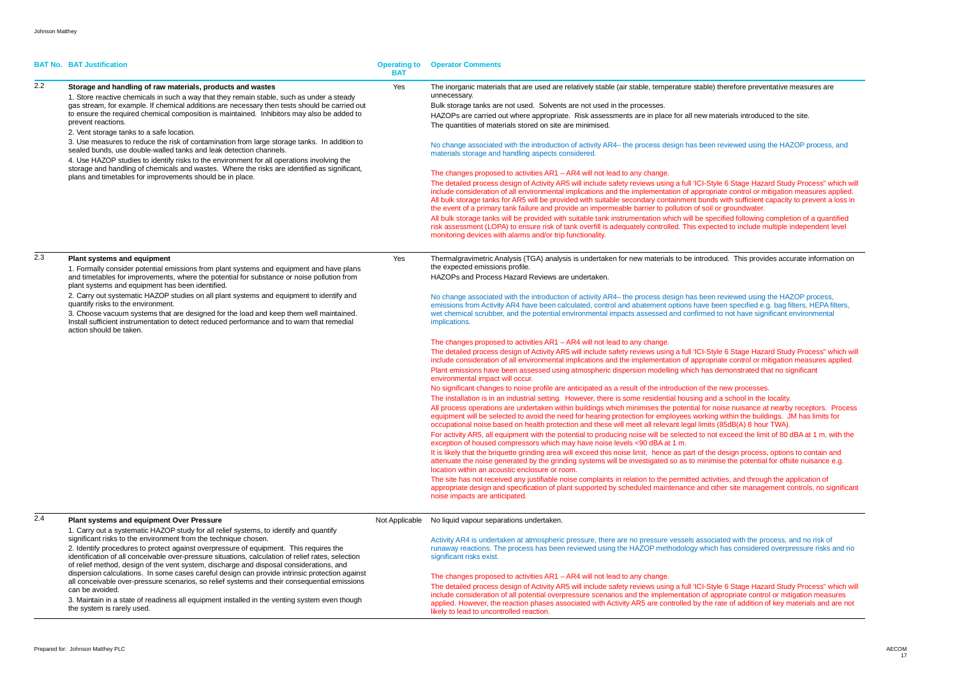|     | <b>BAT No. BAT Justification</b>                                                                                                                                                                                                                                                                                                                                                                                                                                                                                                                                                                                                                                                                                                                                                                                                                           | <b>Operating to</b><br>BAT | <b>Operator Comments</b>                                                                                                                                                                                                                                                                                                                                                                                                                                                                                                                                                                                                                                                                                                                                                                                                                                                                                                                                                                                                                                                                                                                                                                                                                                                                                                                                                                                                                                                                                                                                                                                                                                                                                                                                                                                                                                                                                                                                                                                                                                                                                                                                                                                                                                                                                                                                                                                                                                                                                                                                                                                                                                                                                  |
|-----|------------------------------------------------------------------------------------------------------------------------------------------------------------------------------------------------------------------------------------------------------------------------------------------------------------------------------------------------------------------------------------------------------------------------------------------------------------------------------------------------------------------------------------------------------------------------------------------------------------------------------------------------------------------------------------------------------------------------------------------------------------------------------------------------------------------------------------------------------------|----------------------------|-----------------------------------------------------------------------------------------------------------------------------------------------------------------------------------------------------------------------------------------------------------------------------------------------------------------------------------------------------------------------------------------------------------------------------------------------------------------------------------------------------------------------------------------------------------------------------------------------------------------------------------------------------------------------------------------------------------------------------------------------------------------------------------------------------------------------------------------------------------------------------------------------------------------------------------------------------------------------------------------------------------------------------------------------------------------------------------------------------------------------------------------------------------------------------------------------------------------------------------------------------------------------------------------------------------------------------------------------------------------------------------------------------------------------------------------------------------------------------------------------------------------------------------------------------------------------------------------------------------------------------------------------------------------------------------------------------------------------------------------------------------------------------------------------------------------------------------------------------------------------------------------------------------------------------------------------------------------------------------------------------------------------------------------------------------------------------------------------------------------------------------------------------------------------------------------------------------------------------------------------------------------------------------------------------------------------------------------------------------------------------------------------------------------------------------------------------------------------------------------------------------------------------------------------------------------------------------------------------------------------------------------------------------------------------------------------------------|
| 2.2 | Storage and handling of raw materials, products and wastes<br>1. Store reactive chemicals in such a way that they remain stable, such as under a steady<br>gas stream, for example. If chemical additions are necessary then tests should be carried out<br>to ensure the required chemical composition is maintained. Inhibitors may also be added to<br>prevent reactions.<br>2. Vent storage tanks to a safe location.<br>3. Use measures to reduce the risk of contamination from large storage tanks. In addition to<br>sealed bunds, use double-walled tanks and leak detection channels.<br>4. Use HAZOP studies to identify risks to the environment for all operations involving the<br>storage and handling of chemicals and wastes. Where the risks are identified as significant,<br>plans and timetables for improvements should be in place. | Yes                        | The inorganic materials that are used are relatively stable (air stable, temperature stable) therefore preventative measures are<br>unnecessary.<br>Bulk storage tanks are not used. Solvents are not used in the processes.<br>HAZOPs are carried out where appropriate. Risk assessments are in place for all new materials introduced to the site.<br>The quantities of materials stored on site are minimised.<br>No change associated with the introduction of activity AR4– the process design has been reviewed using the HAZOP process, and<br>materials storage and handling aspects considered.<br>The changes proposed to activities AR1 - AR4 will not lead to any change.<br>The detailed process design of Activity AR5 will include safety reviews using a full 'ICI-Style 6 Stage Hazard Study Process" which will<br>include consideration of all environmental implications and the implementation of appropriate control or mitigation measures applied.<br>All bulk storage tanks for AR5 will be provided with suitable secondary containment bunds with sufficient capacity to prevent a loss in<br>the event of a primary tank failure and provide an impermeable barrier to pollution of soil or groundwater.<br>All bulk storage tanks will be provided with suitable tank instrumentation which will be specified following completion of a quantified<br>risk assessment (LOPA) to ensure risk of tank overfill is adequately controlled. This expected to include multiple independent level<br>monitoring devices with alarms and/or trip functionality.                                                                                                                                                                                                                                                                                                                                                                                                                                                                                                                                                                                                                                                                                                                                                                                                                                                                                                                                                                                                                                                                                                                     |
| 2.3 | <b>Plant systems and equipment</b><br>1. Formally consider potential emissions from plant systems and equipment and have plans<br>and timetables for improvements, where the potential for substance or noise pollution from<br>plant systems and equipment has been identified.<br>2. Carry out systematic HAZOP studies on all plant systems and equipment to identify and<br>quantify risks to the environment.<br>3. Choose vacuum systems that are designed for the load and keep them well maintained.<br>Install sufficient instrumentation to detect reduced performance and to warn that remedial<br>action should be taken.                                                                                                                                                                                                                      | Yes                        | Thermalgravimetric Analysis (TGA) analysis is undertaken for new materials to be introduced. This provides accurate information on<br>the expected emissions profile.<br>HAZOPs and Process Hazard Reviews are undertaken.<br>No change associated with the introduction of activity AR4– the process design has been reviewed using the HAZOP process,<br>emissions from Activity AR4 have been calculated, control and abatement options have been specified e.g. bag filters, HEPA filters,<br>wet chemical scrubber, and the potential environmental impacts assessed and confirmed to not have significant environmental<br>implications.<br>The changes proposed to activities AR1 - AR4 will not lead to any change.<br>The detailed process design of Activity AR5 will include safety reviews using a full 'ICI-Style 6 Stage Hazard Study Process" which will<br>include consideration of all environmental implications and the implementation of appropriate control or mitigation measures applied.<br>Plant emissions have been assessed using atmospheric dispersion modelling which has demonstrated that no significant<br>environmental impact will occur.<br>No significant changes to noise profile are anticipated as a result of the introduction of the new processes.<br>The installation is in an industrial setting. However, there is some residential housing and a school in the locality.<br>All process operations are undertaken within buildings which minimises the potential for noise nuisance at nearby receptors. Process<br>equipment will be selected to avoid the need for hearing protection for employees working within the buildings. JM has limits for<br>occupational noise based on health protection and these will meet all relevant legal limits (85dB(A) 8 hour TWA).<br>For activity AR5, all equipment with the potential to producing noise will be selected to not exceed the limit of 80 dBA at 1 m, with the<br>exception of housed compressors which may have noise levels <90 dBA at 1 m.<br>It is likely that the briquette grinding area will exceed this noise limit, hence as part of the design process, options to contain and<br>attenuate the noise generated by the grinding systems will be investigated so as to minimise the potential for offsite nuisance e.g.<br>location within an acoustic enclosure or room.<br>The site has not received any justifiable noise complaints in relation to the permitted activities, and through the application of<br>appropriate design and specification of plant supported by scheduled maintenance and other site management controls, no significant<br>noise impacts are anticipated. |
| 2.4 | Plant systems and equipment Over Pressure<br>1. Carry out a systematic HAZOP study for all relief systems, to identify and quantify<br>significant risks to the environment from the technique chosen.<br>2. Identify procedures to protect against overpressure of equipment. This requires the<br>identification of all conceivable over-pressure situations, calculation of relief rates, selection<br>of relief method, design of the vent system, discharge and disposal considerations, and<br>dispersion calculations. In some cases careful design can provide intrinsic protection against<br>all conceivable over-pressure scenarios, so relief systems and their consequential emissions<br>can be avoided.<br>3. Maintain in a state of readiness all equipment installed in the venting system even though<br>the system is rarely used.      |                            | Not Applicable No liquid vapour separations undertaken.<br>Activity AR4 is undertaken at atmospheric pressure, there are no pressure vessels associated with the process, and no risk of<br>runaway reactions. The process has been reviewed using the HAZOP methodology which has considered overpressure risks and no<br>significant risks exist.<br>The changes proposed to activities AR1 – AR4 will not lead to any change.<br>The detailed process design of Activity AR5 will include safety reviews using a full 'ICI-Style 6 Stage Hazard Study Process" which will<br>include consideration of all potential overpressure scenarios and the implementation of appropriate control or mitigation measures<br>applied. However, the reaction phases associated with Activity AR5 are controlled by the rate of addition of key materials and are not<br>likely to lead to uncontrolled reaction.                                                                                                                                                                                                                                                                                                                                                                                                                                                                                                                                                                                                                                                                                                                                                                                                                                                                                                                                                                                                                                                                                                                                                                                                                                                                                                                                                                                                                                                                                                                                                                                                                                                                                                                                                                                                  |

```
refore preventative measures are
```

```
riewed using the HAZOP process, and
```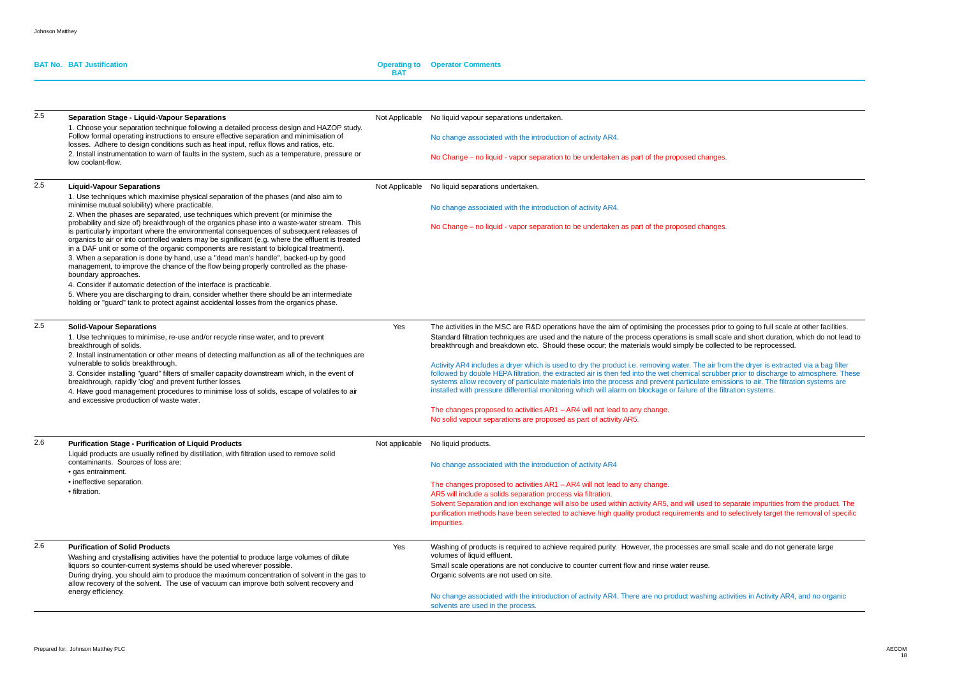| <b>BAT No. BAT Justification</b> | <b>Operating to Operator Comments</b> |
|----------------------------------|---------------------------------------|
|                                  |                                       |

| 2.5 | <b>Separation Stage - Liquid-Vapour Separations</b><br>1. Choose your separation technique following a detailed process design and HAZOP study.                                                                                                                                                                                                                                        |     | Not Applicable No liquid vapour separations undertaken.                                                                                                                                                                                                                                                                                                                                                                                                                                                                                             |
|-----|----------------------------------------------------------------------------------------------------------------------------------------------------------------------------------------------------------------------------------------------------------------------------------------------------------------------------------------------------------------------------------------|-----|-----------------------------------------------------------------------------------------------------------------------------------------------------------------------------------------------------------------------------------------------------------------------------------------------------------------------------------------------------------------------------------------------------------------------------------------------------------------------------------------------------------------------------------------------------|
|     | Follow formal operating instructions to ensure effective separation and minimisation of<br>losses. Adhere to design conditions such as heat input, reflux flows and ratios, etc.                                                                                                                                                                                                       |     | No change associated with the introduction of activity AR4.                                                                                                                                                                                                                                                                                                                                                                                                                                                                                         |
|     | 2. Install instrumentation to warn of faults in the system, such as a temperature, pressure or<br>low coolant-flow.                                                                                                                                                                                                                                                                    |     | No Change – no liquid - vapor separation to be undertaken as part of the proposed changes.                                                                                                                                                                                                                                                                                                                                                                                                                                                          |
| 2.5 | <b>Liquid-Vapour Separations</b><br>1. Use techniques which maximise physical separation of the phases (and also aim to                                                                                                                                                                                                                                                                |     | Not Applicable No liquid separations undertaken.                                                                                                                                                                                                                                                                                                                                                                                                                                                                                                    |
|     | minimise mutual solubility) where practicable.<br>2. When the phases are separated, use techniques which prevent (or minimise the                                                                                                                                                                                                                                                      |     | No change associated with the introduction of activity AR4.                                                                                                                                                                                                                                                                                                                                                                                                                                                                                         |
|     | probability and size of) breakthrough of the organics phase into a waste-water stream. This<br>is particularly important where the environmental consequences of subsequent releases of<br>organics to air or into controlled waters may be significant (e.g. where the effluent is treated<br>in a DAF unit or some of the organic components are resistant to biological treatment). |     | No Change – no liquid - vapor separation to be undertaken as part of the proposed changes.                                                                                                                                                                                                                                                                                                                                                                                                                                                          |
|     | 3. When a separation is done by hand, use a "dead man's handle", backed-up by good<br>management, to improve the chance of the flow being properly controlled as the phase-<br>boundary approaches.                                                                                                                                                                                    |     |                                                                                                                                                                                                                                                                                                                                                                                                                                                                                                                                                     |
|     | 4. Consider if automatic detection of the interface is practicable.<br>5. Where you are discharging to drain, consider whether there should be an intermediate<br>holding or "guard" tank to protect against accidental losses from the organics phase.                                                                                                                                |     |                                                                                                                                                                                                                                                                                                                                                                                                                                                                                                                                                     |
| 2.5 | <b>Solid-Vapour Separations</b><br>1. Use techniques to minimise, re-use and/or recycle rinse water, and to prevent                                                                                                                                                                                                                                                                    | Yes | The activities in the MSC are R&D operations have the aim of optimising the processes prior to going to full scale at other facilities.<br>Standard filtration techniques are used and the nature of the process operations is small scale and short duration, which do not lead to                                                                                                                                                                                                                                                                 |
|     | breakthrough of solids.<br>2. Install instrumentation or other means of detecting malfunction as all of the techniques are                                                                                                                                                                                                                                                             |     | breakthrough and breakdown etc. Should these occur; the materials would simply be collected to be reprocessed.                                                                                                                                                                                                                                                                                                                                                                                                                                      |
|     | vulnerable to solids breakthrough.<br>3. Consider installing "guard" filters of smaller capacity downstream which, in the event of<br>breakthrough, rapidly 'clog' and prevent further losses.<br>4. Have good management procedures to minimise loss of solids, escape of volatiles to air                                                                                            |     | Activity AR4 includes a dryer which is used to dry the product i.e. removing water. The air from the dryer is extracted via a bag filter<br>followed by double HEPA filtration, the extracted air is then fed into the wet chemical scrubber prior to discharge to atmosphere. These<br>systems allow recovery of particulate materials into the process and prevent particulate emissions to air. The filtration systems are<br>installed with pressure differential monitoring which will alarm on blockage or failure of the filtration systems. |
|     | and excessive production of waste water.                                                                                                                                                                                                                                                                                                                                               |     | The changes proposed to activities AR1 - AR4 will not lead to any change.<br>No solid vapour separations are proposed as part of activity AR5.                                                                                                                                                                                                                                                                                                                                                                                                      |
| 2.6 | <b>Purification Stage - Purification of Liquid Products</b><br>Liquid products are usually refined by distillation, with filtration used to remove solid                                                                                                                                                                                                                               |     | Not applicable No liquid products.                                                                                                                                                                                                                                                                                                                                                                                                                                                                                                                  |
|     | contaminants. Sources of loss are:<br>• gas entrainment.                                                                                                                                                                                                                                                                                                                               |     | No change associated with the introduction of activity AR4                                                                                                                                                                                                                                                                                                                                                                                                                                                                                          |
|     | • ineffective separation.<br>• filtration.                                                                                                                                                                                                                                                                                                                                             |     | The changes proposed to activities AR1 - AR4 will not lead to any change.<br>AR5 will include a solids separation process via filtration.<br>Solvent Separation and ion exchange will also be used within activity AR5, and will used to separate impurities from the product. The<br>purification methods have been selected to achieve high quality product requirements and to selectively target the removal of specific<br>impurities.                                                                                                         |
| 2.6 | <b>Purification of Solid Products</b><br>Washing and crystallising activities have the potential to produce large volumes of dilute<br>liquors so counter-current systems should be used wherever possible.<br>During drying, you should aim to produce the maximum concentration of solvent in the gas to                                                                             | Yes | Washing of products is required to achieve required purity. However, the processes are small scale and do not generate large<br>volumes of liquid effluent.<br>Small scale operations are not conducive to counter current flow and rinse water reuse.<br>Organic solvents are not used on site.                                                                                                                                                                                                                                                    |
|     | allow recovery of the solvent. The use of vacuum can improve both solvent recovery and<br>energy efficiency.                                                                                                                                                                                                                                                                           |     | No change associated with the introduction of activity AR4. There are no product washing activities in Activity AR4, and no organic<br>solvents are used in the process.                                                                                                                                                                                                                                                                                                                                                                            |

| es.                                                                                                                                                                |
|--------------------------------------------------------------------------------------------------------------------------------------------------------------------|
|                                                                                                                                                                    |
| es.                                                                                                                                                                |
|                                                                                                                                                                    |
|                                                                                                                                                                    |
| ior to going to full scale at other facilities.<br>cale and short duration, which do not lead to<br>ected to be reprocessed.                                       |
| from the dryer is extracted via a bag filter<br>bber prior to discharge to atmosphere. These<br>nissions to air. The filtration systems are<br>filtration systems. |
|                                                                                                                                                                    |
|                                                                                                                                                                    |
|                                                                                                                                                                    |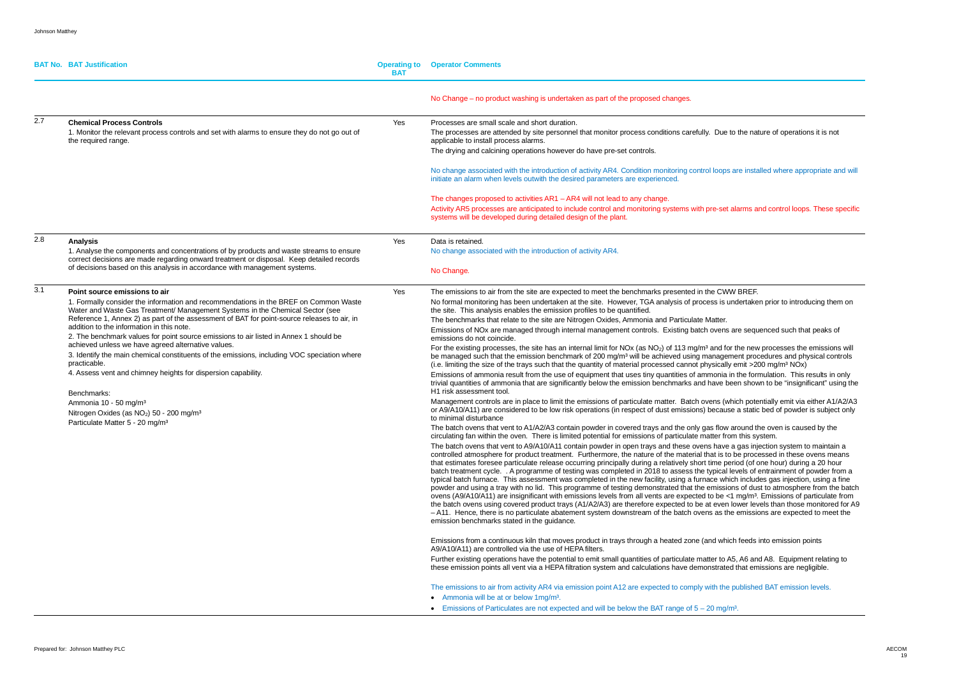|     | <b>BAT No. BAT Justification</b>                                                                                                                                                                                                                                                                                                                                                                                                                                                                                                                                                                                                                                                                                                                                                                                                                         | <b>BAT</b> | <b>Operating to Operator Comments</b>                                                                                                                                                                                                                                                                                                                                                                                                                                                                                                                                                                                                                                                                                                                                                                                                                                                                                                                                                                                                                                                                                                                                                                                                                                                                                                                                                                                                                                                                                                                                                                                                                                                                                                                                                                                                                                                                                                                                                                                                                                                                                                                                                                                                                                                                                                                                                                                                                                                                                                                                                                                                                                                                                                                                                                                                                                                                                                                                                                                                                                                                                                                                         |
|-----|----------------------------------------------------------------------------------------------------------------------------------------------------------------------------------------------------------------------------------------------------------------------------------------------------------------------------------------------------------------------------------------------------------------------------------------------------------------------------------------------------------------------------------------------------------------------------------------------------------------------------------------------------------------------------------------------------------------------------------------------------------------------------------------------------------------------------------------------------------|------------|-------------------------------------------------------------------------------------------------------------------------------------------------------------------------------------------------------------------------------------------------------------------------------------------------------------------------------------------------------------------------------------------------------------------------------------------------------------------------------------------------------------------------------------------------------------------------------------------------------------------------------------------------------------------------------------------------------------------------------------------------------------------------------------------------------------------------------------------------------------------------------------------------------------------------------------------------------------------------------------------------------------------------------------------------------------------------------------------------------------------------------------------------------------------------------------------------------------------------------------------------------------------------------------------------------------------------------------------------------------------------------------------------------------------------------------------------------------------------------------------------------------------------------------------------------------------------------------------------------------------------------------------------------------------------------------------------------------------------------------------------------------------------------------------------------------------------------------------------------------------------------------------------------------------------------------------------------------------------------------------------------------------------------------------------------------------------------------------------------------------------------------------------------------------------------------------------------------------------------------------------------------------------------------------------------------------------------------------------------------------------------------------------------------------------------------------------------------------------------------------------------------------------------------------------------------------------------------------------------------------------------------------------------------------------------------------------------------------------------------------------------------------------------------------------------------------------------------------------------------------------------------------------------------------------------------------------------------------------------------------------------------------------------------------------------------------------------------------------------------------------------------------------------------------------------|
|     |                                                                                                                                                                                                                                                                                                                                                                                                                                                                                                                                                                                                                                                                                                                                                                                                                                                          |            | No Change – no product washing is undertaken as part of the proposed changes.                                                                                                                                                                                                                                                                                                                                                                                                                                                                                                                                                                                                                                                                                                                                                                                                                                                                                                                                                                                                                                                                                                                                                                                                                                                                                                                                                                                                                                                                                                                                                                                                                                                                                                                                                                                                                                                                                                                                                                                                                                                                                                                                                                                                                                                                                                                                                                                                                                                                                                                                                                                                                                                                                                                                                                                                                                                                                                                                                                                                                                                                                                 |
| 2.7 | <b>Chemical Process Controls</b><br>1. Monitor the relevant process controls and set with alarms to ensure they do not go out of<br>the required range.                                                                                                                                                                                                                                                                                                                                                                                                                                                                                                                                                                                                                                                                                                  | Yes        | Processes are small scale and short duration.<br>The processes are attended by site personnel that monitor process conditions carefully. Due to<br>applicable to install process alarms.<br>The drying and calcining operations however do have pre-set controls.<br>No change associated with the introduction of activity AR4. Condition monitoring control loops are<br>initiate an alarm when levels outwith the desired parameters are experienced.<br>The changes proposed to activities AR1 - AR4 will not lead to any change.<br>Activity AR5 processes are anticipated to include control and monitoring systems with pre-set ala                                                                                                                                                                                                                                                                                                                                                                                                                                                                                                                                                                                                                                                                                                                                                                                                                                                                                                                                                                                                                                                                                                                                                                                                                                                                                                                                                                                                                                                                                                                                                                                                                                                                                                                                                                                                                                                                                                                                                                                                                                                                                                                                                                                                                                                                                                                                                                                                                                                                                                                                    |
| 2.8 | <b>Analysis</b><br>1. Analyse the components and concentrations of by products and waste streams to ensure<br>correct decisions are made regarding onward treatment or disposal. Keep detailed records<br>of decisions based on this analysis in accordance with management systems.                                                                                                                                                                                                                                                                                                                                                                                                                                                                                                                                                                     | Yes        | systems will be developed during detailed design of the plant.<br>Data is retained.<br>No change associated with the introduction of activity AR4.<br>No Change.                                                                                                                                                                                                                                                                                                                                                                                                                                                                                                                                                                                                                                                                                                                                                                                                                                                                                                                                                                                                                                                                                                                                                                                                                                                                                                                                                                                                                                                                                                                                                                                                                                                                                                                                                                                                                                                                                                                                                                                                                                                                                                                                                                                                                                                                                                                                                                                                                                                                                                                                                                                                                                                                                                                                                                                                                                                                                                                                                                                                              |
| 3.1 | Point source emissions to air<br>1. Formally consider the information and recommendations in the BREF on Common Waste<br>Water and Waste Gas Treatment/ Management Systems in the Chemical Sector (see<br>Reference 1, Annex 2) as part of the assessment of BAT for point-source releases to air, in<br>addition to the information in this note.<br>2. The benchmark values for point source emissions to air listed in Annex 1 should be<br>achieved unless we have agreed alternative values.<br>3. Identify the main chemical constituents of the emissions, including VOC speciation where<br>practicable.<br>4. Assess vent and chimney heights for dispersion capability.<br>Benchmarks:<br>Ammonia 10 - 50 mg/m <sup>3</sup><br>Nitrogen Oxides (as NO <sub>2</sub> ) 50 - 200 mg/m <sup>3</sup><br>Particulate Matter 5 - 20 mg/m <sup>3</sup> | Yes        | The emissions to air from the site are expected to meet the benchmarks presented in the CWW<br>No formal monitoring has been undertaken at the site. However, TGA analysis of process is und<br>the site. This analysis enables the emission profiles to be quantified.<br>The benchmarks that relate to the site are Nitrogen Oxides, Ammonia and Particulate Matter.<br>Emissions of NOx are managed through internal management controls. Existing batch ovens ar<br>emissions do not coincide.<br>For the existing processes, the site has an internal limit for NOx (as NO <sub>2</sub> ) of 113 mg/m <sup>3</sup> and for the<br>be managed such that the emission benchmark of 200 mg/m <sup>3</sup> will be achieved using manageme<br>(i.e. limiting the size of the trays such that the quantity of material processed cannot physically e<br>Emissions of ammonia result from the use of equipment that uses tiny quantities of ammonia in t<br>trivial quantities of ammonia that are significantly below the emission benchmarks and have bee<br>H1 risk assessment tool.<br>Management controls are in place to limit the emissions of particulate matter. Batch ovens (whic<br>or A9/A10/A11) are considered to be low risk operations (in respect of dust emissions) because a<br>to minimal disturbance<br>The batch ovens that vent to A1/A2/A3 contain powder in covered trays and the only gas flow are<br>circulating fan within the oven. There is limited potential for emissions of particulate matter from<br>The batch ovens that vent to A9/A10/A11 contain powder in open trays and these ovens have a<br>controlled atmosphere for product treatment. Furthermore, the nature of the material that is to b<br>that estimates foresee particulate release occurring principally during a relatively short time perio<br>batch treatment cycle. . A programme of testing was completed in 2018 to assess the typical lev<br>typical batch furnace. This assessment was completed in the new facility, using a furnace which<br>powder and using a tray with no lid. This programme of testing demonstrated that the emissions<br>ovens (A9/A10/A11) are insignificant with emissions levels from all vents are expected to be <1 r<br>the batch ovens using covered product trays (A1/A2/A3) are therefore expected to be at even low<br>$-$ A11. Hence, there is no particulate abatement system downstream of the batch ovens as the $\epsilon$<br>emission benchmarks stated in the guidance.<br>Emissions from a continuous kiln that moves product in trays through a heated zone (and which<br>A9/A10/A11) are controlled via the use of HEPA filters.<br>Further existing operations have the potential to emit small quantities of particulate matter to A5,<br>these emission points all vent via a HEPA filtration system and calculations have demonstrated t<br>The emissions to air from activity AR4 via emission point A12 are expected to comply with the pu<br>• Ammonia will be at or below 1mg/m <sup>3</sup> .<br>• Emissions of Particulates are not expected and will be below the BAT range of $5 - 20$ mg/m <sup>3</sup> . |

Le to the nature of operations it is not

ps are installed where appropriate and will

et alarms and control loops. These specific

WW BREF.

s undertaken prior to introducing them on

ns are sequenced such that peaks of

I for the new processes the emissions will gement procedures and physical controls  $\tilde{\text{ally}}$  emit >200 mg/m<sup>3</sup> NOx)

ia in the formulation. This results in only been shown to be "insignificant" using the

(which potentially emit via either A1/A2/A3 iuse a static bed of powder is subject only

ow around the oven is caused by the from this system.

ve a gas injection system to maintain a to be processed in these ovens means. period (of one hour) during a 20 hour al levels of entrainment of powder from a which includes gas injection, using a fine sions of dust to atmosphere from the batch <sup>2</sup> <1 mg/m<sup>3</sup>. Emissions of particulate from en lower levels than those monitored for A9 the emissions are expected to meet the

hich feeds into emission points

o A5, A6 and A8. Equipment relating to ated that emissions are negligible.

**The published BAT emission levels.**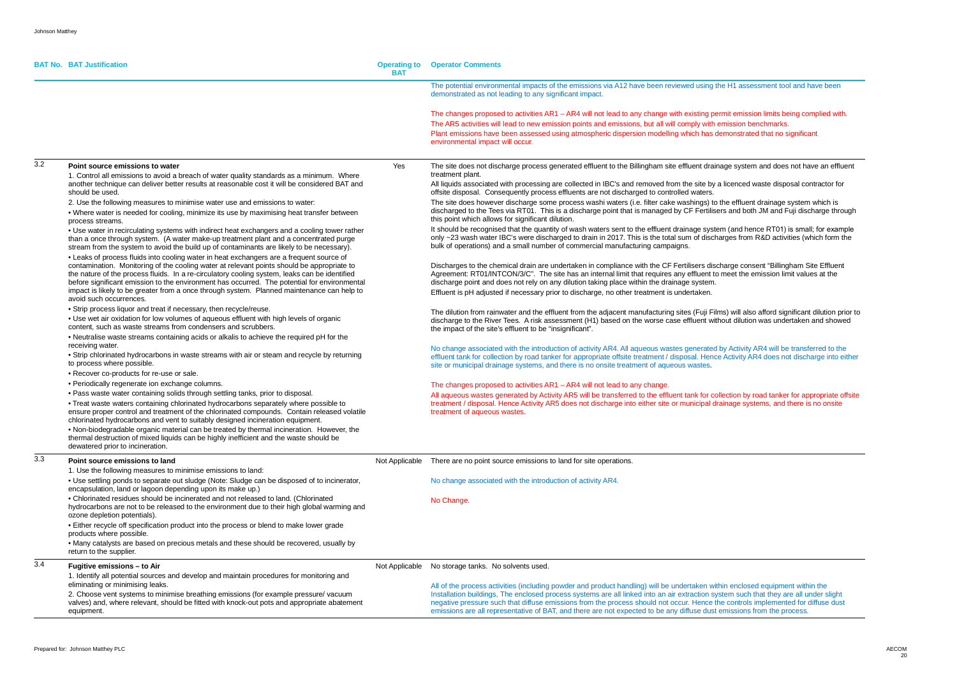|     | <b>BAT No. BAT Justification</b>                                                                                                                                                                                                                                                                                                                                                                                                                                                      | <b>Operating to</b><br><b>BAT</b> | <b>Operator Comments</b>                                                                                                                                                                                                                                                                                                                                                                                                                                                                                                             |
|-----|---------------------------------------------------------------------------------------------------------------------------------------------------------------------------------------------------------------------------------------------------------------------------------------------------------------------------------------------------------------------------------------------------------------------------------------------------------------------------------------|-----------------------------------|--------------------------------------------------------------------------------------------------------------------------------------------------------------------------------------------------------------------------------------------------------------------------------------------------------------------------------------------------------------------------------------------------------------------------------------------------------------------------------------------------------------------------------------|
|     |                                                                                                                                                                                                                                                                                                                                                                                                                                                                                       |                                   | The potential environmental impacts of the emissions via A12 have been reviewed using the H1 assessment tool and have been<br>demonstrated as not leading to any significant impact.                                                                                                                                                                                                                                                                                                                                                 |
|     |                                                                                                                                                                                                                                                                                                                                                                                                                                                                                       |                                   | The changes proposed to activities AR1 - AR4 will not lead to any change with existing permit emission limits being complied with.<br>The AR5 activities will lead to new emission points and emissions, but all will comply with emission benchmarks.<br>Plant emissions have been assessed using atmospheric dispersion modelling which has demonstrated that no significant<br>environmental impact will occur.                                                                                                                   |
| 3.2 | Point source emissions to water<br>1. Control all emissions to avoid a breach of water quality standards as a minimum. Where                                                                                                                                                                                                                                                                                                                                                          | Yes                               | The site does not discharge process generated effluent to the Billingham site effluent drainage system and does not have an effluent<br>treatment plant.                                                                                                                                                                                                                                                                                                                                                                             |
|     | another technique can deliver better results at reasonable cost it will be considered BAT and<br>should be used.                                                                                                                                                                                                                                                                                                                                                                      |                                   | All liquids associated with processing are collected in IBC's and removed from the site by a licenced waste disposal contractor for<br>offsite disposal. Consequently process effluents are not discharged to controlled waters.                                                                                                                                                                                                                                                                                                     |
|     | 2. Use the following measures to minimise water use and emissions to water:<br>. Where water is needed for cooling, minimize its use by maximising heat transfer between<br>process streams.                                                                                                                                                                                                                                                                                          |                                   | The site does however discharge some process washi waters (i.e. filter cake washings) to the effluent drainage system which is<br>discharged to the Tees via RT01. This is a discharge point that is managed by CF Fertilisers and both JM and Fuji discharge through<br>this point which allows for significant dilution.                                                                                                                                                                                                           |
|     | . Use water in recirculating systems with indirect heat exchangers and a cooling tower rather<br>than a once through system. (A water make-up treatment plant and a concentrated purge<br>stream from the system to avoid the build up of contaminants are likely to be necessary).                                                                                                                                                                                                   |                                   | It should be recognised that the quantity of wash waters sent to the effluent drainage system (and hence RT01) is small; for example<br>only ~23 wash water IBC's were discharged to drain in 2017. This is the total sum of discharges from R&D activities (which form the<br>bulk of operations) and a small number of commercial manufacturing campaigns.                                                                                                                                                                         |
|     | . Leaks of process fluids into cooling water in heat exchangers are a frequent source of<br>contamination. Monitoring of the cooling water at relevant points should be appropriate to<br>the nature of the process fluids. In a re-circulatory cooling system, leaks can be identified<br>before significant emission to the environment has occurred. The potential for environmental<br>impact is likely to be greater from a once through system. Planned maintenance can help to |                                   | Discharges to the chemical drain are undertaken in compliance with the CF Fertilisers discharge consent "Billingham Site Effluent<br>Agreement: RT01/INTCON/3/C". The site has an internal limit that requires any effluent to meet the emission limit values at the<br>discharge point and does not rely on any dilution taking place within the drainage system.<br>Effluent is pH adjusted if necessary prior to discharge, no other treatment is undertaken.                                                                     |
|     | avoid such occurrences.<br>• Strip process liquor and treat if necessary, then recycle/reuse.                                                                                                                                                                                                                                                                                                                                                                                         |                                   |                                                                                                                                                                                                                                                                                                                                                                                                                                                                                                                                      |
|     | • Use wet air oxidation for low volumes of aqueous effluent with high levels of organic<br>content, such as waste streams from condensers and scrubbers.<br>. Neutralise waste streams containing acids or alkalis to achieve the required pH for the                                                                                                                                                                                                                                 |                                   | The dilution from rainwater and the effluent from the adjacent manufacturing sites (Fuji Films) will also afford significant dilution prior to<br>discharge to the River Tees. A risk assessment (H1) based on the worse case effluent without dilution was undertaken and showed<br>the impact of the site's effluent to be "insignificant".                                                                                                                                                                                        |
|     | receiving water.<br>• Strip chlorinated hydrocarbons in waste streams with air or steam and recycle by returning<br>to process where possible.                                                                                                                                                                                                                                                                                                                                        |                                   | No change associated with the introduction of activity AR4. All aqueous wastes generated by Activity AR4 will be transferred to the<br>effluent tank for collection by road tanker for appropriate offsite treatment / disposal. Hence Activity AR4 does not discharge into either<br>site or municipal drainage systems, and there is no onsite treatment of aqueous wastes.                                                                                                                                                        |
|     | • Recover co-products for re-use or sale.<br>• Periodically regenerate ion exchange columns.                                                                                                                                                                                                                                                                                                                                                                                          |                                   |                                                                                                                                                                                                                                                                                                                                                                                                                                                                                                                                      |
|     | . Pass waste water containing solids through settling tanks, prior to disposal.                                                                                                                                                                                                                                                                                                                                                                                                       |                                   | The changes proposed to activities AR1 - AR4 will not lead to any change.<br>All aqueous wastes generated by Activity AR5 will be transferred to the effluent tank for collection by road tanker for appropriate offsite                                                                                                                                                                                                                                                                                                             |
|     | . Treat waste waters containing chlorinated hydrocarbons separately where possible to<br>ensure proper control and treatment of the chlorinated compounds. Contain released volatile<br>chlorinated hydrocarbons and vent to suitably designed incineration equipment.                                                                                                                                                                                                                |                                   | treatment / disposal. Hence Activity AR5 does not discharge into either site or municipal drainage systems, and there is no onsite<br>treatment of aqueous wastes.                                                                                                                                                                                                                                                                                                                                                                   |
|     | . Non-biodegradable organic material can be treated by thermal incineration. However, the<br>thermal destruction of mixed liquids can be highly inefficient and the waste should be<br>dewatered prior to incineration.                                                                                                                                                                                                                                                               |                                   |                                                                                                                                                                                                                                                                                                                                                                                                                                                                                                                                      |
| 3.3 | Point source emissions to land                                                                                                                                                                                                                                                                                                                                                                                                                                                        | Not Applicable                    | There are no point source emissions to land for site operations.                                                                                                                                                                                                                                                                                                                                                                                                                                                                     |
|     | 1. Use the following measures to minimise emissions to land:<br>. Use settling ponds to separate out sludge (Note: Sludge can be disposed of to incinerator,<br>encapsulation, land or lagoon depending upon its make up.)                                                                                                                                                                                                                                                            |                                   | No change associated with the introduction of activity AR4.                                                                                                                                                                                                                                                                                                                                                                                                                                                                          |
|     | • Chlorinated residues should be incinerated and not released to land. (Chlorinated<br>hydrocarbons are not to be released to the environment due to their high global warming and<br>ozone depletion potentials).                                                                                                                                                                                                                                                                    |                                   | No Change.                                                                                                                                                                                                                                                                                                                                                                                                                                                                                                                           |
|     | • Either recycle off specification product into the process or blend to make lower grade<br>products where possible.                                                                                                                                                                                                                                                                                                                                                                  |                                   |                                                                                                                                                                                                                                                                                                                                                                                                                                                                                                                                      |
|     | • Many catalysts are based on precious metals and these should be recovered, usually by<br>return to the supplier.                                                                                                                                                                                                                                                                                                                                                                    |                                   |                                                                                                                                                                                                                                                                                                                                                                                                                                                                                                                                      |
| 3.4 | Fugitive emissions - to Air<br>1. Identify all potential sources and develop and maintain procedures for monitoring and                                                                                                                                                                                                                                                                                                                                                               |                                   | Not Applicable No storage tanks. No solvents used.                                                                                                                                                                                                                                                                                                                                                                                                                                                                                   |
|     | eliminating or minimising leaks.<br>2. Choose vent systems to minimise breathing emissions (for example pressure/vacuum<br>valves) and, where relevant, should be fitted with knock-out pots and appropriate abatement<br>equipment.                                                                                                                                                                                                                                                  |                                   | All of the process activities (including powder and product handling) will be undertaken within enclosed equipment within the<br>Installation buildings, The enclosed process systems are all linked into an air extraction system such that they are all under slight<br>negative pressure such that diffuse emissions from the process should not occur. Hence the controls implemented for diffuse dust<br>emissions are all representative of BAT, and there are not expected to be any diffuse dust emissions from the process. |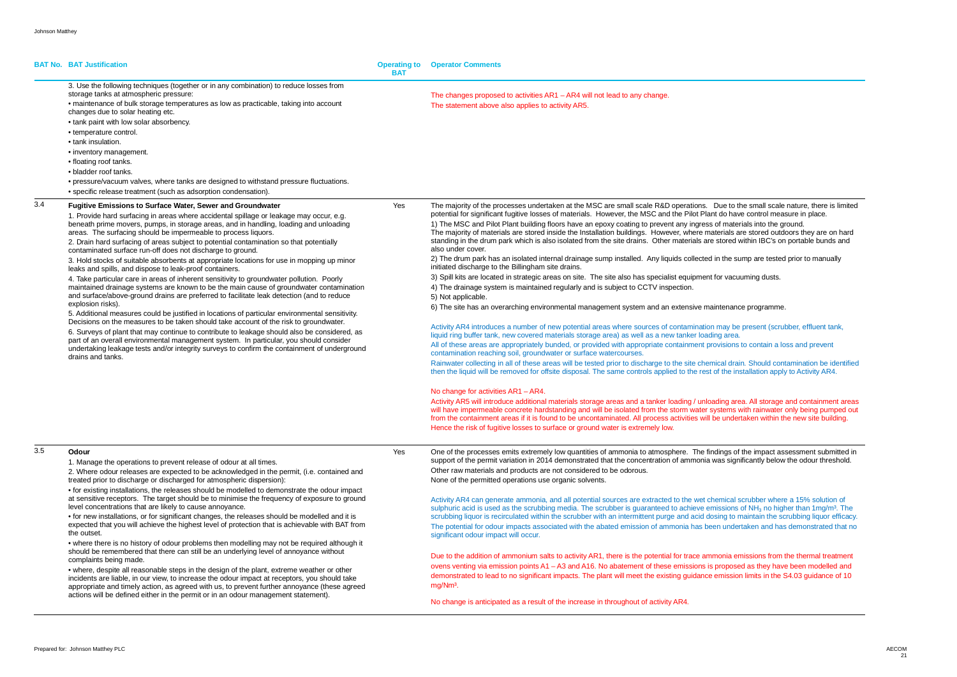|     | <b>BAT No. BAT Justification</b>                                                                                                                                                                                                                                                                                                                                                                                                                                                                                                                                                                                                                                                                                                                                                                                                                                                                                                                                                                                                                                                                                                                                                                                                                                                                                                                                                                                                                               | <b>BAT</b> | <b>Operating to Operator Comments</b>                                                                                                                                                                                                                                                                                                                                                                                                                                                                                                                                                                                                                                                                                                                                                                                                                                                                                                                                                                                                                                                                                                                                                                                                                                                                                                                                                                                                                                                                                                                                                                                                                                                                                                                                                                                                                                                                                                                                                                                                                                   |
|-----|----------------------------------------------------------------------------------------------------------------------------------------------------------------------------------------------------------------------------------------------------------------------------------------------------------------------------------------------------------------------------------------------------------------------------------------------------------------------------------------------------------------------------------------------------------------------------------------------------------------------------------------------------------------------------------------------------------------------------------------------------------------------------------------------------------------------------------------------------------------------------------------------------------------------------------------------------------------------------------------------------------------------------------------------------------------------------------------------------------------------------------------------------------------------------------------------------------------------------------------------------------------------------------------------------------------------------------------------------------------------------------------------------------------------------------------------------------------|------------|-------------------------------------------------------------------------------------------------------------------------------------------------------------------------------------------------------------------------------------------------------------------------------------------------------------------------------------------------------------------------------------------------------------------------------------------------------------------------------------------------------------------------------------------------------------------------------------------------------------------------------------------------------------------------------------------------------------------------------------------------------------------------------------------------------------------------------------------------------------------------------------------------------------------------------------------------------------------------------------------------------------------------------------------------------------------------------------------------------------------------------------------------------------------------------------------------------------------------------------------------------------------------------------------------------------------------------------------------------------------------------------------------------------------------------------------------------------------------------------------------------------------------------------------------------------------------------------------------------------------------------------------------------------------------------------------------------------------------------------------------------------------------------------------------------------------------------------------------------------------------------------------------------------------------------------------------------------------------------------------------------------------------------------------------------------------------|
|     | 3. Use the following techniques (together or in any combination) to reduce losses from<br>storage tanks at atmospheric pressure:<br>• maintenance of bulk storage temperatures as low as practicable, taking into account<br>changes due to solar heating etc.<br>• tank paint with low solar absorbency.<br>• temperature control.<br>• tank insulation.<br>• inventory management.<br>• floating roof tanks.<br>• bladder roof tanks.<br>• pressure/vacuum valves, where tanks are designed to withstand pressure fluctuations.<br>• specific release treatment (such as adsorption condensation).                                                                                                                                                                                                                                                                                                                                                                                                                                                                                                                                                                                                                                                                                                                                                                                                                                                           |            | The changes proposed to activities AR1 - AR4 will not lead to any change.<br>The statement above also applies to activity AR5.                                                                                                                                                                                                                                                                                                                                                                                                                                                                                                                                                                                                                                                                                                                                                                                                                                                                                                                                                                                                                                                                                                                                                                                                                                                                                                                                                                                                                                                                                                                                                                                                                                                                                                                                                                                                                                                                                                                                          |
| 3.4 | <b>Fugitive Emissions to Surface Water, Sewer and Groundwater</b><br>1. Provide hard surfacing in areas where accidental spillage or leakage may occur, e.g.<br>beneath prime movers, pumps, in storage areas, and in handling, loading and unloading<br>areas. The surfacing should be impermeable to process liquors.<br>2. Drain hard surfacing of areas subject to potential contamination so that potentially<br>contaminated surface run-off does not discharge to ground.<br>3. Hold stocks of suitable absorbents at appropriate locations for use in mopping up minor<br>leaks and spills, and dispose to leak-proof containers.<br>4. Take particular care in areas of inherent sensitivity to groundwater pollution. Poorly<br>maintained drainage systems are known to be the main cause of groundwater contamination<br>and surface/above-ground drains are preferred to facilitate leak detection (and to reduce<br>explosion risks).<br>5. Additional measures could be justified in locations of particular environmental sensitivity.<br>Decisions on the measures to be taken should take account of the risk to groundwater.<br>6. Surveys of plant that may continue to contribute to leakage should also be considered, as<br>part of an overall environmental management system. In particular, you should consider<br>undertaking leakage tests and/or integrity surveys to confirm the containment of underground<br>drains and tanks. | Yes        | The majority of the processes undertaken at the MSC are small scale R&D operations. Due to tl<br>potential for significant fugitive losses of materials. However, the MSC and the Pilot Plant do hav<br>1) The MSC and Pilot Plant building floors have an epoxy coating to prevent any ingress of mate<br>The majority of materials are stored inside the Installation buildings. However, where materials a<br>standing in the drum park which is also isolated from the site drains. Other materials are stored v<br>also under cover.<br>2) The drum park has an isolated internal drainage sump installed. Any liquids collected in the su<br>initiated discharge to the Billingham site drains.<br>3) Spill kits are located in strategic areas on site. The site also has specialist equipment for vacu<br>4) The drainage system is maintained regularly and is subject to CCTV inspection.<br>5) Not applicable.<br>6) The site has an overarching environmental management system and an extensive maintenand<br>Activity AR4 introduces a number of new potential areas where sources of contamination may be<br>liquid ring buffer tank, new covered materials storage area) as well as a new tanker loading area.<br>All of these areas are appropriately bunded, or provided with appropriate containment provisions<br>contamination reaching soil, groundwater or surface watercourses.<br>Rainwater collecting in all of these areas will be tested prior to discharge to the site chemical drain<br>then the liquid will be removed for offsite disposal. The same controls applied to the rest of the in<br>No change for activities AR1 - AR4.<br>Activity AR5 will introduce additional materials storage areas and a tanker loading / unloading are<br>will have impermeable concrete hardstanding and will be isolated from the storm water systems of<br>from the containment areas if it is found to be uncontaminated. All process activities will be under<br>Hence the risk of fugitive losses to surface or ground water is extremely low. |
| 3.5 | Odour<br>1. Manage the operations to prevent release of odour at all times.<br>2. Where odour releases are expected to be acknowledged in the permit, (i.e. contained and<br>treated prior to discharge or discharged for atmospheric dispersion):<br>• for existing installations, the releases should be modelled to demonstrate the odour impact<br>at sensitive receptors. The target should be to minimise the frequency of exposure to ground<br>level concentrations that are likely to cause annoyance.<br>• for new installations, or for significant changes, the releases should be modelled and it is<br>expected that you will achieve the highest level of protection that is achievable with BAT from<br>the outset.<br>• where there is no history of odour problems then modelling may not be required although it<br>should be remembered that there can still be an underlying level of annoyance without<br>complaints being made.<br>• where, despite all reasonable steps in the design of the plant, extreme weather or other<br>incidents are liable, in our view, to increase the odour impact at receptors, you should take<br>appropriate and timely action, as agreed with us, to prevent further annoyance (these agreed<br>actions will be defined either in the permit or in an odour management statement).                                                                                                                    | Yes        | One of the processes emits extremely low quantities of ammonia to atmosphere. The findings of<br>support of the permit variation in 2014 demonstrated that the concentration of ammonia was sign<br>Other raw materials and products are not considered to be odorous.<br>None of the permitted operations use organic solvents.<br>Activity AR4 can generate ammonia, and all potential sources are extracted to the wet chemical s<br>sulphuric acid is used as the scrubbing media. The scrubber is guaranteed to achieve emissions<br>scrubbing liquor is recirculated within the scrubber with an intermittent purge and acid dosing to r<br>The potential for odour impacts associated with the abated emission of ammonia has been under<br>significant odour impact will occur.<br>Due to the addition of ammonium salts to activity AR1, there is the potential for trace ammonia er<br>ovens venting via emission points A1 - A3 and A16. No abatement of these emissions is propose<br>demonstrated to lead to no significant impacts. The plant will meet the existing guidance emission<br>mg/Nm <sup>3</sup> .<br>No change is anticipated as a result of the increase in throughout of activity AR4.                                                                                                                                                                                                                                                                                                                                                                                                                                                                                                                                                                                                                                                                                                                                                                                                                                                     |

ue to the small scale nature, there is limited do have control measure in place. f materials into the ground. rials are stored outdoors they are on hard tored within IBC's on portable bunds and

the sump are tested prior to manually

vacuuming dusts.

enance programme.

nay be present (scrubber, effluent tank,

isions to contain a loss and prevent

al drain. Should contamination be identified the installation apply to Activity AR4.

ing area. All storage and containment areas tems with rainwater only being pumped out undertaken within the new site building.

ngs of the impact assessment submitted in as significantly below the odour threshold.

mical scrubber where a 15% solution of ssions of NH<sub>3</sub> no higher than 1mg/m<sup>3</sup>. The ng to maintain the scrubbing liquor efficacy. undertaken and has demonstrated that no

nia emissions from the thermal treatment oposed as they have been modelled and hission limits in the S4.03 guidance of 10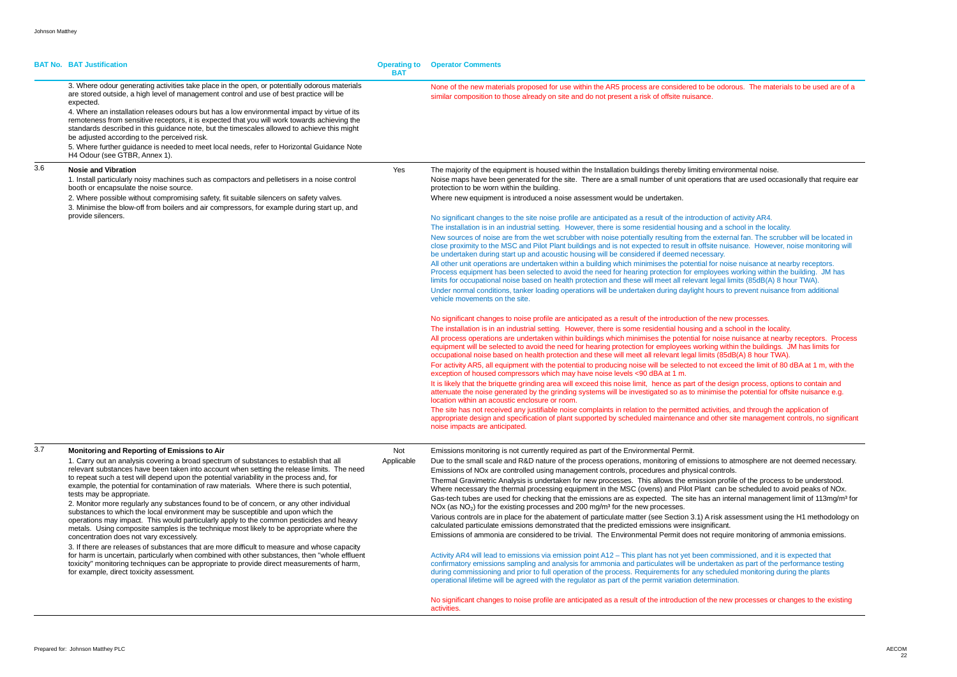|     | <b>BAT No. BAT Justification</b>                                                                                                                                                                                                                                                                                                                                                                                                                                                                                                                                                                                                                                                                                                                                                                                                                                                                                                                                                                                                                                                                                                                                                                                        | <b>Operating to</b><br><b>BAT</b> | <b>Operator Comments</b>                                                                                                                                                                                                                                                                                                                                                                                                                                                                                                                                                                                                                                                                                                                                                                                                                                                                                                                                                                                                                                                                                                                                                                                                                                                                                                                                                                                                                                                                                                                                                                                                                                                                                                                                                                                                                                                                                                                                                                                                                                                                                                                                                                                                                                                                                                                                                                                                                                                                                                                                                                                                                                                                                                                                                                                                                                                                                                                                                                                                                                                                           |
|-----|-------------------------------------------------------------------------------------------------------------------------------------------------------------------------------------------------------------------------------------------------------------------------------------------------------------------------------------------------------------------------------------------------------------------------------------------------------------------------------------------------------------------------------------------------------------------------------------------------------------------------------------------------------------------------------------------------------------------------------------------------------------------------------------------------------------------------------------------------------------------------------------------------------------------------------------------------------------------------------------------------------------------------------------------------------------------------------------------------------------------------------------------------------------------------------------------------------------------------|-----------------------------------|----------------------------------------------------------------------------------------------------------------------------------------------------------------------------------------------------------------------------------------------------------------------------------------------------------------------------------------------------------------------------------------------------------------------------------------------------------------------------------------------------------------------------------------------------------------------------------------------------------------------------------------------------------------------------------------------------------------------------------------------------------------------------------------------------------------------------------------------------------------------------------------------------------------------------------------------------------------------------------------------------------------------------------------------------------------------------------------------------------------------------------------------------------------------------------------------------------------------------------------------------------------------------------------------------------------------------------------------------------------------------------------------------------------------------------------------------------------------------------------------------------------------------------------------------------------------------------------------------------------------------------------------------------------------------------------------------------------------------------------------------------------------------------------------------------------------------------------------------------------------------------------------------------------------------------------------------------------------------------------------------------------------------------------------------------------------------------------------------------------------------------------------------------------------------------------------------------------------------------------------------------------------------------------------------------------------------------------------------------------------------------------------------------------------------------------------------------------------------------------------------------------------------------------------------------------------------------------------------------------------------------------------------------------------------------------------------------------------------------------------------------------------------------------------------------------------------------------------------------------------------------------------------------------------------------------------------------------------------------------------------------------------------------------------------------------------------------------------------|
|     | 3. Where odour generating activities take place in the open, or potentially odorous materials<br>are stored outside, a high level of management control and use of best practice will be<br>expected.<br>4. Where an installation releases odours but has a low environmental impact by virtue of its<br>remoteness from sensitive receptors, it is expected that you will work towards achieving the<br>standards described in this guidance note, but the timescales allowed to achieve this might<br>be adjusted according to the perceived risk.<br>5. Where further guidance is needed to meet local needs, refer to Horizontal Guidance Note<br>H4 Odour (see GTBR, Annex 1).                                                                                                                                                                                                                                                                                                                                                                                                                                                                                                                                     |                                   | None of the new materials proposed for use within the AR5 process are considered to be odorous. The materials to be used are<br>similar composition to those already on site and do not present a risk of offsite nuisance.                                                                                                                                                                                                                                                                                                                                                                                                                                                                                                                                                                                                                                                                                                                                                                                                                                                                                                                                                                                                                                                                                                                                                                                                                                                                                                                                                                                                                                                                                                                                                                                                                                                                                                                                                                                                                                                                                                                                                                                                                                                                                                                                                                                                                                                                                                                                                                                                                                                                                                                                                                                                                                                                                                                                                                                                                                                                        |
| 3.6 | <b>Nosie and Vibration</b><br>1. Install particularly noisy machines such as compactors and pelletisers in a noise control<br>booth or encapsulate the noise source.<br>2. Where possible without compromising safety, fit suitable silencers on safety valves.<br>3. Minimise the blow-off from boilers and air compressors, for example during start up, and<br>provide silencers.                                                                                                                                                                                                                                                                                                                                                                                                                                                                                                                                                                                                                                                                                                                                                                                                                                    | Yes                               | The majority of the equipment is housed within the Installation buildings thereby limiting environmental noise.<br>Noise maps have been generated for the site. There are a small number of unit operations that are used occasionally that require<br>protection to be worn within the building.<br>Where new equipment is introduced a noise assessment would be undertaken.<br>No significant changes to the site noise profile are anticipated as a result of the introduction of activity AR4.<br>The installation is in an industrial setting. However, there is some residential housing and a school in the locality.<br>New sources of noise are from the wet scrubber with noise potentially resulting from the external fan. The scrubber will be located<br>close proximity to the MSC and Pilot Plant buildings and is not expected to result in offsite nuisance. However, noise monitoring<br>be undertaken during start up and acoustic housing will be considered if deemed necessary.<br>All other unit operations are undertaken within a building which minimises the potential for noise nuisance at nearby receptors.<br>Process equipment has been selected to avoid the need for hearing protection for employees working within the building. JM has<br>limits for occupational noise based on health protection and these will meet all relevant legal limits (85dB(A) 8 hour TWA).<br>Under normal conditions, tanker loading operations will be undertaken during daylight hours to prevent nuisance from additional<br>vehicle movements on the site.<br>No significant changes to noise profile are anticipated as a result of the introduction of the new processes.<br>The installation is in an industrial setting. However, there is some residential housing and a school in the locality.<br>All process operations are undertaken within buildings which minimises the potential for noise nuisance at nearby receptors. Pro<br>equipment will be selected to avoid the need for hearing protection for employees working within the buildings. JM has limits for<br>occupational noise based on health protection and these will meet all relevant legal limits (85dB(A) 8 hour TWA).<br>For activity AR5, all equipment with the potential to producing noise will be selected to not exceed the limit of 80 dBA at 1 m, with<br>exception of housed compressors which may have noise levels <90 dBA at 1 m.<br>It is likely that the briquette grinding area will exceed this noise limit, hence as part of the design process, options to contain and<br>attenuate the noise generated by the grinding systems will be investigated so as to minimise the potential for offsite nuisance e.g.<br>location within an acoustic enclosure or room.<br>The site has not received any justifiable noise complaints in relation to the permitted activities, and through the application of<br>appropriate design and specification of plant supported by scheduled maintenance and other site management controls, no signif<br>noise impacts are anticipated. |
| 3.7 | Monitoring and Reporting of Emissions to Air<br>1. Carry out an analysis covering a broad spectrum of substances to establish that all<br>relevant substances have been taken into account when setting the release limits. The need<br>to repeat such a test will depend upon the potential variability in the process and, for<br>example, the potential for contamination of raw materials. Where there is such potential,<br>tests may be appropriate.<br>2. Monitor more regularly any substances found to be of concern, or any other individual<br>substances to which the local environment may be susceptible and upon which the<br>operations may impact. This would particularly apply to the common pesticides and heavy<br>metals. Using composite samples is the technique most likely to be appropriate where the<br>concentration does not vary excessively.<br>3. If there are releases of substances that are more difficult to measure and whose capacity<br>for harm is uncertain, particularly when combined with other substances, then "whole effluent<br>toxicity" monitoring techniques can be appropriate to provide direct measurements of harm,<br>for example, direct toxicity assessment. | Not<br>Applicable                 | Emissions monitoring is not currently required as part of the Environmental Permit.<br>Due to the small scale and R&D nature of the process operations, monitoring of emissions to atmosphere are not deemed necess<br>Emissions of NOx are controlled using management controls, procedures and physical controls.<br>Thermal Gravimetric Analysis is undertaken for new processes. This allows the emission profile of the process to be understood.<br>Where necessary the thermal processing equipment in the MSC (ovens) and Pilot Plant can be scheduled to avoid peaks of NO><br>Gas-tech tubes are used for checking that the emissions are as expected. The site has an internal management limit of 113mg/n<br>$NOx$ (as $NO2$ ) for the existing processes and 200 mg/m <sup>3</sup> for the new processes.<br>Various controls are in place for the abatement of particulate matter (see Section 3.1) A risk assessment using the H1 methodolog<br>calculated particulate emissions demonstrated that the predicted emissions were insignificant.<br>Emissions of ammonia are considered to be trivial. The Environmental Permit does not require monitoring of ammonia emissions<br>Activity AR4 will lead to emissions via emission point A12 - This plant has not yet been commissioned, and it is expected that<br>confirmatory emissions sampling and analysis for ammonia and particulates will be undertaken as part of the performance testing<br>during commissioning and prior to full operation of the process. Requirements for any scheduled monitoring during the plants<br>operational lifetime will be agreed with the regulator as part of the permit variation determination.<br>No significant changes to noise profile are anticipated as a result of the introduction of the new processes or changes to the exist<br>activities.                                                                                                                                                                                                                                                                                                                                                                                                                                                                                                                                                                                                                                                                                                                                                                                                                                                                                                                                                                                                                                                                                                                                                                                                                                 |

orous. The materials to be used are of a

ronmental noise. hat are used occasionally that require ear

ernal fan. The scrubber will be located in isance. However, noise monitoring will

e nuisance at nearby receptors. Process

 $\kappa$ ceed the limit of 80 dBA at 1 m, with the selected to noise  $\kappa$ 

s, and through the application of site management controls, no significant

but atmosphere are not deemed necessary.

ofile of the process to be understood. be scheduled to avoid peaks of NOx. nternal management limit of 113mg/m<sup>3</sup> for

assessment using the H1 methodology on

ew processes or changes to the existing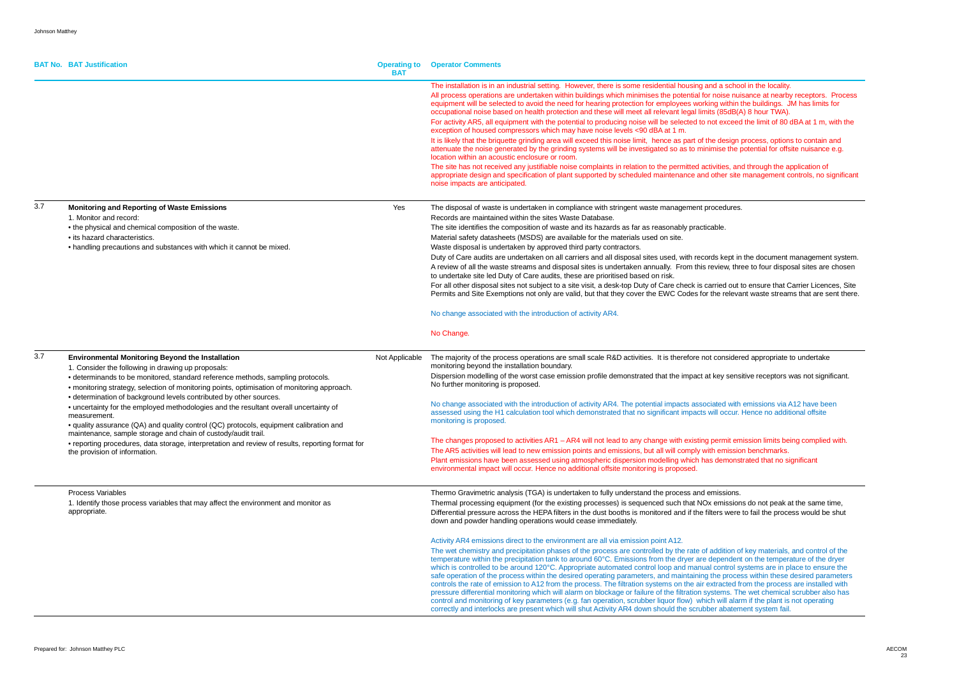|     | <b>BAT No. BAT Justification</b>                                                                                                                                                                                                                                                                                                                                                                                                                                                                                                                                                                                                                                                                                                                                               | <b>Operating to</b><br><b>BAT</b> | <b>Operator Comments</b>                                                                                                                                                                                                                                                                                                                                                                                                                                                                                                                                                                                                                                                                                                                                                                                                                                                                                                                                                                                                                                                                                                                                                                                                                                                                                                                                                                                                                                                                                                                                                                                          |
|-----|--------------------------------------------------------------------------------------------------------------------------------------------------------------------------------------------------------------------------------------------------------------------------------------------------------------------------------------------------------------------------------------------------------------------------------------------------------------------------------------------------------------------------------------------------------------------------------------------------------------------------------------------------------------------------------------------------------------------------------------------------------------------------------|-----------------------------------|-------------------------------------------------------------------------------------------------------------------------------------------------------------------------------------------------------------------------------------------------------------------------------------------------------------------------------------------------------------------------------------------------------------------------------------------------------------------------------------------------------------------------------------------------------------------------------------------------------------------------------------------------------------------------------------------------------------------------------------------------------------------------------------------------------------------------------------------------------------------------------------------------------------------------------------------------------------------------------------------------------------------------------------------------------------------------------------------------------------------------------------------------------------------------------------------------------------------------------------------------------------------------------------------------------------------------------------------------------------------------------------------------------------------------------------------------------------------------------------------------------------------------------------------------------------------------------------------------------------------|
|     |                                                                                                                                                                                                                                                                                                                                                                                                                                                                                                                                                                                                                                                                                                                                                                                |                                   | The installation is in an industrial setting. However, there is some residential housing and a school in the locality.<br>All process operations are undertaken within buildings which minimises the potential for noise nuisance at nearby receptors. Pr<br>equipment will be selected to avoid the need for hearing protection for employees working within the buildings. JM has limits for<br>occupational noise based on health protection and these will meet all relevant legal limits (85dB(A) 8 hour TWA).<br>For activity AR5, all equipment with the potential to producing noise will be selected to not exceed the limit of 80 dBA at 1 m, wit<br>exception of housed compressors which may have noise levels <90 dBA at 1 m.<br>It is likely that the briquette grinding area will exceed this noise limit, hence as part of the design process, options to contain and<br>attenuate the noise generated by the grinding systems will be investigated so as to minimise the potential for offsite nuisance e.<br>location within an acoustic enclosure or room.<br>The site has not received any justifiable noise complaints in relation to the permitted activities, and through the application of<br>appropriate design and specification of plant supported by scheduled maintenance and other site management controls, no sign<br>noise impacts are anticipated.                                                                                                                                                                                                                             |
| 3.7 | <b>Monitoring and Reporting of Waste Emissions</b><br>1. Monitor and record:<br>• the physical and chemical composition of the waste.<br>• its hazard characteristics.<br>• handling precautions and substances with which it cannot be mixed.                                                                                                                                                                                                                                                                                                                                                                                                                                                                                                                                 | Yes                               | The disposal of waste is undertaken in compliance with stringent waste management procedures.<br>Records are maintained within the sites Waste Database.<br>The site identifies the composition of waste and its hazards as far as reasonably practicable.<br>Material safety datasheets (MSDS) are available for the materials used on site.<br>Waste disposal is undertaken by approved third party contractors.<br>Duty of Care audits are undertaken on all carriers and all disposal sites used, with records kept in the document management st<br>A review of all the waste streams and disposal sites is undertaken annually. From this review, three to four disposal sites are ch<br>to undertake site led Duty of Care audits, these are prioritised based on risk.<br>For all other disposal sites not subject to a site visit, a desk-top Duty of Care check is carried out to ensure that Carrier Licences<br>Permits and Site Exemptions not only are valid, but that they cover the EWC Codes for the relevant waste streams that are sent<br>No change associated with the introduction of activity AR4.<br>No Change.                                                                                                                                                                                                                                                                                                                                                                                                                                                                           |
| 3.7 | <b>Environmental Monitoring Beyond the Installation</b><br>1. Consider the following in drawing up proposals:<br>• determinands to be monitored, standard reference methods, sampling protocols.<br>• monitoring strategy, selection of monitoring points, optimisation of monitoring approach.<br>• determination of background levels contributed by other sources.<br>• uncertainty for the employed methodologies and the resultant overall uncertainty of<br>measurement.<br>• quality assurance (QA) and quality control (QC) protocols, equipment calibration and<br>maintenance, sample storage and chain of custody/audit trail.<br>• reporting procedures, data storage, interpretation and review of results, reporting format for<br>the provision of information. | Not Applicable                    | The majority of the process operations are small scale R&D activities. It is therefore not considered appropriate to undertake<br>monitoring beyond the installation boundary.<br>Dispersion modelling of the worst case emission profile demonstrated that the impact at key sensitive receptors was not significa<br>No further monitoring is proposed.<br>No change associated with the introduction of activity AR4. The potential impacts associated with emissions via A12 have been<br>assessed using the H1 calculation tool which demonstrated that no significant impacts will occur. Hence no additional offsite<br>monitoring is proposed.<br>The changes proposed to activities AR1 - AR4 will not lead to any change with existing permit emission limits being complied w<br>The AR5 activities will lead to new emission points and emissions, but all will comply with emission benchmarks.<br>Plant emissions have been assessed using atmospheric dispersion modelling which has demonstrated that no significant<br>environmental impact will occur. Hence no additional offsite monitoring is proposed.                                                                                                                                                                                                                                                                                                                                                                                                                                                                                      |
|     | Process Variables<br>1. Identify those process variables that may affect the environment and monitor as<br>appropriate.                                                                                                                                                                                                                                                                                                                                                                                                                                                                                                                                                                                                                                                        |                                   | Thermo Gravimetric analysis (TGA) is undertaken to fully understand the process and emissions.<br>Thermal processing equipment (for the existing processes) is sequenced such that NOx emissions do not peak at the same time<br>Differential pressure across the HEPA filters in the dust booths is monitored and if the filters were to fail the process would be sh<br>down and powder handling operations would cease immediately.<br>Activity AR4 emissions direct to the environment are all via emission point A12.<br>The wet chemistry and precipitation phases of the process are controlled by the rate of addition of key materials, and control of t<br>temperature within the precipitation tank to around 60°C. Emissions from the dryer are dependent on the temperature of the dry<br>which is controlled to be around 120°C. Appropriate automated control loop and manual control systems are in place to ensure t<br>safe operation of the process within the desired operating parameters, and maintaining the process within these desired parame<br>controls the rate of emission to A12 from the process. The filtration systems on the air extracted from the process are installed w<br>pressure differential monitoring which will alarm on blockage or failure of the filtration systems. The wet chemical scrubber also I<br>control and monitoring of key parameters (e.g. fan operation, scrubber liquor flow) which will alarm if the plant is not operating<br>correctly and interlocks are present which will shut Activity AR4 down should the scrubber abatement system fail. |

**is only in the locality.** bise nuisance at nearby receptors. Process exceed the limit of 80 dBA at 1 m, with the

ties, and through the application of ner site management controls, no significant

kept in the document management system. iew, three to four disposal sites are chosen

ed out to ensure that Carrier Licences, Site Prelevant waste streams that are sent there.

By sensitive receptors was not significant.

rmit emission limits being complied with. emission benchmarks. emonstrated that no significant

missions do not peak at the same time, were to fail the process would be shut

dition of key materials, and control of the endent on the temperature of the dryer ontrol systems are in place to ensure the process within these desired parameters acted from the process are installed with ems. The wet chemical scrubber also has will alarm if the plant is not operating abatement system fail.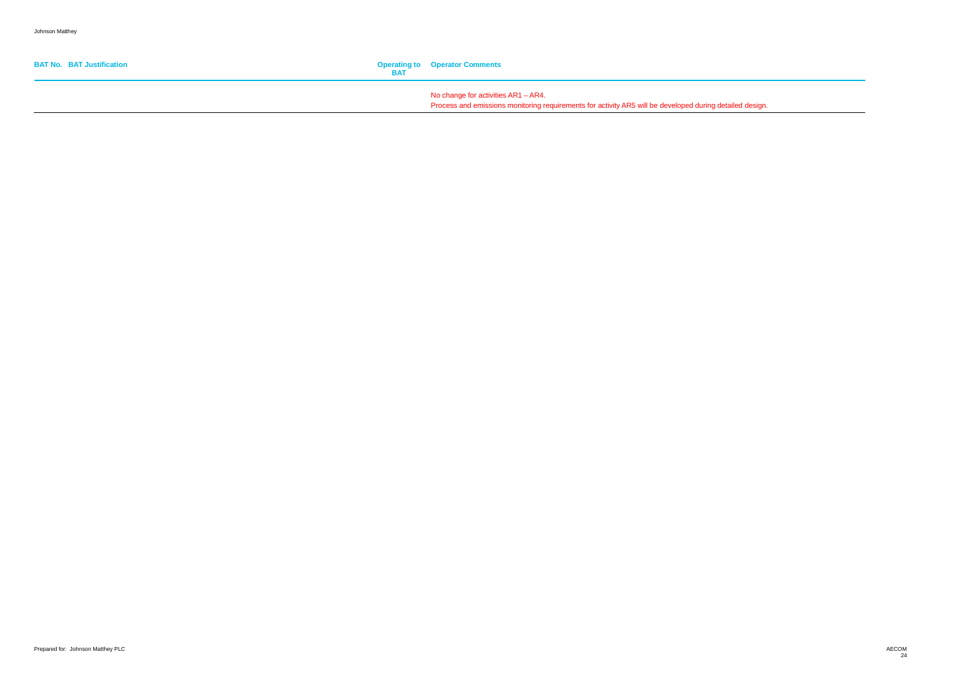| <b>BAT No. BAT Justification</b> | <b>Operating to Operator Comments</b>                                                                                                              |
|----------------------------------|----------------------------------------------------------------------------------------------------------------------------------------------------|
|                                  | No change for activities $AR1 - AR4$ .<br>Process and emissions monitoring requirements for activity AR5 will be developed during detailed design. |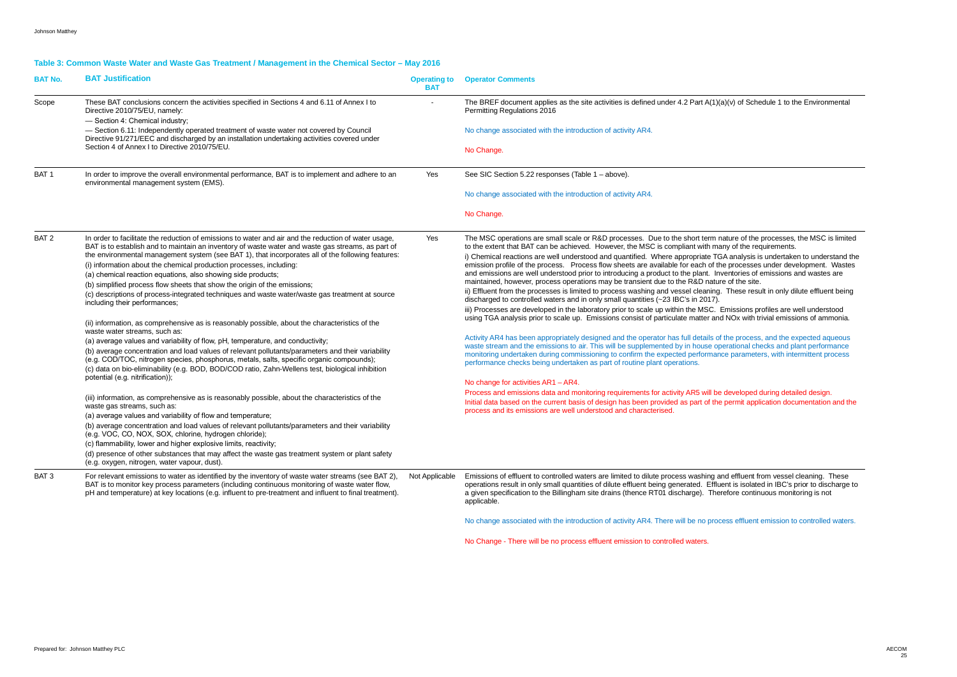### **Table 3: Common Waste Water and Waste Gas Treatment / Management in the Chemical Sector – May 2016**

| <b>BAT No.</b>   | <b>BAT Justification</b>                                                                                                                                                                                                                                                                                       | <b>Operating to</b><br><b>BAT</b> | <b>Operator Comments</b>                                                                                                                                                                                                                                                                                                                                                                              |  |  |  |  |
|------------------|----------------------------------------------------------------------------------------------------------------------------------------------------------------------------------------------------------------------------------------------------------------------------------------------------------------|-----------------------------------|-------------------------------------------------------------------------------------------------------------------------------------------------------------------------------------------------------------------------------------------------------------------------------------------------------------------------------------------------------------------------------------------------------|--|--|--|--|
| Scope            | These BAT conclusions concern the activities specified in Sections 4 and 6.11 of Annex I to<br>Directive 2010/75/EU, namely:<br>- Section 4: Chemical industry;                                                                                                                                                |                                   | The BREF document applies as the site activities is defined under 4.2 Part A(1)(a)(v) of Schedule 1 to the Environmental<br>Permitting Regulations 2016                                                                                                                                                                                                                                               |  |  |  |  |
|                  | - Section 6.11: Independently operated treatment of waste water not covered by Council<br>Directive 91/271/EEC and discharged by an installation undertaking activities covered under                                                                                                                          |                                   | No change associated with the introduction of activity AR4.                                                                                                                                                                                                                                                                                                                                           |  |  |  |  |
|                  | Section 4 of Annex I to Directive 2010/75/EU.                                                                                                                                                                                                                                                                  |                                   | No Change.                                                                                                                                                                                                                                                                                                                                                                                            |  |  |  |  |
| BAT <sub>1</sub> | In order to improve the overall environmental performance, BAT is to implement and adhere to an<br>environmental management system (EMS).                                                                                                                                                                      | Yes                               | See SIC Section 5.22 responses (Table 1 - above).                                                                                                                                                                                                                                                                                                                                                     |  |  |  |  |
|                  |                                                                                                                                                                                                                                                                                                                |                                   | No change associated with the introduction of activity AR4.                                                                                                                                                                                                                                                                                                                                           |  |  |  |  |
|                  |                                                                                                                                                                                                                                                                                                                |                                   | No Change.                                                                                                                                                                                                                                                                                                                                                                                            |  |  |  |  |
| BAT <sub>2</sub> | In order to facilitate the reduction of emissions to water and air and the reduction of water usage,<br>BAT is to establish and to maintain an inventory of waste water and waste gas streams, as part of                                                                                                      | Yes                               | The MSC operations are small scale or R&D processes. Due to the short term nature of the processes, the MSC is limited<br>to the extent that BAT can be achieved. However, the MSC is compliant with many of the requirements.                                                                                                                                                                        |  |  |  |  |
|                  | the environmental management system (see BAT 1), that incorporates all of the following features:                                                                                                                                                                                                              |                                   | i) Chemical reactions are well understood and quantified. Where appropriate TGA analysis is undertaken to understand the                                                                                                                                                                                                                                                                              |  |  |  |  |
|                  | (i) information about the chemical production processes, including:                                                                                                                                                                                                                                            |                                   | emission profile of the process. Process flow sheets are available for each of the processes under development. Wastes<br>and emissions are well understood prior to introducing a product to the plant. Inventories of emissions and wastes are                                                                                                                                                      |  |  |  |  |
|                  | (a) chemical reaction equations, also showing side products;                                                                                                                                                                                                                                                   |                                   | maintained, however, process operations may be transient due to the R&D nature of the site.                                                                                                                                                                                                                                                                                                           |  |  |  |  |
|                  | (b) simplified process flow sheets that show the origin of the emissions;<br>(c) descriptions of process-integrated techniques and waste water/waste gas treatment at source<br>including their performances;                                                                                                  |                                   | ii) Effluent from the processes is limited to process washing and vessel cleaning. These result in only dilute effluent being<br>discharged to controlled waters and in only small quantities (~23 IBC's in 2017).                                                                                                                                                                                    |  |  |  |  |
|                  |                                                                                                                                                                                                                                                                                                                |                                   | iii) Processes are developed in the laboratory prior to scale up within the MSC. Emissions profiles are well understood                                                                                                                                                                                                                                                                               |  |  |  |  |
|                  | (ii) information, as comprehensive as is reasonably possible, about the characteristics of the<br>waste water streams, such as:                                                                                                                                                                                |                                   | using TGA analysis prior to scale up. Emissions consist of particulate matter and NOx with trivial emissions of ammonia.                                                                                                                                                                                                                                                                              |  |  |  |  |
|                  | (a) average values and variability of flow, pH, temperature, and conductivity;                                                                                                                                                                                                                                 |                                   | Activity AR4 has been appropriately designed and the operator has full details of the process, and the expected aqueous                                                                                                                                                                                                                                                                               |  |  |  |  |
|                  | (b) average concentration and load values of relevant pollutants/parameters and their variability<br>(e.g. COD/TOC, nitrogen species, phosphorus, metals, salts, specific organic compounds);<br>(c) data on bio-eliminability (e.g. BOD, BOD/COD ratio, Zahn-Wellens test, biological inhibition              |                                   | waste stream and the emissions to air. This will be supplemented by in house operational checks and plant performance<br>monitoring undertaken during commissioning to confirm the expected performance parameters, with intermittent process<br>performance checks being undertaken as part of routine plant operations.                                                                             |  |  |  |  |
|                  | potential (e.g. nitrification));                                                                                                                                                                                                                                                                               |                                   | No change for activities AR1 - AR4.                                                                                                                                                                                                                                                                                                                                                                   |  |  |  |  |
|                  | (iii) information, as comprehensive as is reasonably possible, about the characteristics of the<br>waste gas streams, such as:                                                                                                                                                                                 |                                   | Process and emissions data and monitoring requirements for activity AR5 will be developed during detailed design.<br>Initial data based on the current basis of design has been provided as part of the permit application documentation and the                                                                                                                                                      |  |  |  |  |
|                  | (a) average values and variability of flow and temperature;                                                                                                                                                                                                                                                    |                                   | process and its emissions are well understood and characterised.                                                                                                                                                                                                                                                                                                                                      |  |  |  |  |
|                  | (b) average concentration and load values of relevant pollutants/parameters and their variability<br>(e.g. VOC, CO, NOX, SOX, chlorine, hydrogen chloride);                                                                                                                                                    |                                   |                                                                                                                                                                                                                                                                                                                                                                                                       |  |  |  |  |
|                  | (c) flammability, lower and higher explosive limits, reactivity;                                                                                                                                                                                                                                               |                                   |                                                                                                                                                                                                                                                                                                                                                                                                       |  |  |  |  |
|                  | (d) presence of other substances that may affect the waste gas treatment system or plant safety<br>(e.g. oxygen, nitrogen, water vapour, dust).                                                                                                                                                                |                                   |                                                                                                                                                                                                                                                                                                                                                                                                       |  |  |  |  |
| BAT <sub>3</sub> | For relevant emissions to water as identified by the inventory of waste water streams (see BAT 2),<br>BAT is to monitor key process parameters (including continuous monitoring of waste water flow,<br>pH and temperature) at key locations (e.g. influent to pre-treatment and influent to final treatment). | Not Applicable                    | Emissions of effluent to controlled waters are limited to dilute process washing and effluent from vessel cleaning. These<br>operations result in only small quantities of dilute effluent being generated. Effluent is isolated in IBC's prior to discharge to<br>a given specification to the Billingham site drains (thence RT01 discharge). Therefore continuous monitoring is not<br>applicable. |  |  |  |  |
|                  |                                                                                                                                                                                                                                                                                                                |                                   | No change associated with the introduction of activity AR4. There will be no process effluent emission to controlled waters.                                                                                                                                                                                                                                                                          |  |  |  |  |

No Change - There will be no process effluent emission to controlled waters.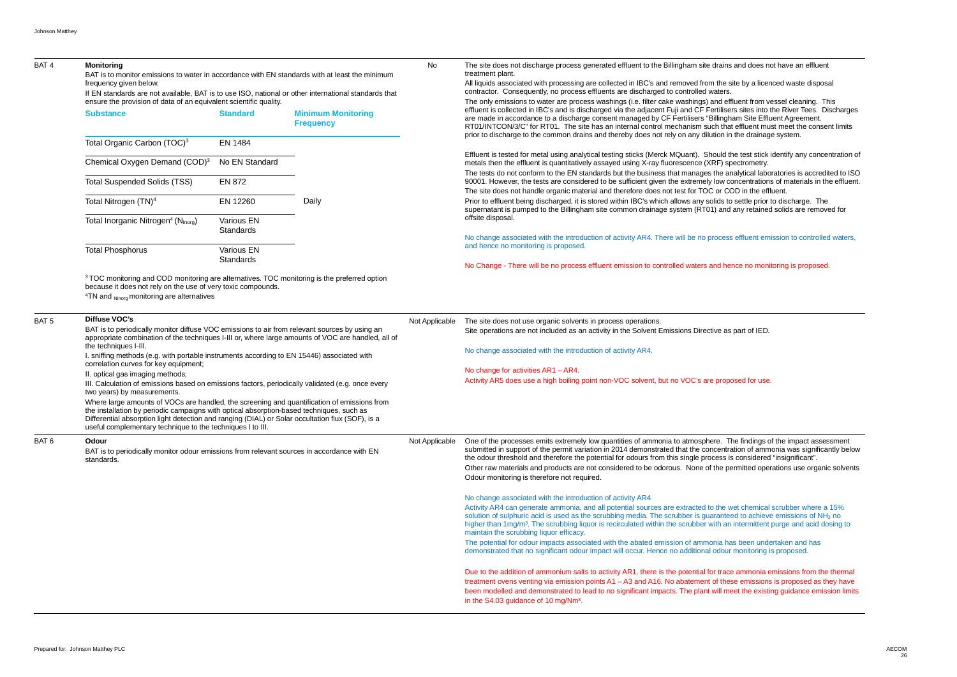| BAT <sub>4</sub> | <b>Monitoring</b><br>BAT is to monitor emissions to water in accordance with EN standards with at least the minimum<br>frequency given below.<br>If EN standards are not available, BAT is to use ISO, national or other international standards that<br>ensure the provision of data of an equivalent scientific quality.                                |                                                                                                                                                                                                                                      |       | No             | The site does not discharge process generated effluent to the Billingham site drains<br>treatment plant.<br>All liquids associated with processing are collected in IBC's and removed from the s<br>contractor. Consequently, no process effluents are discharged to controlled waters.<br>The only emissions to water are process washings (i.e. filter cake washings) and eff                                                                                                                                                                                       |
|------------------|-----------------------------------------------------------------------------------------------------------------------------------------------------------------------------------------------------------------------------------------------------------------------------------------------------------------------------------------------------------|--------------------------------------------------------------------------------------------------------------------------------------------------------------------------------------------------------------------------------------|-------|----------------|-----------------------------------------------------------------------------------------------------------------------------------------------------------------------------------------------------------------------------------------------------------------------------------------------------------------------------------------------------------------------------------------------------------------------------------------------------------------------------------------------------------------------------------------------------------------------|
|                  | <b>Substance</b><br><b>Minimum Monitoring</b><br><b>Standard</b><br><b>Frequency</b>                                                                                                                                                                                                                                                                      |                                                                                                                                                                                                                                      |       |                | effluent is collected in IBC's and is discharged via the adjacent Fuji and CF Fertilise<br>are made in accordance to a discharge consent managed by CF Fertilisers "Billingh<br>RT01/INTCON/3/C" for RT01. The site has an internal control mechanism such tha                                                                                                                                                                                                                                                                                                        |
|                  | Total Organic Carbon (TOC) <sup>3</sup>                                                                                                                                                                                                                                                                                                                   | EN 1484                                                                                                                                                                                                                              |       |                | prior to discharge to the common drains and thereby does not rely on any dilution ir                                                                                                                                                                                                                                                                                                                                                                                                                                                                                  |
|                  | Chemical Oxygen Demand (COD) <sup>3</sup>                                                                                                                                                                                                                                                                                                                 | No EN Standard                                                                                                                                                                                                                       | Daily |                | Effluent is tested for metal using analytical testing sticks (Merck MQuant). Should tl<br>metals then the effluent is quantitatively assayed using X-ray fluorescence (XRF) sp                                                                                                                                                                                                                                                                                                                                                                                        |
|                  | <b>Total Suspended Solids (TSS)</b>                                                                                                                                                                                                                                                                                                                       | <b>EN 872</b>                                                                                                                                                                                                                        |       |                | The tests do not conform to the EN standards but the business that manages the ar<br>90001. However, the tests are considered to be sufficient given the extremely low co<br>The site does not handle organic material and therefore does not test for TOC or CO                                                                                                                                                                                                                                                                                                      |
|                  | Total Nitrogen (TN) <sup>4</sup>                                                                                                                                                                                                                                                                                                                          | EN 12260                                                                                                                                                                                                                             |       |                | Prior to effluent being discharged, it is stored within IBC's which allows any solids to<br>supernatant is pumped to the Billingham site common drainage system (RT01) and                                                                                                                                                                                                                                                                                                                                                                                            |
|                  | Total Inorganic Nitrogen <sup>4</sup> (Ninorg)                                                                                                                                                                                                                                                                                                            | Various EN<br><b>Standards</b>                                                                                                                                                                                                       |       |                | offsite disposal.                                                                                                                                                                                                                                                                                                                                                                                                                                                                                                                                                     |
|                  | <b>Total Phosphorus</b>                                                                                                                                                                                                                                                                                                                                   | Various EN                                                                                                                                                                                                                           |       |                | No change associated with the introduction of activity AR4. There will be no process<br>and hence no monitoring is proposed.                                                                                                                                                                                                                                                                                                                                                                                                                                          |
|                  |                                                                                                                                                                                                                                                                                                                                                           | <b>Standards</b>                                                                                                                                                                                                                     |       |                | No Change - There will be no process effluent emission to controlled waters and he                                                                                                                                                                                                                                                                                                                                                                                                                                                                                    |
|                  |                                                                                                                                                                                                                                                                                                                                                           | <sup>3</sup> TOC monitoring and COD monitoring are alternatives. TOC monitoring is the preferred option<br>because it does not rely on the use of very toxic compounds.<br>$4$ TN and $_{\text{Ninorg}}$ monitoring are alternatives |       |                |                                                                                                                                                                                                                                                                                                                                                                                                                                                                                                                                                                       |
| BAT <sub>5</sub> | <b>Diffuse VOC's</b><br>BAT is to periodically monitor diffuse VOC emissions to air from relevant sources by using an<br>appropriate combination of the techniques I-III or, where large amounts of VOC are handled, all of<br>the techniques I-III.                                                                                                      |                                                                                                                                                                                                                                      |       | Not Applicable | The site does not use organic solvents in process operations.<br>Site operations are not included as an activity in the Solvent Emissions Directive as                                                                                                                                                                                                                                                                                                                                                                                                                |
|                  | I. sniffing methods (e.g. with portable instruments according to EN 15446) associated with<br>correlation curves for key equipment;                                                                                                                                                                                                                       |                                                                                                                                                                                                                                      |       |                | No change associated with the introduction of activity AR4.                                                                                                                                                                                                                                                                                                                                                                                                                                                                                                           |
|                  | II. optical gas imaging methods;<br>III. Calculation of emissions based on emissions factors, periodically validated (e.g. once every<br>two years) by measurements.                                                                                                                                                                                      |                                                                                                                                                                                                                                      |       |                | No change for activities AR1 - AR4.<br>Activity AR5 does use a high boiling point non-VOC solvent, but no VOC's are prop                                                                                                                                                                                                                                                                                                                                                                                                                                              |
|                  | Where large amounts of VOCs are handled, the screening and quantification of emissions from<br>the installation by periodic campaigns with optical absorption-based techniques, such as<br>Differential absorption light detection and ranging (DIAL) or Solar occultation flux (SOF), is a<br>useful complementary technique to the techniques I to III. |                                                                                                                                                                                                                                      |       |                |                                                                                                                                                                                                                                                                                                                                                                                                                                                                                                                                                                       |
| BAT <sub>6</sub> | Odour<br>BAT is to periodically monitor odour emissions from relevant sources in accordance with EN<br>standards.                                                                                                                                                                                                                                         |                                                                                                                                                                                                                                      |       | Not Applicable | One of the processes emits extremely low quantities of ammonia to atmosphere. T<br>submitted in support of the permit variation in 2014 demonstrated that the concentra<br>the odour threshold and therefore the potential for odours from this single process is<br>Other raw materials and products are not considered to be odorous. None of the per-<br>Odour monitoring is therefore not required.                                                                                                                                                               |
|                  |                                                                                                                                                                                                                                                                                                                                                           |                                                                                                                                                                                                                                      |       |                | No change associated with the introduction of activity AR4<br>Activity AR4 can generate ammonia, and all potential sources are extracted to the v<br>solution of sulphuric acid is used as the scrubbing media. The scrubber is guaranted<br>higher than 1mg/m <sup>3</sup> . The scrubbing liquor is recirculated within the scrubber with an<br>maintain the scrubbing liquor efficacy.<br>The potential for odour impacts associated with the abated emission of ammonia ha<br>demonstrated that no significant odour impact will occur. Hence no additional odour |
|                  |                                                                                                                                                                                                                                                                                                                                                           |                                                                                                                                                                                                                                      |       |                | Due to the addition of ammonium salts to activity AR1, there is the potential for trace<br>treatment ovens venting via emission points A1 - A3 and A16. No abatement of the<br>been modelled and demonstrated to lead to no significant impacts. The plant will me<br>in the S4.03 guidance of 10 mg/Nm <sup>3</sup> .                                                                                                                                                                                                                                                |

ins and does not have an effluent

ne site by a licenced waste disposal

effluent from vessel cleaning. This lisers sites into the River Tees. Discharges agham Site Effluent Agreement. that effluent must meet the consent limits n in the drainage system.

Id the test stick identify any concentration of spectrometry.

analytical laboratories is accredited to ISO v concentrations of materials in the effluent. COD in the effluent.

s to settle prior to discharge. The

nd any retained solids are removed for

ess effluent emission to controlled waters,

hence no monitoring is proposed.

as part of IED.

oposed for use.

The findings of the impact assessment ntration of ammonia was significantly below ss is considered "insignificant".

permitted operations use organic solvents

he wet chemical scrubber where a 15% nteed to achieve emissions of NH<sub>3</sub> no an intermittent purge and acid dosing to

I has been undertaken and has bur monitoring is proposed.

ace ammonia emissions from the thermal hese emissions is proposed as they have meet the existing guidance emission limits.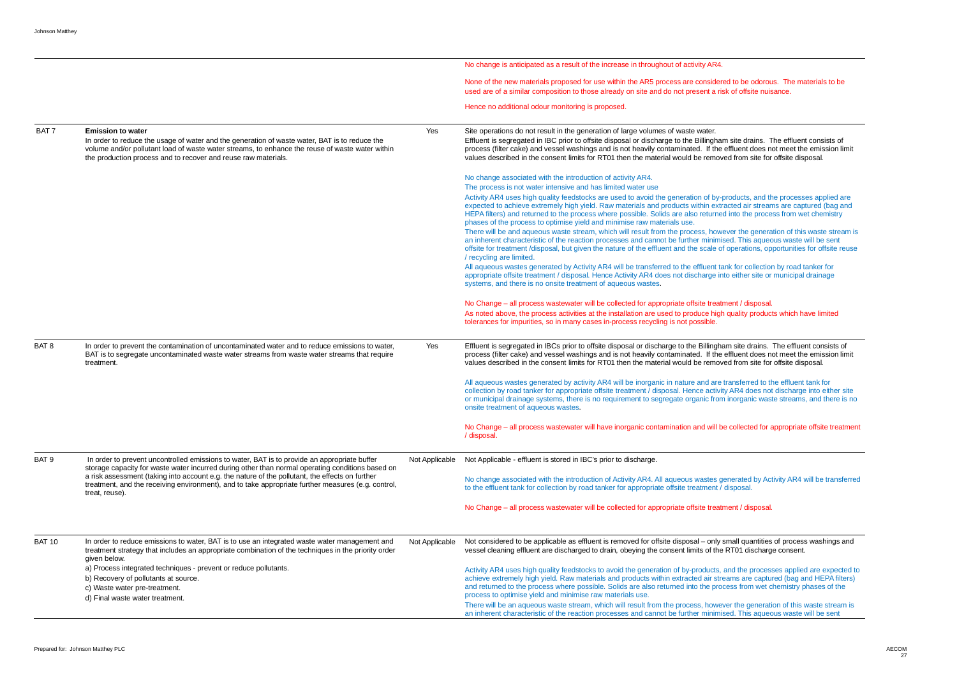|                  |                                                                                                                                                                                                                                                                                                |                | No change is anticipated as a result of the increase in throughout of activity AR4.                                                                                                                                                                                                                                                                                                                                                                                                                                                                                                                                                                                                                                                                                                                                                                                                                                                                                                                                                                                                                        |
|------------------|------------------------------------------------------------------------------------------------------------------------------------------------------------------------------------------------------------------------------------------------------------------------------------------------|----------------|------------------------------------------------------------------------------------------------------------------------------------------------------------------------------------------------------------------------------------------------------------------------------------------------------------------------------------------------------------------------------------------------------------------------------------------------------------------------------------------------------------------------------------------------------------------------------------------------------------------------------------------------------------------------------------------------------------------------------------------------------------------------------------------------------------------------------------------------------------------------------------------------------------------------------------------------------------------------------------------------------------------------------------------------------------------------------------------------------------|
|                  |                                                                                                                                                                                                                                                                                                |                | None of the new materials proposed for use within the AR5 process are considered<br>used are of a similar composition to those already on site and do not present a ris                                                                                                                                                                                                                                                                                                                                                                                                                                                                                                                                                                                                                                                                                                                                                                                                                                                                                                                                    |
|                  |                                                                                                                                                                                                                                                                                                |                | Hence no additional odour monitoring is proposed.                                                                                                                                                                                                                                                                                                                                                                                                                                                                                                                                                                                                                                                                                                                                                                                                                                                                                                                                                                                                                                                          |
| BAT <sub>7</sub> | <b>Emission to water</b><br>In order to reduce the usage of water and the generation of waste water, BAT is to reduce the<br>volume and/or pollutant load of waste water streams, to enhance the reuse of waste water within<br>the production process and to recover and reuse raw materials. | Yes            | Site operations do not result in the generation of large volumes of waste water.<br>Effluent is segregated in IBC prior to offsite disposal or discharge to the Billinghar<br>process (filter cake) and vessel washings and is not heavily contaminated. If the<br>values described in the consent limits for RT01 then the material would be remove                                                                                                                                                                                                                                                                                                                                                                                                                                                                                                                                                                                                                                                                                                                                                       |
|                  |                                                                                                                                                                                                                                                                                                |                | No change associated with the introduction of activity AR4.<br>The process is not water intensive and has limited water use<br>Activity AR4 uses high quality feedstocks are used to avoid the generation of by-p<br>expected to achieve extremely high yield. Raw materials and products within extra<br>HEPA filters) and returned to the process where possible. Solids are also returned<br>phases of the process to optimise yield and minimise raw materials use.<br>There will be and aqueous waste stream, which will result from the process, how<br>an inherent characteristic of the reaction processes and cannot be further minimis<br>offsite for treatment /disposal, but given the nature of the effluent and the scale of<br>/ recycling are limited.<br>All aqueous wastes generated by Activity AR4 will be transferred to the effluent ta<br>appropriate offsite treatment / disposal. Hence Activity AR4 does not discharge in<br>systems, and there is no onsite treatment of aqueous wastes.<br>No Change – all process wastewater will be collected for appropriate offsite treatr |
|                  |                                                                                                                                                                                                                                                                                                |                | As noted above, the process activities at the installation are used to produce high<br>tolerances for impurities, so in many cases in-process recycling is not possible.                                                                                                                                                                                                                                                                                                                                                                                                                                                                                                                                                                                                                                                                                                                                                                                                                                                                                                                                   |
| BAT <sub>8</sub> | In order to prevent the contamination of uncontaminated water and to reduce emissions to water,<br>BAT is to segregate uncontaminated waste water streams from waste water streams that require<br>treatment.                                                                                  | Yes            | Effluent is segregated in IBCs prior to offsite disposal or discharge to the Billingha<br>process (filter cake) and vessel washings and is not heavily contaminated. If the<br>values described in the consent limits for RT01 then the material would be remove                                                                                                                                                                                                                                                                                                                                                                                                                                                                                                                                                                                                                                                                                                                                                                                                                                           |
|                  |                                                                                                                                                                                                                                                                                                |                | All aqueous wastes generated by activity AR4 will be inorganic in nature and are<br>collection by road tanker for appropriate offsite treatment / disposal. Hence activity<br>or municipal drainage systems, there is no requirement to segregate organic from<br>onsite treatment of aqueous wastes.                                                                                                                                                                                                                                                                                                                                                                                                                                                                                                                                                                                                                                                                                                                                                                                                      |
|                  |                                                                                                                                                                                                                                                                                                |                | No Change – all process wastewater will have inorganic contamination and will be<br>/ disposal.                                                                                                                                                                                                                                                                                                                                                                                                                                                                                                                                                                                                                                                                                                                                                                                                                                                                                                                                                                                                            |
| BAT <sub>9</sub> | In order to prevent uncontrolled emissions to water, BAT is to provide an appropriate buffer<br>storage capacity for waste water incurred during other than normal operating conditions based on                                                                                               |                | Not Applicable - effluent is stored in IBC's prior to discharge.                                                                                                                                                                                                                                                                                                                                                                                                                                                                                                                                                                                                                                                                                                                                                                                                                                                                                                                                                                                                                                           |
|                  | a risk assessment (taking into account e.g. the nature of the pollutant, the effects on further<br>treatment, and the receiving environment), and to take appropriate further measures (e.g. control,<br>treat, reuse).                                                                        |                | No change associated with the introduction of Activity AR4. All aqueous wastes go<br>to the effluent tank for collection by road tanker for appropriate offsite treatment /                                                                                                                                                                                                                                                                                                                                                                                                                                                                                                                                                                                                                                                                                                                                                                                                                                                                                                                                |
|                  |                                                                                                                                                                                                                                                                                                |                | No Change - all process wastewater will be collected for appropriate offsite treatr                                                                                                                                                                                                                                                                                                                                                                                                                                                                                                                                                                                                                                                                                                                                                                                                                                                                                                                                                                                                                        |
| <b>BAT 10</b>    | In order to reduce emissions to water, BAT is to use an integrated waste water management and<br>treatment strategy that includes an appropriate combination of the techniques in the priority order<br>given below.                                                                           | Not Applicable | Not considered to be applicable as effluent is removed for offsite disposal - only s<br>vessel cleaning effluent are discharged to drain, obeying the consent limits of the                                                                                                                                                                                                                                                                                                                                                                                                                                                                                                                                                                                                                                                                                                                                                                                                                                                                                                                                |
|                  | a) Process integrated techniques - prevent or reduce pollutants.<br>b) Recovery of pollutants at source.<br>c) Waste water pre-treatment.<br>d) Final waste water treatment.                                                                                                                   |                | Activity AR4 uses high quality feedstocks to avoid the generation of by-products,<br>achieve extremely high yield. Raw materials and products within extracted air stre<br>and returned to the process where possible. Solids are also returned into the prod<br>process to optimise yield and minimise raw materials use.                                                                                                                                                                                                                                                                                                                                                                                                                                                                                                                                                                                                                                                                                                                                                                                 |
|                  |                                                                                                                                                                                                                                                                                                |                | There will be an aqueous waste stream, which will result from the process, howey<br>an inherent characteristic of the reaction processes and cannot be further minimis                                                                                                                                                                                                                                                                                                                                                                                                                                                                                                                                                                                                                                                                                                                                                                                                                                                                                                                                     |

ed to be odorous. The materials to be sk of offsite nuisance.

m site drains. The effluent consists of effluent does not meet the emission limit ved from site for offsite disposal.

products, and the processes applied are racted air streams are captured (bag and d into the process from wet chemistry

rever the generation of this waste stream is sed. This aqueous waste will be sent f operations, opportunities for offsite reuse

ank for collection by road tanker for ato either site or municipal drainage

ment / disposal. i quality products which have limited

am site drains. The effluent consists of effluent does not meet the emission limit ved from site for offsite disposal.

transferred to the effluent tank for ty AR4 does not discharge into either site inorganic waste streams, and there is no

e collected for appropriate offsite treatment

enerated by Activity AR4 will be transferred disposal.

ment / disposal.

small quantities of process washings and RT01 discharge consent.

and the processes applied are expected to eams are captured (bag and HEPA filters) cess from wet chemistry phases of the

ver the generation of this waste stream is sed. This aqueous waste will be sent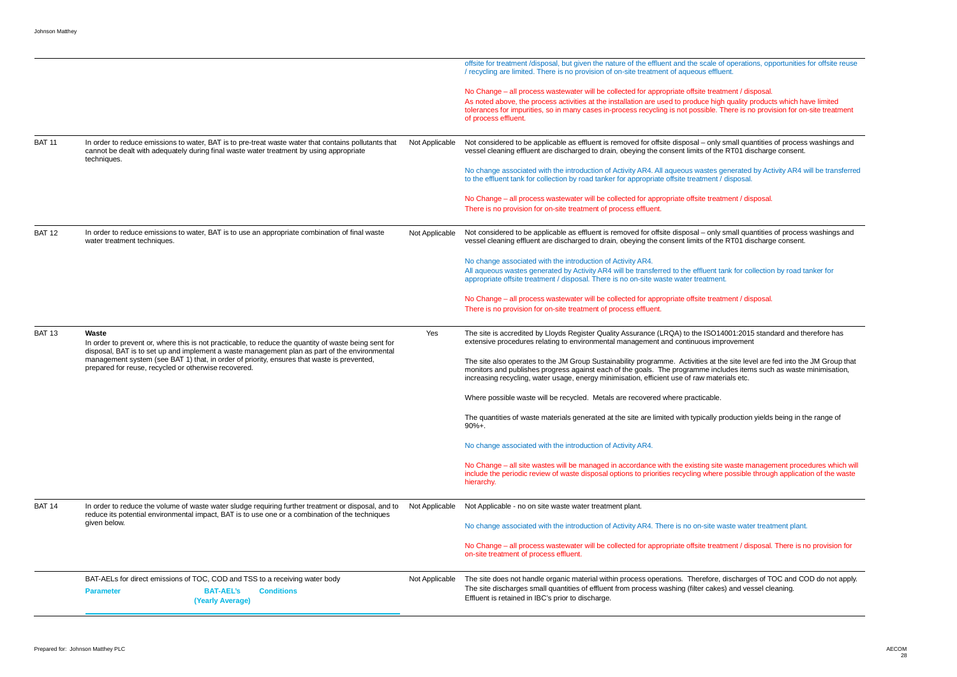|               |                                                                                                                                                                                                                 |                | offsite for treatment /disposal, but given the nature of the effluent and the scale of operati<br>/ recycling are limited. There is no provision of on-site treatment of aqueous effluent.                                                                                                                        |
|---------------|-----------------------------------------------------------------------------------------------------------------------------------------------------------------------------------------------------------------|----------------|-------------------------------------------------------------------------------------------------------------------------------------------------------------------------------------------------------------------------------------------------------------------------------------------------------------------|
|               |                                                                                                                                                                                                                 |                | No Change – all process wastewater will be collected for appropriate offsite treatment / d<br>As noted above, the process activities at the installation are used to produce high quality<br>tolerances for impurities, so in many cases in-process recycling is not possible. There is a<br>of process effluent. |
| <b>BAT 11</b> | In order to reduce emissions to water, BAT is to pre-treat waste water that contains pollutants that<br>cannot be dealt with adequately during final waste water treatment by using appropriate<br>techniques.  | Not Applicable | Not considered to be applicable as effluent is removed for offsite disposal - only small qu<br>vessel cleaning effluent are discharged to drain, obeying the consent limits of the RT01 d                                                                                                                         |
|               |                                                                                                                                                                                                                 |                | No change associated with the introduction of Activity AR4. All aqueous wastes generated<br>to the effluent tank for collection by road tanker for appropriate offsite treatment / disposa                                                                                                                        |
|               |                                                                                                                                                                                                                 |                | No Change – all process wastewater will be collected for appropriate offsite treatment / d<br>There is no provision for on-site treatment of process effluent.                                                                                                                                                    |
| <b>BAT 12</b> | In order to reduce emissions to water, BAT is to use an appropriate combination of final waste<br>water treatment techniques.                                                                                   | Not Applicable | Not considered to be applicable as effluent is removed for offsite disposal - only small qu<br>vessel cleaning effluent are discharged to drain, obeying the consent limits of the RT01 d                                                                                                                         |
|               |                                                                                                                                                                                                                 |                | No change associated with the introduction of Activity AR4.<br>All aqueous wastes generated by Activity AR4 will be transferred to the effluent tank for c<br>appropriate offsite treatment / disposal. There is no on-site waste water treatment.                                                                |
|               |                                                                                                                                                                                                                 |                | No Change – all process wastewater will be collected for appropriate offsite treatment / d<br>There is no provision for on-site treatment of process effluent.                                                                                                                                                    |
| <b>BAT 13</b> | Waste<br>In order to prevent or, where this is not practicable, to reduce the quantity of waste being sent for<br>disposal, BAT is to set up and implement a waste management plan as part of the environmental | Yes            | The site is accredited by Lloyds Register Quality Assurance (LRQA) to the ISO14001:201<br>extensive procedures relating to environmental management and continuous improvement                                                                                                                                    |
|               | management system (see BAT 1) that, in order of priority, ensures that waste is prevented,<br>prepared for reuse, recycled or otherwise recovered.                                                              |                | The site also operates to the JM Group Sustainability programme. Activities at the site le<br>monitors and publishes progress against each of the goals. The programme includes ite<br>increasing recycling, water usage, energy minimisation, efficient use of raw materials etc.                                |
|               |                                                                                                                                                                                                                 |                | Where possible waste will be recycled. Metals are recovered where practicable.                                                                                                                                                                                                                                    |
|               |                                                                                                                                                                                                                 |                | The quantities of waste materials generated at the site are limited with typically productio<br>$90%+$ .                                                                                                                                                                                                          |
|               |                                                                                                                                                                                                                 |                | No change associated with the introduction of Activity AR4.                                                                                                                                                                                                                                                       |
|               |                                                                                                                                                                                                                 |                | No Change - all site wastes will be managed in accordance with the existing site waste n<br>include the periodic review of waste disposal options to priorities recycling where possible<br>hierarchy.                                                                                                            |
| <b>BAT 14</b> | In order to reduce the volume of waste water sludge requiring further treatment or disposal, and to<br>reduce its potential environmental impact, BAT is to use one or a combination of the techniques          |                | Not Applicable - no on site waste water treatment plant.                                                                                                                                                                                                                                                          |
|               | given below.                                                                                                                                                                                                    |                | No change associated with the introduction of Activity AR4. There is no on-site waste wat                                                                                                                                                                                                                         |
|               |                                                                                                                                                                                                                 |                | No Change - all process wastewater will be collected for appropriate offsite treatment / d<br>on-site treatment of process effluent.                                                                                                                                                                              |
|               | BAT-AELs for direct emissions of TOC, COD and TSS to a receiving water body<br><b>BAT-AEL's</b><br><b>Conditions</b><br><b>Parameter</b>                                                                        | Not Applicable | The site does not handle organic material within process operations. Therefore, discharged<br>The site discharges small quantities of effluent from process washing (filter cakes) and ve                                                                                                                         |

f operations, opportunities for offsite reuse

ment / disposal. n quality products which have limited There is no provision for on-site treatment

small quantities of process washings and PRT01 discharge consent.

enerated by Activity AR4 will be transferred disposal.

ment / disposal.

small quantities of process washings and RT01 discharge consent.

ank for collection by road tanker for

ment / disposal.

4001:2015 standard and therefore has provement

he site level are fed into the JM Group that ludes items such as waste minimisation,<br>rials etc.

roduction yields being in the range of

waste management procedures which will possible through application of the waste

aste water treatment plant.

ment / disposal. There is no provision for

discharges of TOC and COD do not apply. s) and vessel cleaning.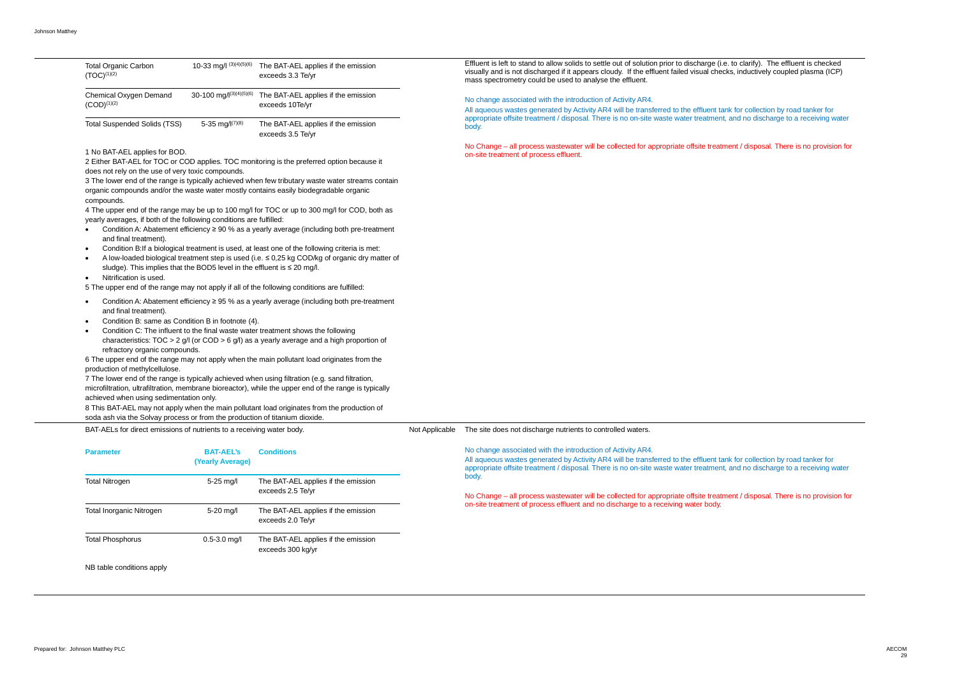tank for collection by road tanker for nt, and no discharge to a receiving water

tment / disposal. There is no provision for

| <b>Total Organic Carbon</b><br>$(TOC)^{(1)(2)}$ | 10-33 mg/l (3)(4)(5)(6)       | The BAT-AEL applies if the emission<br>exceeds 3.3 Te/yr |
|-------------------------------------------------|-------------------------------|----------------------------------------------------------|
| Chemical Oxygen Demand<br>$(COD)^{(1)(2)}$      | 30-100 mg/ $I^{(3)(4)(5)(6)}$ | The BAT-AEL applies if the emission<br>exceeds 10Te/yr   |
| Total Suspended Solids (TSS)                    | 5-35 mg/ $I^{(7)(8)}$         | The BAT-AEL applies if the emission<br>exceeds 3.5 Te/vr |

1 No BAT-AEL applies for BOD.

2 Either BAT-AEL for TOC or COD applies. TOC monitoring is the preferred option because it does not rely on the use of very toxic compounds.

3 The lower end of the range is typically achieved when few tributary waste water streams contain organic compounds and/or the waste water mostly contains easily biodegradable organic compounds.

4 The upper end of the range may be up to 100 mg/l for TOC or up to 300 mg/l for COD, both as yearly averages, if both of the following conditions are fulfilled:

- · Condition A: Abatement efficiency ≥ 90 % as a yearly average (including both pre-treatment and final treatment).
- · Condition B:If a biological treatment is used, at least one of the following criteria is met:
- · A low-loaded biological treatment step is used (i.e. ≤ 0,25 kg COD/kg of organic dry matter of sludge). This implies that the BOD5 level in the effluent is ≤ 20 mg/l.
- · Nitrification is used.

5 The upper end of the range may not apply if all of the following conditions are fulfilled:

- · Condition A: Abatement efficiency ≥ 95 % as a yearly average (including both pre-treatment and final treatment).
- · Condition B: same as Condition B in footnote (4).
- · Condition C: The influent to the final waste water treatment shows the following characteristics:  $TOC > 2$  g/l (or  $COD > 6$  g/l) as a yearly average and a high proportion of refractory organic compounds.

6 The upper end of the range may not apply when the main pollutant load originates from the production of methylcellulose.

7 The lower end of the range is typically achieved when using filtration (e.g. sand filtration, microfiltration, ultrafiltration, membrane bioreactor), while the upper end of the range is typically achieved when using sedimentation only. 8 This BAT-AEL may not apply when the main pollutant load originates from the production of

soda ash via the Solvay process or from the production of titanium dioxide.

Effluent is left to stand to allow solids to settle out of solution prior to discharge (i.e. to clarify). The effluent is checked visually and is not discharged if it appears cloudy. If the effluent failed visual checks, inductively coupled plasma (ICP) mass spectrometry could be used to analyse the effluent.

No change associated with the introduction of Activity AR4.

All aqueous wastes generated by Activity AR4 will be transferred to the effluent tank for collection by road tanker for appropriate offsite treatment / disposal. There is no on-site waste water treatment, and no discharge to a receiving water body.

No Change – all process wastewater will be collected for appropriate offsite treatment / disposal. There is no provision for on-site treatment of process effluent.

BAT-AELs for direct emissions of nutrients to a receiving water body.

NB table conditions apply

Not Applicable The site does not discharge nutrients to controlled waters.

No change associated with the introduction of Activity AR4.

| <b>Parameter</b>         | <b>BAT-AEL's</b><br>(Yearly Average) | <b>Conditions</b>                                        | <u>No change associated with the introduction of Activity AR4.</u><br>All aqueous wastes generated by Activity AR4 will be transferred to the effluent t<br>appropriate offsite treatment / disposal. There is no on-site waste water treatmer |  |  |  |
|--------------------------|--------------------------------------|----------------------------------------------------------|------------------------------------------------------------------------------------------------------------------------------------------------------------------------------------------------------------------------------------------------|--|--|--|
| <b>Total Nitrogen</b>    | 5-25 mg/l                            | The BAT-AEL applies if the emission                      | body.                                                                                                                                                                                                                                          |  |  |  |
|                          |                                      | exceeds 2.5 Te/yr                                        | No Change - all process wastewater will be collected for appropriate offsite treat<br>on-site treatment of process effluent and no discharge to a receiving water body.                                                                        |  |  |  |
| Total Inorganic Nitrogen | 5-20 mg/l                            | The BAT-AEL applies if the emission<br>exceeds 2.0 Te/yr |                                                                                                                                                                                                                                                |  |  |  |
| <b>Total Phosphorus</b>  | $0.5 - 3.0$ mg/l                     | The BAT-AEL applies if the emission<br>exceeds 300 kg/yr |                                                                                                                                                                                                                                                |  |  |  |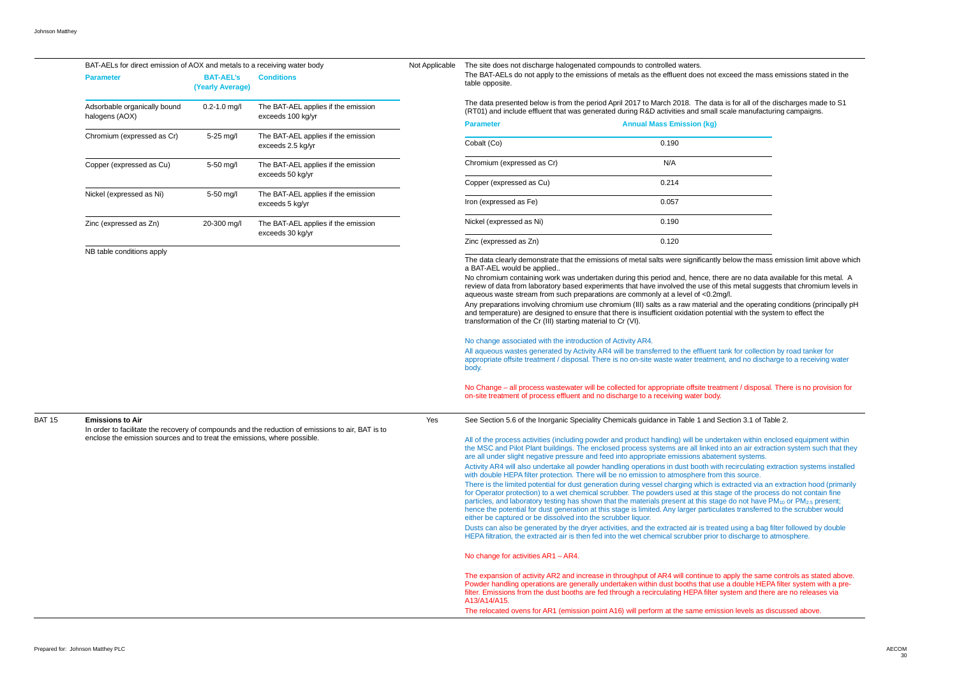|               | BAT-AELs for direct emission of AOX and metals to a receiving water body                                                     |                                                                      |                                                          | Not Applicable                                                                     | The site does not discharge halogenated compounds to controlled waters.                                                                                                                                                                                                                                                                                                                                                                                                                                   |                                  |
|---------------|------------------------------------------------------------------------------------------------------------------------------|----------------------------------------------------------------------|----------------------------------------------------------|------------------------------------------------------------------------------------|-----------------------------------------------------------------------------------------------------------------------------------------------------------------------------------------------------------------------------------------------------------------------------------------------------------------------------------------------------------------------------------------------------------------------------------------------------------------------------------------------------------|----------------------------------|
|               | <b>Parameter</b>                                                                                                             | <b>BAT-AEL's</b><br>(Yearly Average)                                 | <b>Conditions</b>                                        |                                                                                    | The BAT-AELs do not apply to the emissions of metals as the effluent does not exce<br>table opposite.                                                                                                                                                                                                                                                                                                                                                                                                     |                                  |
|               | Adsorbable organically bound<br>halogens (AOX)                                                                               | $0.2 - 1.0$ mg/l                                                     | The BAT-AEL applies if the emission<br>exceeds 100 kg/yr |                                                                                    | The data presented below is from the period April 2017 to March 2018. The data is<br>(RT01) and include effluent that was generated during R&D activities and small sca                                                                                                                                                                                                                                                                                                                                   |                                  |
|               |                                                                                                                              |                                                                      |                                                          |                                                                                    | <b>Parameter</b>                                                                                                                                                                                                                                                                                                                                                                                                                                                                                          | <b>Annual Mass Emission (kg)</b> |
|               | Chromium (expressed as Cr)                                                                                                   | 5-25 mg/l                                                            | The BAT-AEL applies if the emission<br>exceeds 2.5 kg/yr |                                                                                    | Cobalt (Co)                                                                                                                                                                                                                                                                                                                                                                                                                                                                                               | 0.190                            |
|               | Copper (expressed as Cu)                                                                                                     | 5-50 mg/l<br>The BAT-AEL applies if the emission<br>exceeds 50 kg/yr | Chromium (expressed as Cr)                               | N/A                                                                                |                                                                                                                                                                                                                                                                                                                                                                                                                                                                                                           |                                  |
|               | Nickel (expressed as Ni)                                                                                                     | 5-50 mg/l                                                            | The BAT-AEL applies if the emission<br>exceeds 5 kg/yr   |                                                                                    | Copper (expressed as Cu)<br>Iron (expressed as Fe)                                                                                                                                                                                                                                                                                                                                                                                                                                                        | 0.214<br>0.057                   |
|               | Zinc (expressed as Zn)                                                                                                       | 20-300 mg/l                                                          | The BAT-AEL applies if the emission                      |                                                                                    | Nickel (expressed as Ni)                                                                                                                                                                                                                                                                                                                                                                                                                                                                                  | 0.190                            |
|               |                                                                                                                              |                                                                      | exceeds 30 kg/yr                                         |                                                                                    | Zinc (expressed as Zn)                                                                                                                                                                                                                                                                                                                                                                                                                                                                                    | 0.120                            |
|               | NB table conditions apply                                                                                                    |                                                                      |                                                          |                                                                                    | The data clearly demonstrate that the emissions of metal salts were significantly be<br>a BAT-AEL would be applied                                                                                                                                                                                                                                                                                                                                                                                        |                                  |
|               |                                                                                                                              |                                                                      |                                                          |                                                                                    | No chromium containing work was undertaken during this period and, hence, there<br>review of data from laboratory based experiments that have involved the use of this<br>aqueous waste stream from such preparations are commonly at a level of <0.2mg/l.<br>Any preparations involving chromium use chromium (III) salts as a raw material and<br>and temperature) are designed to ensure that there is insufficient oxidation potentia<br>transformation of the Cr (III) starting material to Cr (VI). |                                  |
|               |                                                                                                                              |                                                                      |                                                          |                                                                                    | No change associated with the introduction of Activity AR4.<br>All aqueous wastes generated by Activity AR4 will be transferred to the effluent tank<br>appropriate offsite treatment / disposal. There is no on-site waste water treatment, a<br>body.                                                                                                                                                                                                                                                   |                                  |
|               |                                                                                                                              |                                                                      |                                                          |                                                                                    | No Change - all process wastewater will be collected for appropriate offsite treatme<br>on-site treatment of process effluent and no discharge to a receiving water body.                                                                                                                                                                                                                                                                                                                                 |                                  |
| <b>BAT 15</b> | <b>Emissions to Air</b><br>In order to facilitate the recovery of compounds and the reduction of emissions to air, BAT is to |                                                                      | Yes                                                      | See Section 5.6 of the Inorganic Speciality Chemicals guidance in Table 1 and Sect |                                                                                                                                                                                                                                                                                                                                                                                                                                                                                                           |                                  |
|               | enclose the emission sources and to treat the emissions, where possible.                                                     |                                                                      |                                                          |                                                                                    | All of the process activities (including powder and product handling) will be undertak<br>the MSC and Pilot Plant buildings. The enclosed process systems are all linked into<br>are all under slight negative pressure and feed into appropriate emissions abatemer<br>Activity AR4 will also undertake all powder handling operations in dust booth with re<br>with double HEPA filter protection. There will be no emission to atmosphere from thi                                                     |                                  |
|               |                                                                                                                              |                                                                      |                                                          |                                                                                    | There is the limited potential for dust generation during vessel charging which is ext<br>for Operator protection) to a wet chemical scrubber. The powders used at this stage<br>particles, and laboratory testing has shown that the materials present at this stage of<br>hence the potential for dust generation at this stage is limited. Any larger particulate<br>either be captured or be dissolved into the scrubber liquor.                                                                      |                                  |
|               |                                                                                                                              |                                                                      |                                                          |                                                                                    | Dusts can also be generated by the dryer activities, and the extracted air is treated<br>HEPA filtration, the extracted air is then fed into the wet chemical scrubber prior to c                                                                                                                                                                                                                                                                                                                         |                                  |
|               |                                                                                                                              |                                                                      |                                                          |                                                                                    | No change for activities AR1 - AR4.                                                                                                                                                                                                                                                                                                                                                                                                                                                                       |                                  |
|               |                                                                                                                              |                                                                      |                                                          |                                                                                    | The expansion of activity AR2 and increase in throughput of AR4 will continue to ap<br>Powder handling operations are generally undertaken within dust booths that use a<br>filter. Emissions from the dust booths are fed through a recirculating HEPA filter syst<br>A13/A14/A15.                                                                                                                                                                                                                       |                                  |
|               |                                                                                                                              |                                                                      |                                                          |                                                                                    | The relocated ovens for AR1 (emission point A16) will perform at the same emission                                                                                                                                                                                                                                                                                                                                                                                                                        |                                  |

xceed the mass emissions stated in the

is for all of the discharges made to S1 cale manufacturing campaigns.

below the mass emission limit above which

re are no data available for this metal. A his metal suggests that chromium levels in

and the operating conditions (principally pH tial with the system to effect the

ank for collection by road tanker for t, and no discharge to a receiving water

ment / disposal. There is no provision for

ection 3.1 of Table 2.

rtaken within enclosed equipment within nto an air extraction system such that they nent systems.

**n** recirculating extraction systems installed this source.

extracted via an extraction hood (primarily age of the process do not contain fine  $\bar{\text{p}}$  do not have PM<sub>10</sub> or PM<sub>2.5</sub> present; ates transferred to the scrubber would

ed using a bag filter followed by double to discharge to atmosphere.

apply the same controls as stated above. Powder handling operations and general independent operations and undertaken and undertaken and undertaken system with a presystem and there are no releases via

sion levels as discussed above.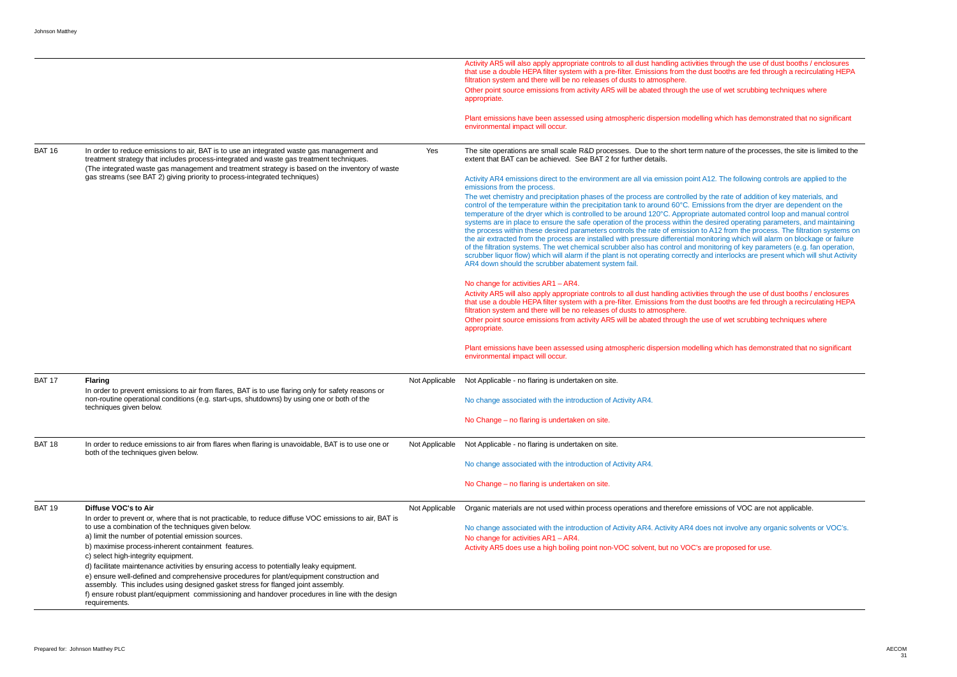|               |                                                                                                                                                                                                                                                                                                                                                                           |                | Activity AR5 will also apply appropriate controls to all dust handling activities through the use of dust booths / enclosures<br>that use a double HEPA filter system with a pre-filter. Emissions from the dust booths are fed through a recirculating HEPA<br>filtration system and there will be no releases of dusts to atmosphere.<br>Other point source emissions from activity AR5 will be abated through the use of wet scrubbing techniques where<br>appropriate.                                                                                                                                                                                                                                                                                                                                                                                                                                                                                                                                                                                                                            |
|---------------|---------------------------------------------------------------------------------------------------------------------------------------------------------------------------------------------------------------------------------------------------------------------------------------------------------------------------------------------------------------------------|----------------|-------------------------------------------------------------------------------------------------------------------------------------------------------------------------------------------------------------------------------------------------------------------------------------------------------------------------------------------------------------------------------------------------------------------------------------------------------------------------------------------------------------------------------------------------------------------------------------------------------------------------------------------------------------------------------------------------------------------------------------------------------------------------------------------------------------------------------------------------------------------------------------------------------------------------------------------------------------------------------------------------------------------------------------------------------------------------------------------------------|
|               |                                                                                                                                                                                                                                                                                                                                                                           |                | Plant emissions have been assessed using atmospheric dispersion modelling which has demonstrated that no significant<br>environmental impact will occur.                                                                                                                                                                                                                                                                                                                                                                                                                                                                                                                                                                                                                                                                                                                                                                                                                                                                                                                                              |
| <b>BAT 16</b> | In order to reduce emissions to air, BAT is to use an integrated waste gas management and<br>treatment strategy that includes process-integrated and waste gas treatment techniques.<br>(The integrated waste gas management and treatment strategy is based on the inventory of waste                                                                                    | Yes            | The site operations are small scale R&D processes. Due to the short term nature of the processes, the site is limited to the<br>extent that BAT can be achieved. See BAT 2 for further details.                                                                                                                                                                                                                                                                                                                                                                                                                                                                                                                                                                                                                                                                                                                                                                                                                                                                                                       |
|               | gas streams (see BAT 2) giving priority to process-integrated techniques)                                                                                                                                                                                                                                                                                                 |                | Activity AR4 emissions direct to the environment are all via emission point A12. The following controls are applied to the<br>emissions from the process.                                                                                                                                                                                                                                                                                                                                                                                                                                                                                                                                                                                                                                                                                                                                                                                                                                                                                                                                             |
|               |                                                                                                                                                                                                                                                                                                                                                                           |                | The wet chemistry and precipitation phases of the process are controlled by the rate of addition of key materials, and<br>control of the temperature within the precipitation tank to around 60°C. Emissions from the dryer are dependent on the<br>temperature of the dryer which is controlled to be around 120°C. Appropriate automated control loop and manual control<br>systems are in place to ensure the safe operation of the process within the desired operating parameters, and maintaining<br>the process within these desired parameters controls the rate of emission to A12 from the process. The filtration systems or<br>the air extracted from the process are installed with pressure differential monitoring which will alarm on blockage or failure<br>of the filtration systems. The wet chemical scrubber also has control and monitoring of key parameters (e.g. fan operation,<br>scrubber liquor flow) which will alarm if the plant is not operating correctly and interlocks are present which will shut Activity<br>AR4 down should the scrubber abatement system fail. |
|               |                                                                                                                                                                                                                                                                                                                                                                           |                | No change for activities AR1 - AR4.<br>Activity AR5 will also apply appropriate controls to all dust handling activities through the use of dust booths / enclosures<br>that use a double HEPA filter system with a pre-filter. Emissions from the dust booths are fed through a recirculating HEPA<br>filtration system and there will be no releases of dusts to atmosphere.<br>Other point source emissions from activity AR5 will be abated through the use of wet scrubbing techniques where<br>appropriate.                                                                                                                                                                                                                                                                                                                                                                                                                                                                                                                                                                                     |
|               |                                                                                                                                                                                                                                                                                                                                                                           |                | Plant emissions have been assessed using atmospheric dispersion modelling which has demonstrated that no significant<br>environmental impact will occur.                                                                                                                                                                                                                                                                                                                                                                                                                                                                                                                                                                                                                                                                                                                                                                                                                                                                                                                                              |
| <b>BAT 17</b> | <b>Flaring</b><br>In order to prevent emissions to air from flares, BAT is to use flaring only for safety reasons or                                                                                                                                                                                                                                                      | Not Applicable | Not Applicable - no flaring is undertaken on site.                                                                                                                                                                                                                                                                                                                                                                                                                                                                                                                                                                                                                                                                                                                                                                                                                                                                                                                                                                                                                                                    |
|               | non-routine operational conditions (e.g. start-ups, shutdowns) by using one or both of the<br>techniques given below.                                                                                                                                                                                                                                                     |                | No change associated with the introduction of Activity AR4.                                                                                                                                                                                                                                                                                                                                                                                                                                                                                                                                                                                                                                                                                                                                                                                                                                                                                                                                                                                                                                           |
|               |                                                                                                                                                                                                                                                                                                                                                                           |                | No Change - no flaring is undertaken on site.                                                                                                                                                                                                                                                                                                                                                                                                                                                                                                                                                                                                                                                                                                                                                                                                                                                                                                                                                                                                                                                         |
| <b>BAT 18</b> | In order to reduce emissions to air from flares when flaring is unavoidable, BAT is to use one or<br>both of the techniques given below.                                                                                                                                                                                                                                  | Not Applicable | Not Applicable - no flaring is undertaken on site.                                                                                                                                                                                                                                                                                                                                                                                                                                                                                                                                                                                                                                                                                                                                                                                                                                                                                                                                                                                                                                                    |
|               |                                                                                                                                                                                                                                                                                                                                                                           |                | No change associated with the introduction of Activity AR4.                                                                                                                                                                                                                                                                                                                                                                                                                                                                                                                                                                                                                                                                                                                                                                                                                                                                                                                                                                                                                                           |
|               |                                                                                                                                                                                                                                                                                                                                                                           |                | No Change - no flaring is undertaken on site.                                                                                                                                                                                                                                                                                                                                                                                                                                                                                                                                                                                                                                                                                                                                                                                                                                                                                                                                                                                                                                                         |
| <b>BAT 19</b> | Diffuse VOC's to Air<br>In order to prevent or, where that is not practicable, to reduce diffuse VOC emissions to air, BAT is                                                                                                                                                                                                                                             | Not Applicable | Organic materials are not used within process operations and therefore emissions of VOC are not applicable.                                                                                                                                                                                                                                                                                                                                                                                                                                                                                                                                                                                                                                                                                                                                                                                                                                                                                                                                                                                           |
|               | to use a combination of the techniques given below.<br>a) limit the number of potential emission sources.<br>b) maximise process-inherent containment features.<br>c) select high-integrity equipment.                                                                                                                                                                    |                | No change associated with the introduction of Activity AR4. Activity AR4 does not involve any organic solvents or VOC's.<br>No change for activities AR1 - AR4.<br>Activity AR5 does use a high boiling point non-VOC solvent, but no VOC's are proposed for use.                                                                                                                                                                                                                                                                                                                                                                                                                                                                                                                                                                                                                                                                                                                                                                                                                                     |
|               | d) facilitate maintenance activities by ensuring access to potentially leaky equipment.<br>e) ensure well-defined and comprehensive procedures for plant/equipment construction and<br>assembly. This includes using designed gasket stress for flanged joint assembly.<br>f) ensure robust plant/equipment commissioning and handover procedures in line with the design |                |                                                                                                                                                                                                                                                                                                                                                                                                                                                                                                                                                                                                                                                                                                                                                                                                                                                                                                                                                                                                                                                                                                       |
|               | requirements.                                                                                                                                                                                                                                                                                                                                                             |                |                                                                                                                                                                                                                                                                                                                                                                                                                                                                                                                                                                                                                                                                                                                                                                                                                                                                                                                                                                                                                                                                                                       |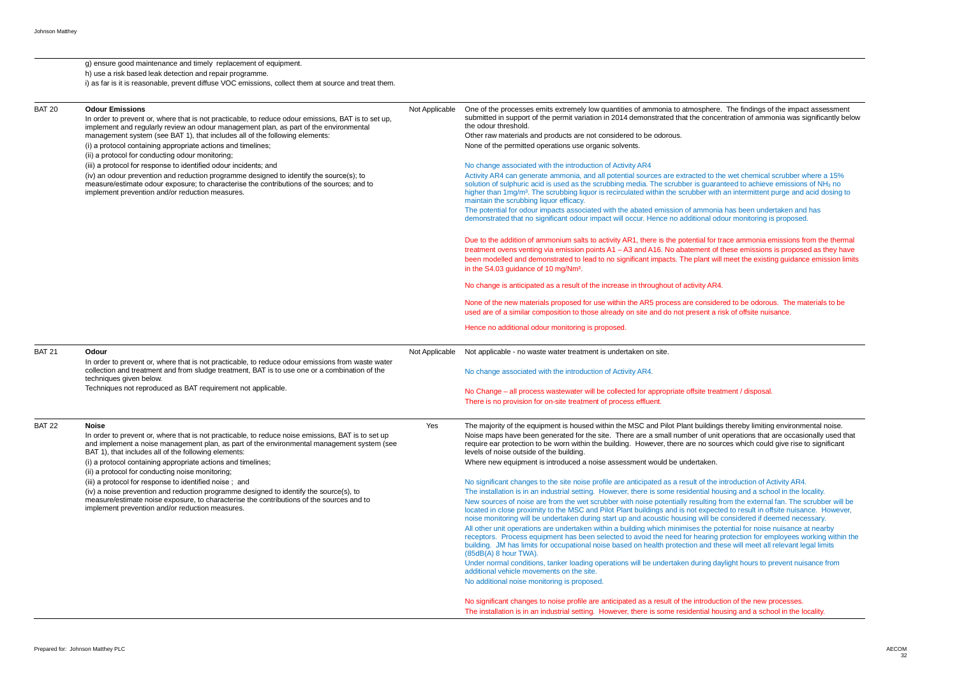| g) ensure good maintenance and timely replacement of equipment.                                                                                                                                                                                                                                                                                                                                                                                                                                                                                                                                                                                                                                                                          |                                                          |                                                                                                                                                                                                                                                                                                                                                                                                                                                                                                                                                                                                                                                                                                                                                                                                                                                                                                                                                                                                                                                                                                                                                                                                                                                                                                                                                                                                                                                                                                                                 |
|------------------------------------------------------------------------------------------------------------------------------------------------------------------------------------------------------------------------------------------------------------------------------------------------------------------------------------------------------------------------------------------------------------------------------------------------------------------------------------------------------------------------------------------------------------------------------------------------------------------------------------------------------------------------------------------------------------------------------------------|----------------------------------------------------------|---------------------------------------------------------------------------------------------------------------------------------------------------------------------------------------------------------------------------------------------------------------------------------------------------------------------------------------------------------------------------------------------------------------------------------------------------------------------------------------------------------------------------------------------------------------------------------------------------------------------------------------------------------------------------------------------------------------------------------------------------------------------------------------------------------------------------------------------------------------------------------------------------------------------------------------------------------------------------------------------------------------------------------------------------------------------------------------------------------------------------------------------------------------------------------------------------------------------------------------------------------------------------------------------------------------------------------------------------------------------------------------------------------------------------------------------------------------------------------------------------------------------------------|
| i) as far is it is reasonable, prevent diffuse VOC emissions, collect them at source and treat them.                                                                                                                                                                                                                                                                                                                                                                                                                                                                                                                                                                                                                                     |                                                          |                                                                                                                                                                                                                                                                                                                                                                                                                                                                                                                                                                                                                                                                                                                                                                                                                                                                                                                                                                                                                                                                                                                                                                                                                                                                                                                                                                                                                                                                                                                                 |
| <b>Odour Emissions</b><br>In order to prevent or, where that is not practicable, to reduce odour emissions, BAT is to set up,<br>implement and regularly review an odour management plan, as part of the environmental<br>management system (see BAT 1), that includes all of the following elements:<br>(i) a protocol containing appropriate actions and timelines;<br>(ii) a protocol for conducting odour monitoring;<br>(iii) a protocol for response to identified odour incidents; and<br>(iv) an odour prevention and reduction programme designed to identify the source(s); to<br>measure/estimate odour exposure; to characterise the contributions of the sources; and to<br>implement prevention and/or reduction measures. | Not Applicable                                           | One of the processes emits extremely low quantities of ammonia to atmosphere.<br>submitted in support of the permit variation in 2014 demonstrated that the concer<br>the odour threshold.<br>Other raw materials and products are not considered to be odorous.<br>None of the permitted operations use organic solvents.<br>No change associated with the introduction of Activity AR4<br>Activity AR4 can generate ammonia, and all potential sources are extracted to the<br>solution of sulphuric acid is used as the scrubbing media. The scrubber is guaran<br>higher than 1mg/m <sup>3</sup> . The scrubbing liquor is recirculated within the scrubber with<br>maintain the scrubbing liquor efficacy.<br>The potential for odour impacts associated with the abated emission of ammonia<br>demonstrated that no significant odour impact will occur. Hence no additional odd<br>Due to the addition of ammonium salts to activity AR1, there is the potential for tra<br>treatment ovens venting via emission points A1 - A3 and A16. No abatement of tl<br>been modelled and demonstrated to lead to no significant impacts. The plant will<br>in the S4.03 guidance of 10 mg/Nm <sup>3</sup> .<br>No change is anticipated as a result of the increase in throughout of activity AR4.<br>None of the new materials proposed for use within the AR5 process are consider<br>used are of a similar composition to those already on site and do not present a ris<br>Hence no additional odour monitoring is proposed. |
| <b>Odour</b><br>In order to prevent or, where that is not practicable, to reduce odour emissions from waste water<br>collection and treatment and from sludge treatment, BAT is to use one or a combination of the<br>techniques given below.<br>Techniques not reproduced as BAT requirement not applicable.                                                                                                                                                                                                                                                                                                                                                                                                                            | Not Applicable                                           | Not applicable - no waste water treatment is undertaken on site.<br>No change associated with the introduction of Activity AR4.<br>No Change - all process wastewater will be collected for appropriate offsite treat<br>There is no provision for on-site treatment of process effluent.                                                                                                                                                                                                                                                                                                                                                                                                                                                                                                                                                                                                                                                                                                                                                                                                                                                                                                                                                                                                                                                                                                                                                                                                                                       |
| <b>Noise</b><br>In order to prevent or, where that is not practicable, to reduce noise emissions, BAT is to set up<br>and implement a noise management plan, as part of the environmental management system (see<br>BAT 1), that includes all of the following elements:<br>(i) a protocol containing appropriate actions and timelines;<br>(ii) a protocol for conducting noise monitoring;<br>(iii) a protocol for response to identified noise; and<br>(iv) a noise prevention and reduction programme designed to identify the source(s), to<br>measure/estimate noise exposure, to characterise the contributions of the sources and to<br>implement prevention and/or reduction measures.                                          | Yes                                                      | The majority of the equipment is housed within the MSC and Pilot Plant buildings<br>Noise maps have been generated for the site. There are a small number of unit of<br>require ear protection to be worn within the building. However, there are no sour-<br>levels of noise outside of the building.<br>Where new equipment is introduced a noise assessment would be undertaken.<br>No significant changes to the site noise profile are anticipated as a result of the in<br>The installation is in an industrial setting. However, there is some residential hour<br>New sources of noise are from the wet scrubber with noise potentially resulting from<br>located in close proximity to the MSC and Pilot Plant buildings and is not expecte<br>noise monitoring will be undertaken during start up and acoustic housing will be o<br>All other unit operations are undertaken within a building which minimises the pot<br>receptors. Process equipment has been selected to avoid the need for hearing p<br>building. JM has limits for occupational noise based on health protection and the<br>(85dB(A) 8 hour TWA).<br>Under normal conditions, tanker loading operations will be undertaken during day<br>additional vehicle movements on the site.<br>No additional noise monitoring is proposed.<br>No significant changes to noise profile are anticipated as a result of the introducti                                                                                                                       |
|                                                                                                                                                                                                                                                                                                                                                                                                                                                                                                                                                                                                                                                                                                                                          | h) use a risk based leak detection and repair programme. |                                                                                                                                                                                                                                                                                                                                                                                                                                                                                                                                                                                                                                                                                                                                                                                                                                                                                                                                                                                                                                                                                                                                                                                                                                                                                                                                                                                                                                                                                                                                 |

The findings of the impact assessment ntration of ammonia was significantly below

he wet chemical scrubber where a 15% nteed to achieve emissions of  $NH<sub>3</sub>$  no an intermittent purge and acid dosing to

I has been undertaken and has our monitoring is proposed.

ace ammonia emissions from the thermal hese emissions is proposed as they have meet the existing guidance emission limits.

ed to be odorous. The materials to be sk of offsite nuisance.

ment / disposal.

s thereby limiting environmental noise. operations that are occasionally used that res which could give rise to significant

ntroduction of Activity AR4. ising and a school in the locality. rom the external fan. The scrubber will be ed to result in offsite nuisance. However, considered if deemed necessary. tential for noise nuisance at nearby protection for employees working within the ese will meet all relevant legal limits

vlight hours to prevent nuisance from

ion of the new processes. The installation is in an industrial setting. However, there is some residential housing and a school in the locality.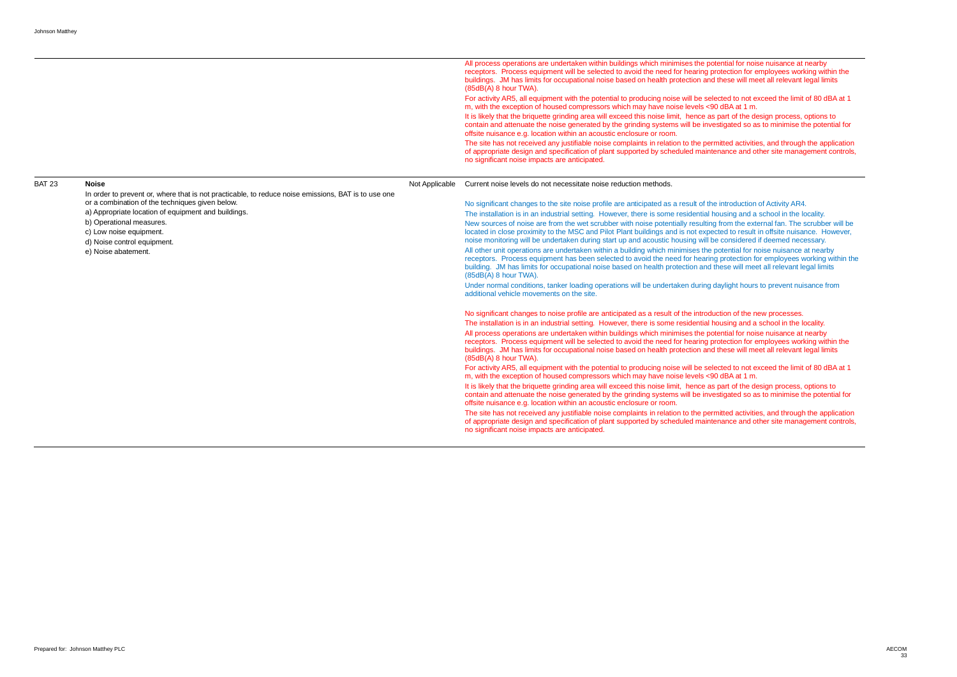All process operations are undertaken within buildings which minimises the potential for noise nuisance at nearby receptors. Process equipment will be selected to avoid the need for hearing protection for employees working within the

> ted to not exceed the limit of 80 dBA at 1 dBA at 1 m. bart of the design process, options to tigated so as to minimise the potential for

itted activities, and through the application nance and other site management controls,

- using and a school in the locality.
- from the external fan. The scrubber will be
- led to result in offsite nuisance. However, considered if deemed necessary.
- otential for noise nuisance at nearby
- protection for employees working within the ese will meet all relevant legal limits

- using and a school in the locality.
- ential for noise nuisance at nearby
- rection for employees working within the hese will meet all relevant legal limits
- from activity all exceed the limit of 80 dBA at 1 dBA at 1 m.
- It is area that the design process, options to part of the design process, options to tigated so as to minimise the potential for

itted activities, and through the application nance and other site management controls,

|               |                                                                                                                                                                                                                                                                                                                                            |                | buildings. JM has limits for occupational noise based on health protection and these will meet all relevant legal limits<br>(85dB(A) 8 hour TWA).<br>For activity AR5, all equipment with the potential to producing noise will be selected to not exceed the limit of 80 dBA<br>m, with the exception of housed compressors which may have noise levels <90 dBA at 1 m.<br>It is likely that the briquette grinding area will exceed this noise limit, hence as part of the design process, options to<br>contain and attenuate the noise generated by the grinding systems will be investigated so as to minimise the potentia<br>offsite nuisance e.g. location within an acoustic enclosure or room.<br>The site has not received any justifiable noise complaints in relation to the permitted activities, and through the applion                                                                                                                                                                                                                                                                                                                                                                                                                                                                                                                                                                                                                                                                                                                                                                                                                                                                                                                                                                                                                                                                                                                                                                                               |
|---------------|--------------------------------------------------------------------------------------------------------------------------------------------------------------------------------------------------------------------------------------------------------------------------------------------------------------------------------------------|----------------|---------------------------------------------------------------------------------------------------------------------------------------------------------------------------------------------------------------------------------------------------------------------------------------------------------------------------------------------------------------------------------------------------------------------------------------------------------------------------------------------------------------------------------------------------------------------------------------------------------------------------------------------------------------------------------------------------------------------------------------------------------------------------------------------------------------------------------------------------------------------------------------------------------------------------------------------------------------------------------------------------------------------------------------------------------------------------------------------------------------------------------------------------------------------------------------------------------------------------------------------------------------------------------------------------------------------------------------------------------------------------------------------------------------------------------------------------------------------------------------------------------------------------------------------------------------------------------------------------------------------------------------------------------------------------------------------------------------------------------------------------------------------------------------------------------------------------------------------------------------------------------------------------------------------------------------------------------------------------------------------------------------------------------------|
|               |                                                                                                                                                                                                                                                                                                                                            |                | of appropriate design and specification of plant supported by scheduled maintenance and other site management co<br>no significant noise impacts are anticipated.                                                                                                                                                                                                                                                                                                                                                                                                                                                                                                                                                                                                                                                                                                                                                                                                                                                                                                                                                                                                                                                                                                                                                                                                                                                                                                                                                                                                                                                                                                                                                                                                                                                                                                                                                                                                                                                                     |
| <b>BAT 23</b> | <b>Noise</b><br>In order to prevent or, where that is not practicable, to reduce noise emissions, BAT is to use one<br>or a combination of the techniques given below.<br>a) Appropriate location of equipment and buildings.<br>b) Operational measures.<br>c) Low noise equipment.<br>d) Noise control equipment.<br>e) Noise abatement. | Not Applicable | Current noise levels do not necessitate noise reduction methods.<br>No significant changes to the site noise profile are anticipated as a result of the introduction of Activity AR4.<br>The installation is in an industrial setting. However, there is some residential housing and a school in the locality.<br>New sources of noise are from the wet scrubber with noise potentially resulting from the external fan. The scrubber v<br>located in close proximity to the MSC and Pilot Plant buildings and is not expected to result in offsite nuisance. How<br>noise monitoring will be undertaken during start up and acoustic housing will be considered if deemed necessary.<br>All other unit operations are undertaken within a building which minimises the potential for noise nuisance at nearby<br>receptors. Process equipment has been selected to avoid the need for hearing protection for employees working wit<br>building. JM has limits for occupational noise based on health protection and these will meet all relevant legal limits<br>(85dB(A) 8 hour TWA).<br>Under normal conditions, tanker loading operations will be undertaken during daylight hours to prevent nuisance from<br>additional vehicle movements on the site.<br>No significant changes to noise profile are anticipated as a result of the introduction of the new processes.<br>The installation is in an industrial setting. However, there is some residential housing and a school in the locality.<br>All process operations are undertaken within buildings which minimises the potential for noise nuisance at nearby<br>receptors. Process equipment will be selected to avoid the need for hearing protection for employees working within<br>buildings. JM has limits for occupational noise based on health protection and these will meet all relevant legal limits<br>(85dB(A) 8 hour TWA).<br>For activity AR5, all equipment with the potential to producing noise will be selected to not exceed the limit of 80 dBA |
|               |                                                                                                                                                                                                                                                                                                                                            |                | m, with the exception of housed compressors which may have noise levels <90 dBA at 1 m.<br>It is likely that the briquette grinding area will exceed this noise limit, hence as part of the design process, options to<br>contain and attenuate the noise generated by the grinding systems will be investigated so as to minimise the potentia<br>offsite nuisance e.g. location within an acoustic enclosure or room.<br>The site has not received any justifiable noise complaints in relation to the permitted activities, and through the applion<br>of appropriate design and specification of plant supported by scheduled maintenance and other site management co<br>no significant noise impacts are anticipated.                                                                                                                                                                                                                                                                                                                                                                                                                                                                                                                                                                                                                                                                                                                                                                                                                                                                                                                                                                                                                                                                                                                                                                                                                                                                                                           |